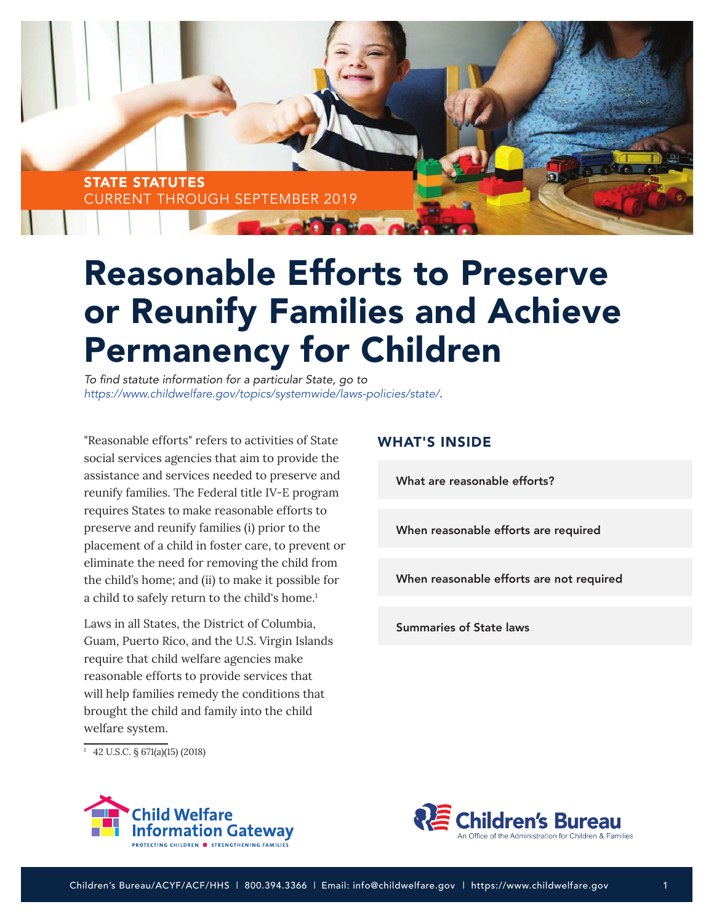

# Reasonable Efforts to Preserve or Reunify Families and Achieve Permanency for Children

To find statute information for a particular State, go to *<https://www.childwelfare.gov/topics/systemwide/laws-policies/state/>.*

"Reasonable efforts" refers to activities of State social services agencies that aim to provide the assistance and services needed to preserve and reunify families. The Federal title IV-E program requires States to make reasonable efforts to preserve and reunify families (i) prior to the placement of a child in foster care, to prevent or eliminate the need for removing the child from the child's home; and (ii) to make it possible for a child to safely return to the child's home.<sup>1</sup>

Laws in all States, the District of Columbia, Guam, Puerto Rico, and the U.S. Virgin Islands require that child welfare agencies make reasonable efforts to provide services that will help families remedy the conditions that brought the child and family into the child welfare system.

 $\frac{1}{1}$  42 U.S.C. § 671(a)(15) (2018)

## WHAT'S INSIDE

[What are reasonable efforts?](#page-1-0) 

[When reasonable efforts are required](#page-1-0)

[When reasonable efforts are not required](#page-2-0)

[Summaries of State laws](#page-4-0)



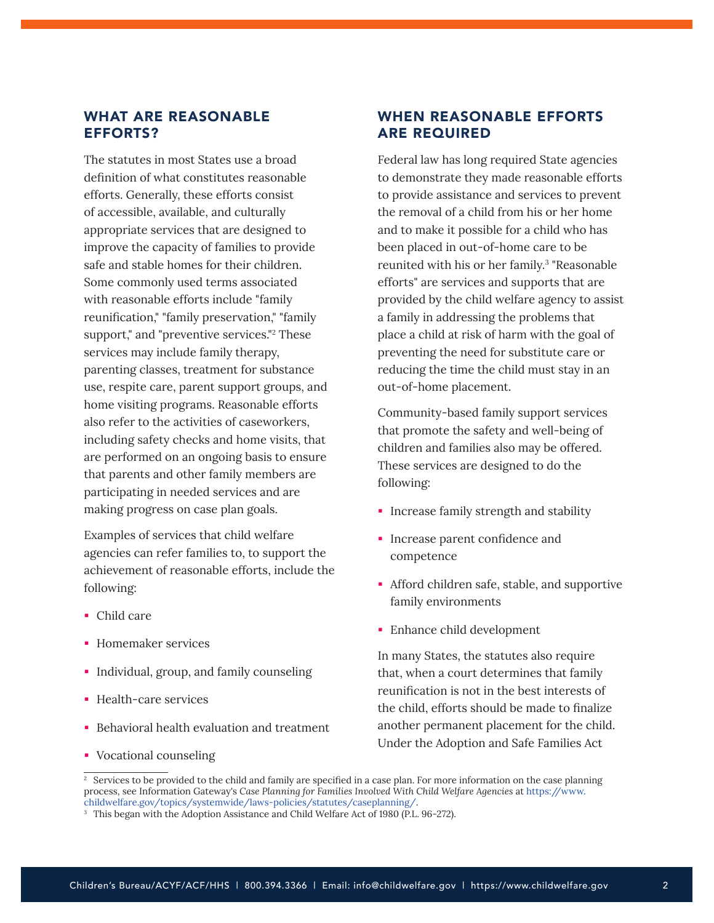# <span id="page-1-0"></span>WHAT ARE REASONABLE EFFORTS?

The statutes in most States use a broad definition of what constitutes reasonable efforts. Generally, these efforts consist of accessible, available, and culturally appropriate services that are designed to improve the capacity of families to provide safe and stable homes for their children. Some commonly used terms associated with reasonable efforts include "family reunification," "family preservation," "family support," and "preventive services."2 These services may include family therapy, parenting classes, treatment for substance use, respite care, parent support groups, and home visiting programs. Reasonable efforts also refer to the activities of caseworkers, including safety checks and home visits, that are performed on an ongoing basis to ensure that parents and other family members are participating in needed services and are making progress on case plan goals.

Examples of services that child welfare agencies can refer families to, to support the achievement of reasonable efforts, include the following:

- Child care
- **Homemaker services**
- **Individual, group, and family counseling**
- Health-care services
- **Behavioral health evaluation and treatment**
- Vocational counseling

# WHEN REASONABLE EFFORTS ARE REQUIRED

Federal law has long required State agencies to demonstrate they made reasonable efforts to provide assistance and services to prevent the removal of a child from his or her home and to make it possible for a child who has been placed in out-of-home care to be reunited with his or her family.<sup>3</sup> "Reasonable efforts" are services and supports that are provided by the child welfare agency to assist a family in addressing the problems that place a child at risk of harm with the goal of preventing the need for substitute care or reducing the time the child must stay in an out-of-home placement.

Community-based family support services that promote the safety and well-being of children and families also may be offered. These services are designed to do the following:

- **Increase family strength and stability**
- **Increase parent confidence and** competence
- Afford children safe, stable, and supportive family environments
- Enhance child development

In many States, the statutes also require that, when a court determines that family reunification is not in the best interests of the child, efforts should be made to finalize another permanent placement for the child. Under the Adoption and Safe Families Act

<sup>&</sup>lt;sup>2</sup> Services to be provided to the child and family are specified in a case plan. For more information on the case planning process, see Information Gateway's *Case Planning for Families Involved With Child Welfare Agencies* at [https://www.](https://www.childwelfare.gov/topics/systemwide/laws-policies/statutes/caseplanning/)

<sup>&</sup>lt;sup>3</sup> This began with the Adoption Assistance and Child Welfare Act of 1980 (P.L. 96-272).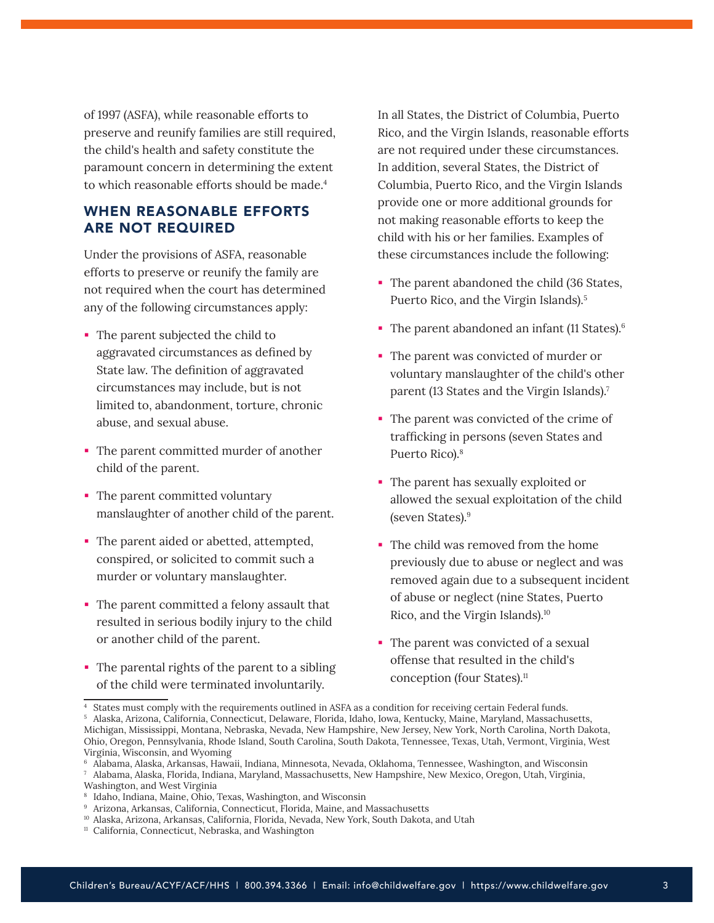<span id="page-2-0"></span>of 1997 (ASFA), while reasonable efforts to preserve and reunify families are still required, the child's health and safety constitute the paramount concern in determining the extent to which reasonable efforts should be made.<sup>4</sup>

# WHEN REASONABLE EFFORTS ARE NOT REQUIRED

Under the provisions of ASFA, reasonable efforts to preserve or reunify the family are not required when the court has determined any of the following circumstances apply:

- The parent subjected the child to aggravated circumstances as defined by State law. The definition of aggravated circumstances may include, but is not limited to, abandonment, torture, chronic abuse, and sexual abuse.
- The parent committed murder of another child of the parent.
- The parent committed voluntary manslaughter of another child of the parent.
- The parent aided or abetted, attempted, conspired, or solicited to commit such a murder or voluntary manslaughter.
- The parent committed a felony assault that resulted in serious bodily injury to the child or another child of the parent.
- The parental rights of the parent to a sibling of the child were terminated involuntarily.

In all States, the District of Columbia, Puerto Rico, and the Virgin Islands, reasonable efforts are not required under these circumstances. In addition, several States, the District of Columbia, Puerto Rico, and the Virgin Islands provide one or more additional grounds for not making reasonable efforts to keep the child with his or her families. Examples of these circumstances include the following:

- The parent abandoned the child (36 States, Puerto Rico, and the Virgin Islands).5
- The parent abandoned an infant  $(11 \text{ States})$ .<sup>6</sup>
- The parent was convicted of murder or voluntary manslaughter of the child's other parent (13 States and the Virgin Islands).<sup>7</sup>
- The parent was convicted of the crime of trafficking in persons (seven States and Puerto Rico).8
- The parent has sexually exploited or allowed the sexual exploitation of the child (seven States).9
- The child was removed from the home previously due to abuse or neglect and was removed again due to a subsequent incident of abuse or neglect (nine States, Puerto Rico, and the Virgin Islands).10
- The parent was convicted of a sexual offense that resulted in the child's conception (four States).<sup>11</sup>

<sup>4</sup> States must comply with the requirements outlined in ASFA as a condition for receiving certain Federal funds. <sup>5</sup> Alaska, Arizona, California, Connecticut, Delaware, Florida, Idaho, Iowa, Kentucky, Maine, Maryland, Massachusetts, Michigan, Mississippi, Montana, Nebraska, Nevada, New Hampshire, New Jersey, New York, North Carolina, North Dakota, Ohio, Oregon, Pennsylvania, Rhode Island, South Carolina, South Dakota, Tennessee, Texas, Utah, Vermont, Virginia, West Virginia, Wisconsin, and Wyoming

<sup>6</sup> Alabama, Alaska, Arkansas, Hawaii, Indiana, Minnesota, Nevada, Oklahoma, Tennessee, Washington, and Wisconsin <sup>7</sup>Alabama, Alaska, Florida, Indiana, Maryland, Massachusetts, New Hampshire, New Mexico, Oregon, Utah, Virginia,

Washington, and West Virginia

<sup>&</sup>lt;sup>8</sup> Idaho, Indiana, Maine, Ohio, Texas, Washington, and Wisconsin

<sup>&</sup>lt;sup>9</sup> Arizona, Arkansas, California, Connecticut, Florida, Maine, and Massachusetts

<sup>10</sup> Alaska, Arizona, Arkansas, California, Florida, Nevada, New York, South Dakota, and Utah

<sup>&</sup>lt;sup>11</sup> California, Connecticut, Nebraska, and Washington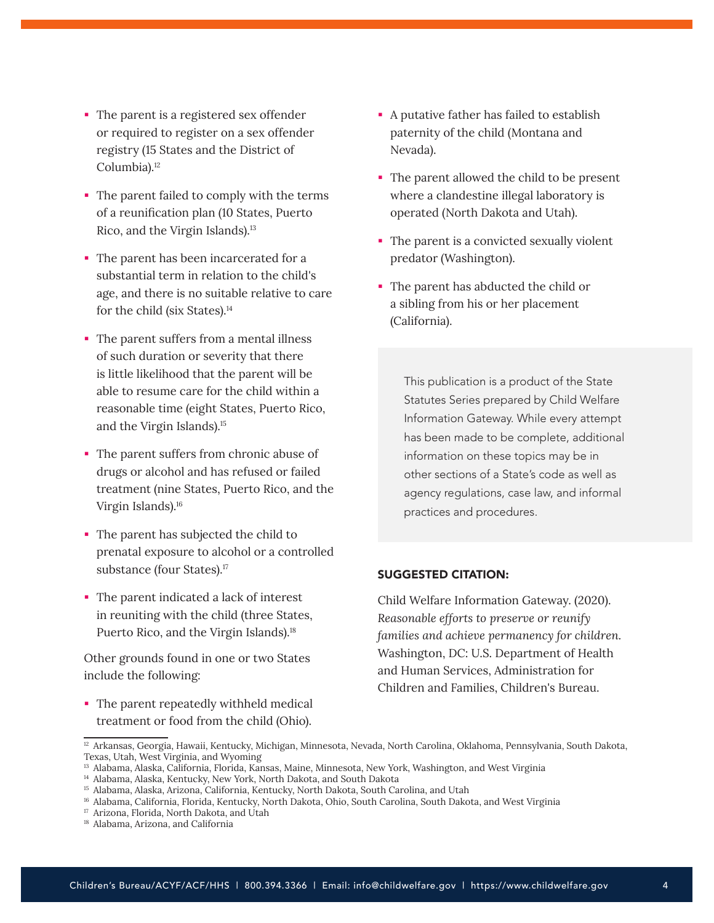- The parent is a registered sex offender or required to register on a sex offender registry (15 States and the District of Columbia).<sup>12</sup>
- The parent failed to comply with the terms of a reunification plan (10 States, Puerto Rico, and the Virgin Islands).13
- The parent has been incarcerated for a substantial term in relation to the child's age, and there is no suitable relative to care for the child (six States).<sup>14</sup>
- The parent suffers from a mental illness of such duration or severity that there is little likelihood that the parent will be able to resume care for the child within a reasonable time (eight States, Puerto Rico, and the Virgin Islands).15
- The parent suffers from chronic abuse of drugs or alcohol and has refused or failed treatment (nine States, Puerto Rico, and the Virgin Islands).16
- The parent has subjected the child to prenatal exposure to alcohol or a controlled substance (four States).<sup>17</sup>
- The parent indicated a lack of interest in reuniting with the child (three States, Puerto Rico, and the Virgin Islands).<sup>18</sup>

Other grounds found in one or two States include the following:

• The parent repeatedly withheld medical treatment or food from the child (Ohio).

- A putative father has failed to establish paternity of the child (Montana and Nevada).
- The parent allowed the child to be present where a clandestine illegal laboratory is operated (North Dakota and Utah).
- The parent is a convicted sexually violent predator (Washington).
- The parent has abducted the child or a sibling from his or her placement (California).

This publication is a product of the State Statutes Series prepared by Child Welfare Information Gateway. While every attempt has been made to be complete, additional information on these topics may be in other sections of a State's code as well as agency regulations, case law, and informal practices and procedures.

## SUGGESTED CITATION:

Child Welfare Information Gateway. (2020). *Reasonable efforts to preserve or reunify families and achieve permanency for children.* Washington, DC: U.S. Department of Health and Human Services, Administration for Children and Families, Children's Bureau.

<sup>&</sup>lt;sup>12</sup> Arkansas, Georgia, Hawaii, Kentucky, Michigan, Minnesota, Nevada, North Carolina, Oklahoma, Pennsylvania, South Dakota, Texas, Utah, West Virginia, and Wyoming

<sup>&</sup>lt;sup>13</sup> Alabama, Alaska, California, Florida, Kansas, Maine, Minnesota, New York, Washington, and West Virginia

<sup>14</sup> Alabama, Alaska, Kentucky, New York, North Dakota, and South Dakota

<sup>15</sup> Alabama, Alaska, Arizona, California, Kentucky, North Dakota, South Carolina, and Utah

<sup>16</sup> Alabama, California, Florida, Kentucky, North Dakota, Ohio, South Carolina, South Dakota, and West Virginia

<sup>&</sup>lt;sup>17</sup> Arizona, Florida, North Dakota, and Utah

<sup>18</sup> Alabama, Arizona, and California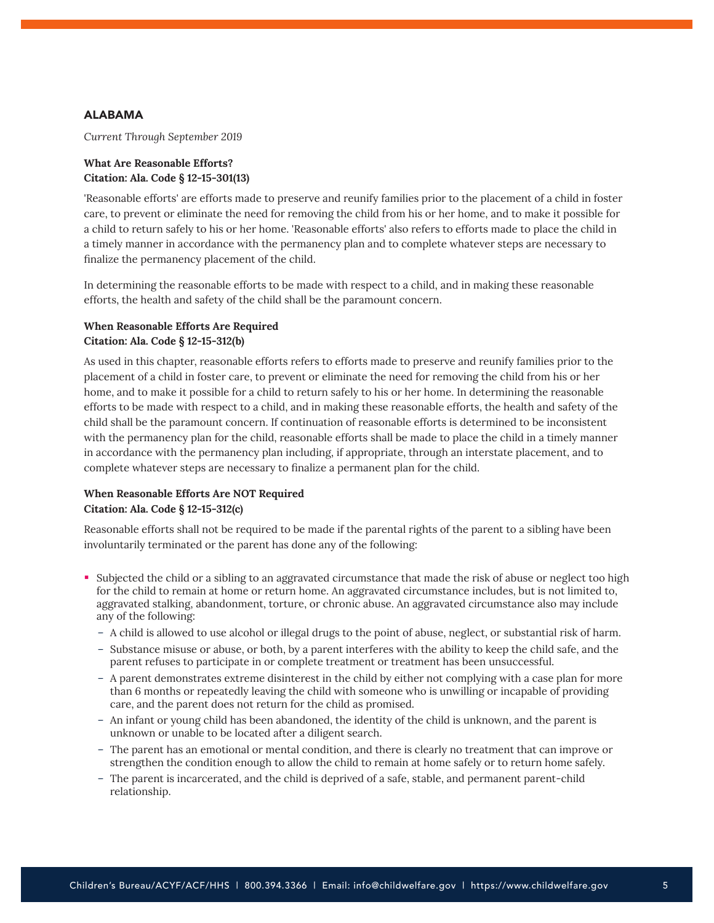## <span id="page-4-0"></span>ALABAMA

*Current Through September 2019*

## **What Are Reasonable Efforts? Citation: Ala. Code § 12-15-301(13)**

'Reasonable efforts' are efforts made to preserve and reunify families prior to the placement of a child in foster care, to prevent or eliminate the need for removing the child from his or her home, and to make it possible for a child to return safely to his or her home. 'Reasonable efforts' also refers to efforts made to place the child in a timely manner in accordance with the permanency plan and to complete whatever steps are necessary to finalize the permanency placement of the child.

In determining the reasonable efforts to be made with respect to a child, and in making these reasonable efforts, the health and safety of the child shall be the paramount concern.

## **When Reasonable Efforts Are Required Citation: Ala. Code § 12-15-312(b)**

As used in this chapter, reasonable efforts refers to efforts made to preserve and reunify families prior to the placement of a child in foster care, to prevent or eliminate the need for removing the child from his or her home, and to make it possible for a child to return safely to his or her home. In determining the reasonable efforts to be made with respect to a child, and in making these reasonable efforts, the health and safety of the child shall be the paramount concern. If continuation of reasonable efforts is determined to be inconsistent with the permanency plan for the child, reasonable efforts shall be made to place the child in a timely manner in accordance with the permanency plan including, if appropriate, through an interstate placement, and to complete whatever steps are necessary to finalize a permanent plan for the child.

# **When Reasonable Efforts Are NOT Required Citation: Ala. Code § 12-15-312(c)**

Reasonable efforts shall not be required to be made if the parental rights of the parent to a sibling have been involuntarily terminated or the parent has done any of the following:

- Subjected the child or a sibling to an aggravated circumstance that made the risk of abuse or neglect too high for the child to remain at home or return home. An aggravated circumstance includes, but is not limited to, aggravated stalking, abandonment, torture, or chronic abuse. An aggravated circumstance also may include any of the following:
	- A child is allowed to use alcohol or illegal drugs to the point of abuse, neglect, or substantial risk of harm.
	- Substance misuse or abuse, or both, by a parent interferes with the ability to keep the child safe, and the parent refuses to participate in or complete treatment or treatment has been unsuccessful.
	- A parent demonstrates extreme disinterest in the child by either not complying with a case plan for more than 6 months or repeatedly leaving the child with someone who is unwilling or incapable of providing care, and the parent does not return for the child as promised.
	- An infant or young child has been abandoned, the identity of the child is unknown, and the parent is unknown or unable to be located after a diligent search.
	- The parent has an emotional or mental condition, and there is clearly no treatment that can improve or strengthen the condition enough to allow the child to remain at home safely or to return home safely.
	- The parent is incarcerated, and the child is deprived of a safe, stable, and permanent parent-child relationship.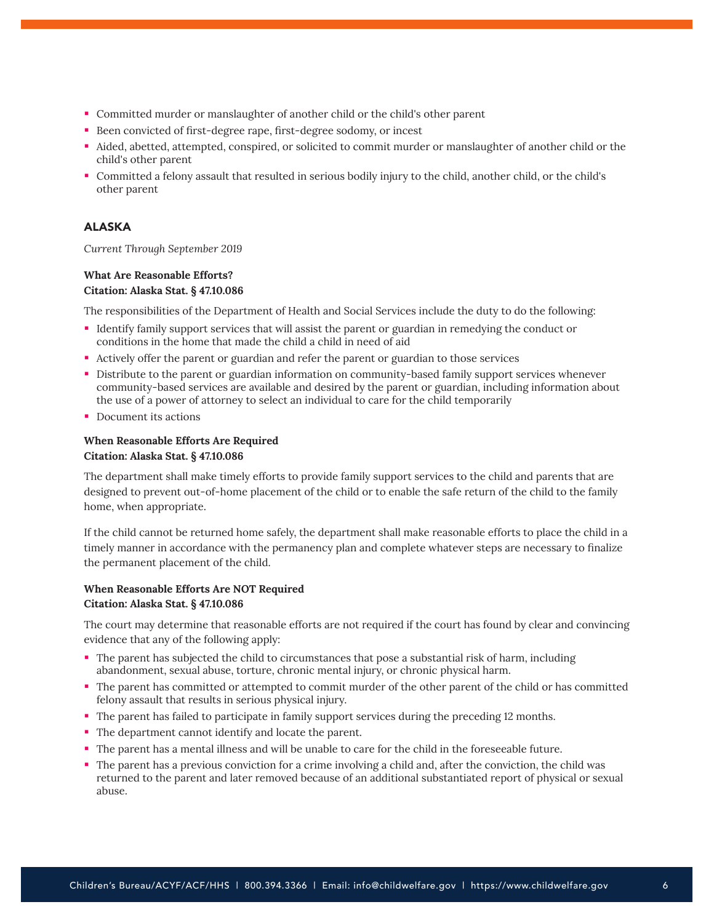- Committed murder or manslaughter of another child or the child's other parent
- Been convicted of first-degree rape, first-degree sodomy, or incest
- Aided, abetted, attempted, conspired, or solicited to commit murder or manslaughter of another child or the child's other parent
- Committed a felony assault that resulted in serious bodily injury to the child, another child, or the child's other parent

## ALASKA

*Current Through September 2019*

## **What Are Reasonable Efforts? Citation: Alaska Stat. § 47.10.086**

The responsibilities of the Department of Health and Social Services include the duty to do the following:

- Identify family support services that will assist the parent or guardian in remedying the conduct or conditions in the home that made the child a child in need of aid
- Actively offer the parent or guardian and refer the parent or guardian to those services
- Distribute to the parent or guardian information on community-based family support services whenever community-based services are available and desired by the parent or guardian, including information about the use of a power of attorney to select an individual to care for the child temporarily
- Document its actions

## **When Reasonable Efforts Are Required Citation: Alaska Stat. § 47.10.086**

The department shall make timely efforts to provide family support services to the child and parents that are designed to prevent out-of-home placement of the child or to enable the safe return of the child to the family home, when appropriate.

If the child cannot be returned home safely, the department shall make reasonable efforts to place the child in a timely manner in accordance with the permanency plan and complete whatever steps are necessary to finalize the permanent placement of the child.

## **When Reasonable Efforts Are NOT Required Citation: Alaska Stat. § 47.10.086**

The court may determine that reasonable efforts are not required if the court has found by clear and convincing evidence that any of the following apply:

- The parent has subjected the child to circumstances that pose a substantial risk of harm, including abandonment, sexual abuse, torture, chronic mental injury, or chronic physical harm.
- The parent has committed or attempted to commit murder of the other parent of the child or has committed felony assault that results in serious physical injury.
- The parent has failed to participate in family support services during the preceding 12 months.
- The department cannot identify and locate the parent.
- The parent has a mental illness and will be unable to care for the child in the foreseeable future.
- The parent has a previous conviction for a crime involving a child and, after the conviction, the child was returned to the parent and later removed because of an additional substantiated report of physical or sexual abuse.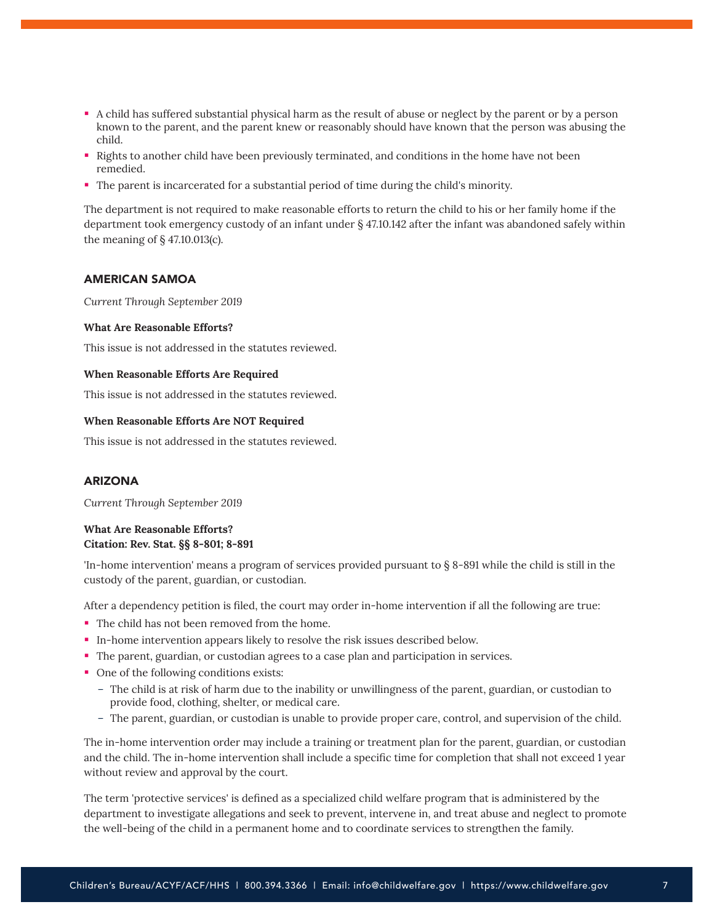- A child has suffered substantial physical harm as the result of abuse or neglect by the parent or by a person known to the parent, and the parent knew or reasonably should have known that the person was abusing the child.
- Rights to another child have been previously terminated, and conditions in the home have not been remedied.
- The parent is incarcerated for a substantial period of time during the child's minority.

The department is not required to make reasonable efforts to return the child to his or her family home if the department took emergency custody of an infant under § 47.10.142 after the infant was abandoned safely within the meaning of § 47.10.013(c).

#### AMERICAN SAMOA

*Current Through September 2019*

#### **What Are Reasonable Efforts?**

This issue is not addressed in the statutes reviewed.

#### **When Reasonable Efforts Are Required**

This issue is not addressed in the statutes reviewed.

#### **When Reasonable Efforts Are NOT Required**

This issue is not addressed in the statutes reviewed.

#### ARIZONA

*Current Through September 2019*

## **What Are Reasonable Efforts? Citation: Rev. Stat. §§ 8-801; 8-891**

'In-home intervention' means a program of services provided pursuant to § 8-891 while the child is still in the custody of the parent, guardian, or custodian.

After a dependency petition is filed, the court may order in-home intervention if all the following are true:

- The child has not been removed from the home.
- In-home intervention appears likely to resolve the risk issues described below.
- The parent, guardian, or custodian agrees to a case plan and participation in services.
- One of the following conditions exists:
	- The child is at risk of harm due to the inability or unwillingness of the parent, guardian, or custodian to provide food, clothing, shelter, or medical care.
	- The parent, guardian, or custodian is unable to provide proper care, control, and supervision of the child.

The in-home intervention order may include a training or treatment plan for the parent, guardian, or custodian and the child. The in-home intervention shall include a specific time for completion that shall not exceed 1 year without review and approval by the court.

The term 'protective services' is defined as a specialized child welfare program that is administered by the department to investigate allegations and seek to prevent, intervene in, and treat abuse and neglect to promote the well-being of the child in a permanent home and to coordinate services to strengthen the family.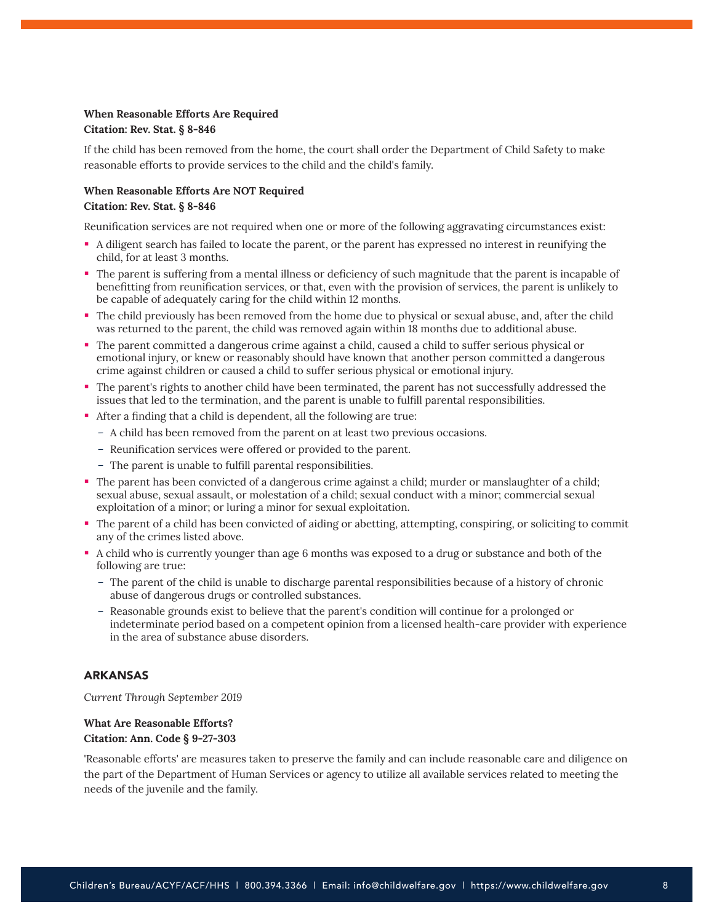## **When Reasonable Efforts Are Required Citation: Rev. Stat. § 8-846**

If the child has been removed from the home, the court shall order the Department of Child Safety to make reasonable efforts to provide services to the child and the child's family.

#### **When Reasonable Efforts Are NOT Required Citation: Rev. Stat. § 8-846**

Reunification services are not required when one or more of the following aggravating circumstances exist:

- A diligent search has failed to locate the parent, or the parent has expressed no interest in reunifying the child, for at least 3 months.
- The parent is suffering from a mental illness or deficiency of such magnitude that the parent is incapable of benefitting from reunification services, or that, even with the provision of services, the parent is unlikely to be capable of adequately caring for the child within 12 months.
- The child previously has been removed from the home due to physical or sexual abuse, and, after the child was returned to the parent, the child was removed again within 18 months due to additional abuse.
- The parent committed a dangerous crime against a child, caused a child to suffer serious physical or emotional injury, or knew or reasonably should have known that another person committed a dangerous crime against children or caused a child to suffer serious physical or emotional injury.
- The parent's rights to another child have been terminated, the parent has not successfully addressed the issues that led to the termination, and the parent is unable to fulfill parental responsibilities.
- After a finding that a child is dependent, all the following are true:
	- A child has been removed from the parent on at least two previous occasions.
	- Reunification services were offered or provided to the parent.
	- The parent is unable to fulfill parental responsibilities.
- The parent has been convicted of a dangerous crime against a child; murder or manslaughter of a child; sexual abuse, sexual assault, or molestation of a child; sexual conduct with a minor; commercial sexual exploitation of a minor; or luring a minor for sexual exploitation.
- The parent of a child has been convicted of aiding or abetting, attempting, conspiring, or soliciting to commit any of the crimes listed above.
- A child who is currently younger than age 6 months was exposed to a drug or substance and both of the following are true:
	- The parent of the child is unable to discharge parental responsibilities because of a history of chronic abuse of dangerous drugs or controlled substances.
	- Reasonable grounds exist to believe that the parent's condition will continue for a prolonged or indeterminate period based on a competent opinion from a licensed health-care provider with experience in the area of substance abuse disorders.

#### ARKANSAS

*Current Through September 2019*

#### **What Are Reasonable Efforts? Citation: Ann. Code § 9-27-303**

'Reasonable efforts' are measures taken to preserve the family and can include reasonable care and diligence on the part of the Department of Human Services or agency to utilize all available services related to meeting the needs of the juvenile and the family.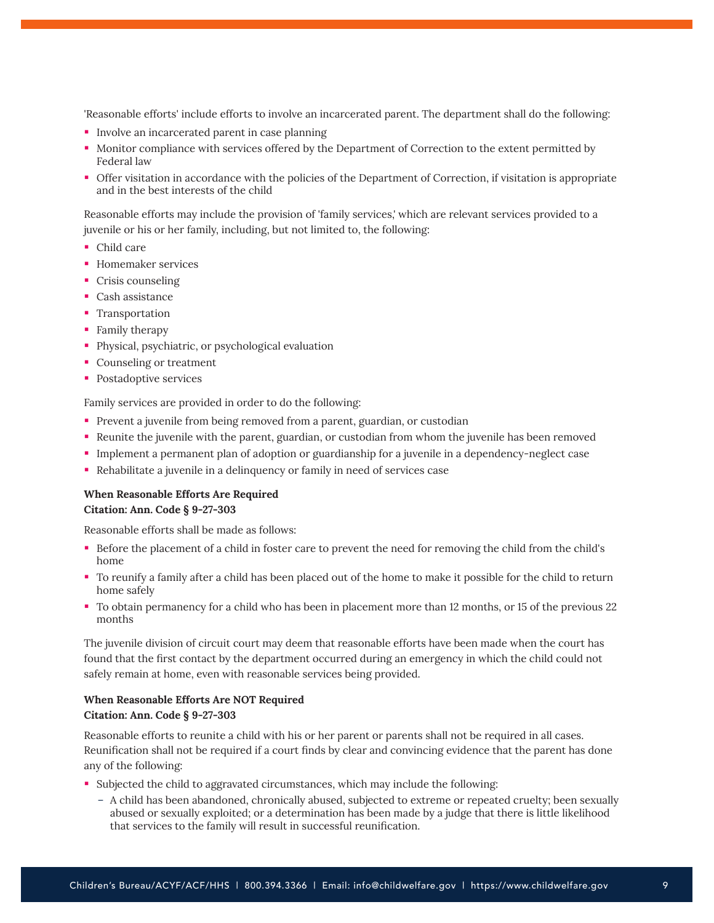'Reasonable efforts' include efforts to involve an incarcerated parent. The department shall do the following:

- **IDUAN** Involve an incarcerated parent in case planning
- Monitor compliance with services offered by the Department of Correction to the extent permitted by Federal law
- Offer visitation in accordance with the policies of the Department of Correction, if visitation is appropriate and in the best interests of the child

Reasonable efforts may include the provision of 'family services,' which are relevant services provided to a juvenile or his or her family, including, but not limited to, the following:

- Child care
- **Homemaker services**
- Crisis counseling
- Cash assistance
- **Transportation**
- Family therapy
- **Physical, psychiatric, or psychological evaluation**
- Counseling or treatment
- **•** Postadoptive services

Family services are provided in order to do the following:

- Prevent a juvenile from being removed from a parent, guardian, or custodian
- Reunite the juvenile with the parent, guardian, or custodian from whom the juvenile has been removed
- Implement a permanent plan of adoption or guardianship for a juvenile in a dependency-neglect case
- Rehabilitate a juvenile in a delinquency or family in need of services case

**When Reasonable Efforts Are Required Citation: Ann. Code § 9-27-303**

Reasonable efforts shall be made as follows:

- Before the placement of a child in foster care to prevent the need for removing the child from the child's home
- To reunify a family after a child has been placed out of the home to make it possible for the child to return home safely
- To obtain permanency for a child who has been in placement more than 12 months, or 15 of the previous 22 months

The juvenile division of circuit court may deem that reasonable efforts have been made when the court has found that the first contact by the department occurred during an emergency in which the child could not safely remain at home, even with reasonable services being provided.

## **When Reasonable Efforts Are NOT Required Citation: Ann. Code § 9-27-303**

Reasonable efforts to reunite a child with his or her parent or parents shall not be required in all cases. Reunification shall not be required if a court finds by clear and convincing evidence that the parent has done any of the following:

- Subjected the child to aggravated circumstances, which may include the following:
	- A child has been abandoned, chronically abused, subjected to extreme or repeated cruelty; been sexually abused or sexually exploited; or a determination has been made by a judge that there is little likelihood that services to the family will result in successful reunification.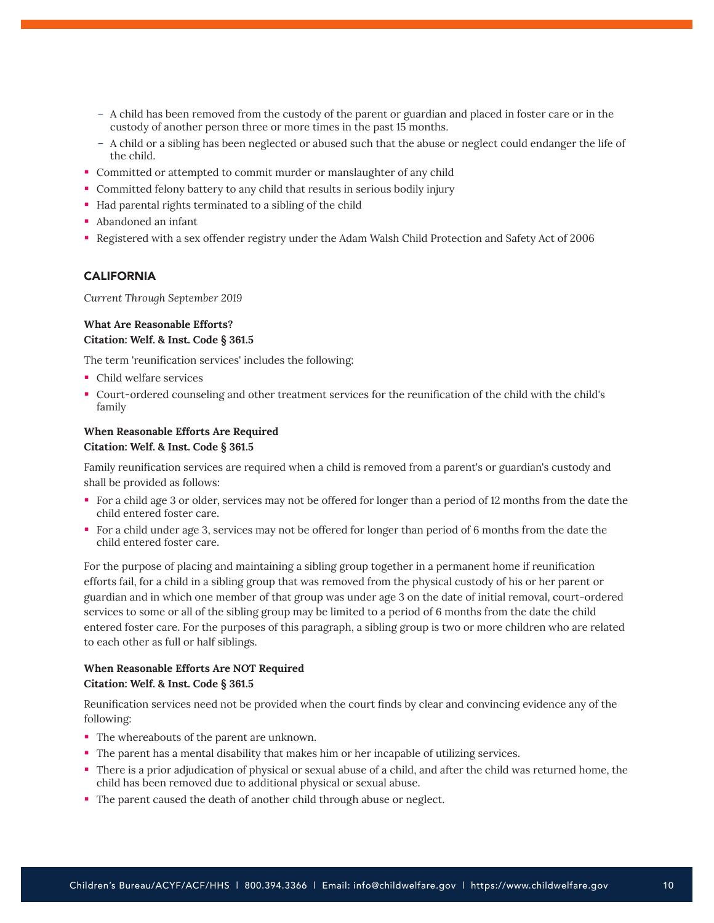- A child has been removed from the custody of the parent or guardian and placed in foster care or in the custody of another person three or more times in the past 15 months.
- A child or a sibling has been neglected or abused such that the abuse or neglect could endanger the life of the child.
- Committed or attempted to commit murder or manslaughter of any child
- Committed felony battery to any child that results in serious bodily injury
- Had parental rights terminated to a sibling of the child
- Abandoned an infant
- Registered with a sex offender registry under the Adam Walsh Child Protection and Safety Act of 2006

## CALIFORNIA

*Current Through September 2019*

## **What Are Reasonable Efforts? Citation: Welf. & Inst. Code § 361.5**

The term 'reunification services' includes the following:

- Child welfare services
- Court-ordered counseling and other treatment services for the reunification of the child with the child's family

## **When Reasonable Efforts Are Required**

## **Citation: Welf. & Inst. Code § 361.5**

Family reunification services are required when a child is removed from a parent's or guardian's custody and shall be provided as follows:

- For a child age 3 or older, services may not be offered for longer than a period of 12 months from the date the child entered foster care.
- For a child under age 3, services may not be offered for longer than period of 6 months from the date the child entered foster care.

For the purpose of placing and maintaining a sibling group together in a permanent home if reunification efforts fail, for a child in a sibling group that was removed from the physical custody of his or her parent or guardian and in which one member of that group was under age 3 on the date of initial removal, court-ordered services to some or all of the sibling group may be limited to a period of 6 months from the date the child entered foster care. For the purposes of this paragraph, a sibling group is two or more children who are related to each other as full or half siblings.

## **When Reasonable Efforts Are NOT Required Citation: Welf. & Inst. Code § 361.5**

Reunification services need not be provided when the court finds by clear and convincing evidence any of the following:

- The whereabouts of the parent are unknown.
- The parent has a mental disability that makes him or her incapable of utilizing services.
- There is a prior adjudication of physical or sexual abuse of a child, and after the child was returned home, the child has been removed due to additional physical or sexual abuse.
- The parent caused the death of another child through abuse or neglect.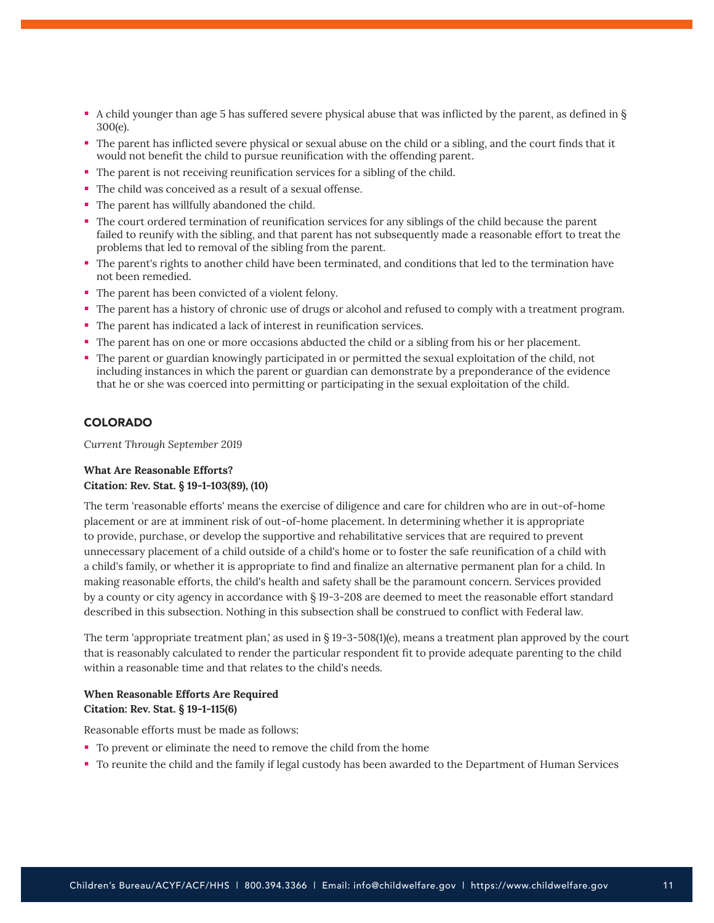- A child younger than age 5 has suffered severe physical abuse that was inflicted by the parent, as defined in § 300(e).
- The parent has inflicted severe physical or sexual abuse on the child or a sibling, and the court finds that it would not benefit the child to pursue reunification with the offending parent.
- The parent is not receiving reunification services for a sibling of the child.
- The child was conceived as a result of a sexual offense.
- The parent has willfully abandoned the child.
- The court ordered termination of reunification services for any siblings of the child because the parent failed to reunify with the sibling, and that parent has not subsequently made a reasonable effort to treat the problems that led to removal of the sibling from the parent.
- The parent's rights to another child have been terminated, and conditions that led to the termination have not been remedied.
- The parent has been convicted of a violent felony.
- The parent has a history of chronic use of drugs or alcohol and refused to comply with a treatment program.
- The parent has indicated a lack of interest in reunification services.
- The parent has on one or more occasions abducted the child or a sibling from his or her placement.
- The parent or guardian knowingly participated in or permitted the sexual exploitation of the child, not including instances in which the parent or guardian can demonstrate by a preponderance of the evidence that he or she was coerced into permitting or participating in the sexual exploitation of the child.

#### COLORADO

*Current Through September 2019*

#### **What Are Reasonable Efforts? Citation: Rev. Stat. § 19-1-103(89), (10)**

The term 'reasonable efforts' means the exercise of diligence and care for children who are in out-of-home placement or are at imminent risk of out-of-home placement. In determining whether it is appropriate to provide, purchase, or develop the supportive and rehabilitative services that are required to prevent unnecessary placement of a child outside of a child's home or to foster the safe reunification of a child with a child's family, or whether it is appropriate to find and finalize an alternative permanent plan for a child. In making reasonable efforts, the child's health and safety shall be the paramount concern. Services provided by a county or city agency in accordance with § 19-3-208 are deemed to meet the reasonable effort standard described in this subsection. Nothing in this subsection shall be construed to conflict with Federal law.

The term 'appropriate treatment plan,' as used in § 19-3-508(1)(e), means a treatment plan approved by the court that is reasonably calculated to render the particular respondent fit to provide adequate parenting to the child within a reasonable time and that relates to the child's needs.

## **When Reasonable Efforts Are Required Citation: Rev. Stat. § 19-1-115(6)**

Reasonable efforts must be made as follows:

- To prevent or eliminate the need to remove the child from the home
- To reunite the child and the family if legal custody has been awarded to the Department of Human Services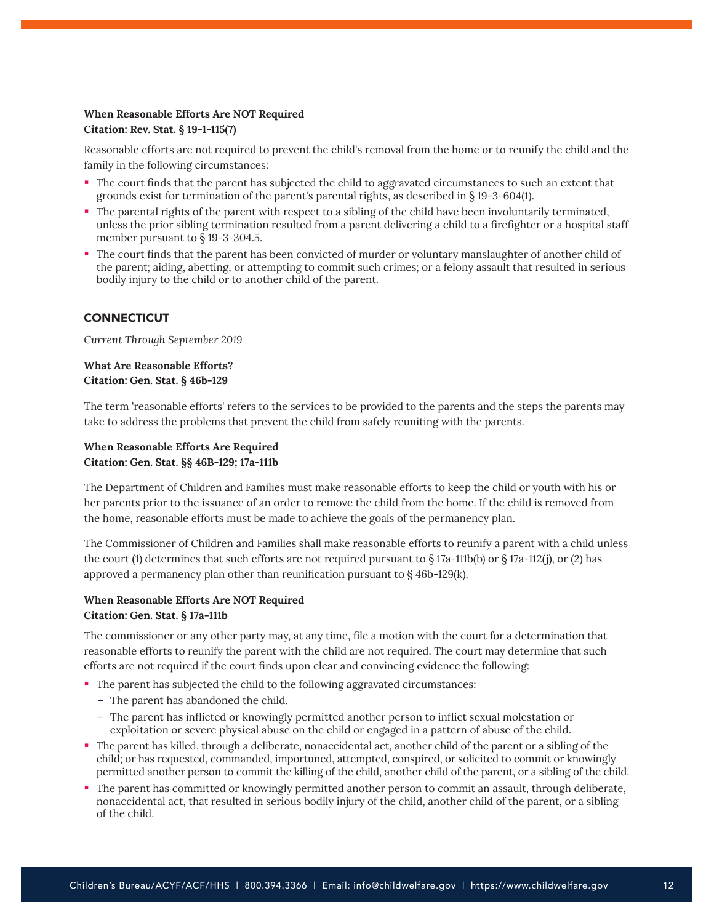## **When Reasonable Efforts Are NOT Required Citation: Rev. Stat. § 19-1-115(7)**

Reasonable efforts are not required to prevent the child's removal from the home or to reunify the child and the family in the following circumstances:

- The court finds that the parent has subjected the child to aggravated circumstances to such an extent that grounds exist for termination of the parent's parental rights, as described in § 19-3-604(1).
- The parental rights of the parent with respect to a sibling of the child have been involuntarily terminated, unless the prior sibling termination resulted from a parent delivering a child to a firefighter or a hospital staff member pursuant to § 19-3-304.5.
- The court finds that the parent has been convicted of murder or voluntary manslaughter of another child of the parent; aiding, abetting, or attempting to commit such crimes; or a felony assault that resulted in serious bodily injury to the child or to another child of the parent.

## **CONNECTICUT**

*Current Through September 2019*

**What Are Reasonable Efforts? Citation: Gen. Stat. § 46b-129**

The term 'reasonable efforts' refers to the services to be provided to the parents and the steps the parents may take to address the problems that prevent the child from safely reuniting with the parents.

## **When Reasonable Efforts Are Required Citation: Gen. Stat. §§ 46B-129; 17a-111b**

The Department of Children and Families must make reasonable efforts to keep the child or youth with his or her parents prior to the issuance of an order to remove the child from the home. If the child is removed from the home, reasonable efforts must be made to achieve the goals of the permanency plan.

The Commissioner of Children and Families shall make reasonable efforts to reunify a parent with a child unless the court (1) determines that such efforts are not required pursuant to  $\S 17a-111b(b)$  or  $\S 17a-112(i)$ , or (2) has approved a permanency plan other than reunification pursuant to § 46b-129(k).

## **When Reasonable Efforts Are NOT Required Citation: Gen. Stat. § 17a-111b**

The commissioner or any other party may, at any time, file a motion with the court for a determination that reasonable efforts to reunify the parent with the child are not required. The court may determine that such efforts are not required if the court finds upon clear and convincing evidence the following:

- The parent has subjected the child to the following aggravated circumstances:
	- The parent has abandoned the child.
	- The parent has inflicted or knowingly permitted another person to inflict sexual molestation or exploitation or severe physical abuse on the child or engaged in a pattern of abuse of the child.
- The parent has killed, through a deliberate, nonaccidental act, another child of the parent or a sibling of the child; or has requested, commanded, importuned, attempted, conspired, or solicited to commit or knowingly permitted another person to commit the killing of the child, another child of the parent, or a sibling of the child.
- The parent has committed or knowingly permitted another person to commit an assault, through deliberate, nonaccidental act, that resulted in serious bodily injury of the child, another child of the parent, or a sibling of the child.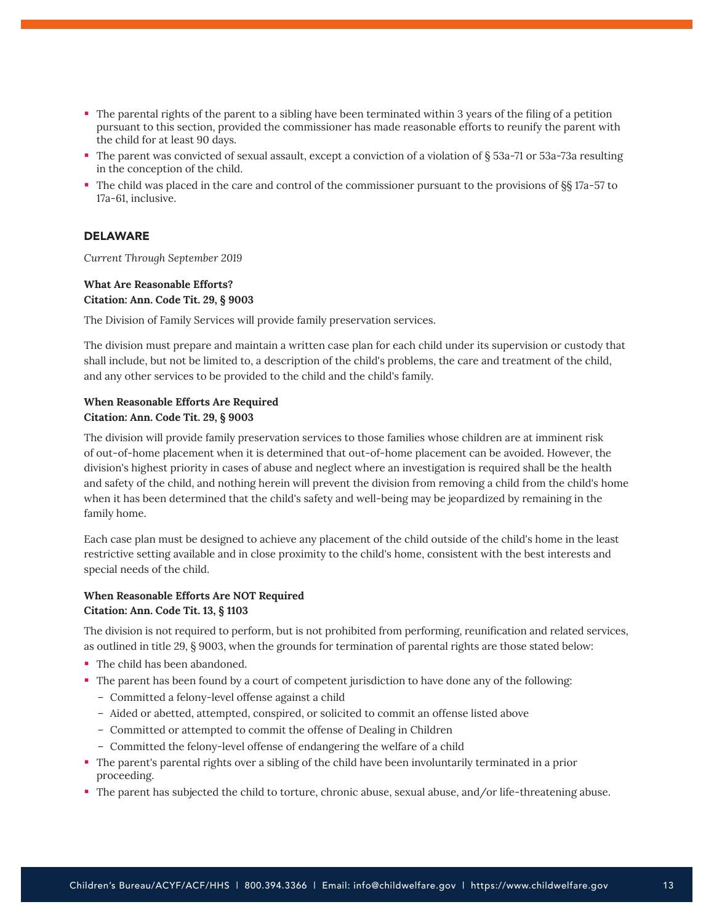- The parental rights of the parent to a sibling have been terminated within 3 years of the filing of a petition pursuant to this section, provided the commissioner has made reasonable efforts to reunify the parent with the child for at least 90 days.
- The parent was convicted of sexual assault, except a conviction of a violation of § 53a-71 or 53a-73a resulting in the conception of the child.
- The child was placed in the care and control of the commissioner pursuant to the provisions of §§ 17a-57 to 17a-61, inclusive.

#### DELAWARE

*Current Through September 2019*

## **What Are Reasonable Efforts? Citation: Ann. Code Tit. 29, § 9003**

The Division of Family Services will provide family preservation services.

The division must prepare and maintain a written case plan for each child under its supervision or custody that shall include, but not be limited to, a description of the child's problems, the care and treatment of the child, and any other services to be provided to the child and the child's family.

## **When Reasonable Efforts Are Required Citation: Ann. Code Tit. 29, § 9003**

The division will provide family preservation services to those families whose children are at imminent risk of out-of-home placement when it is determined that out-of-home placement can be avoided. However, the division's highest priority in cases of abuse and neglect where an investigation is required shall be the health and safety of the child, and nothing herein will prevent the division from removing a child from the child's home when it has been determined that the child's safety and well-being may be jeopardized by remaining in the family home.

Each case plan must be designed to achieve any placement of the child outside of the child's home in the least restrictive setting available and in close proximity to the child's home, consistent with the best interests and special needs of the child.

## **When Reasonable Efforts Are NOT Required Citation: Ann. Code Tit. 13, § 1103**

The division is not required to perform, but is not prohibited from performing, reunification and related services, as outlined in title 29, § 9003, when the grounds for termination of parental rights are those stated below:

- The child has been abandoned.
- The parent has been found by a court of competent jurisdiction to have done any of the following:
	- Committed a felony-level offense against a child
	- Aided or abetted, attempted, conspired, or solicited to commit an offense listed above
	- Committed or attempted to commit the offense of Dealing in Children
	- Committed the felony-level offense of endangering the welfare of a child
- The parent's parental rights over a sibling of the child have been involuntarily terminated in a prior proceeding.
- The parent has subjected the child to torture, chronic abuse, sexual abuse, and/or life-threatening abuse.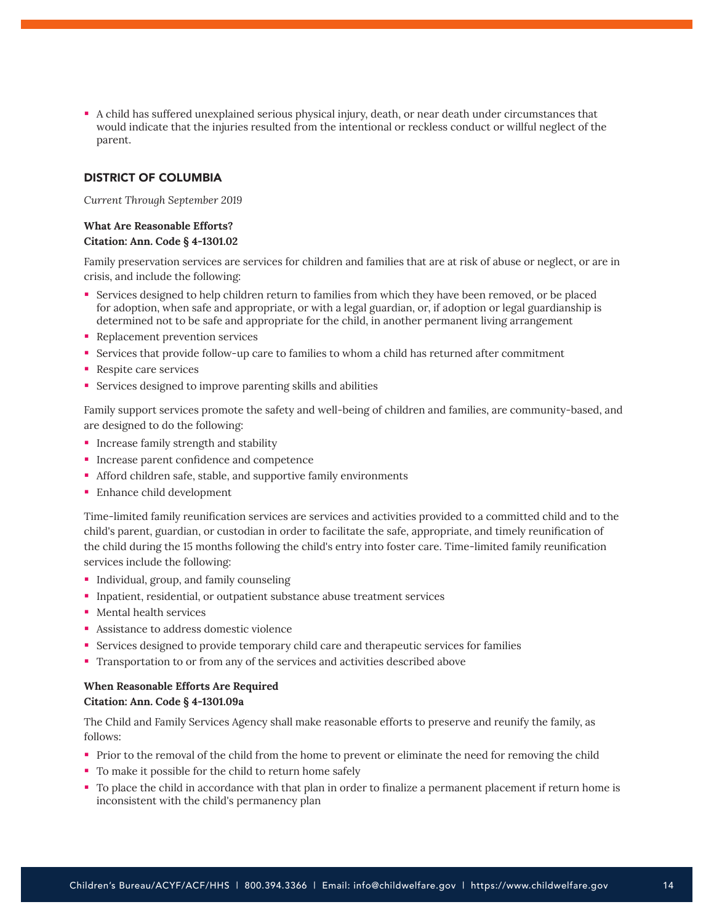A child has suffered unexplained serious physical injury, death, or near death under circumstances that would indicate that the injuries resulted from the intentional or reckless conduct or willful neglect of the parent.

#### DISTRICT OF COLUMBIA

*Current Through September 2019*

## **What Are Reasonable Efforts? Citation: Ann. Code § 4-1301.02**

Family preservation services are services for children and families that are at risk of abuse or neglect, or are in crisis, and include the following:

- Services designed to help children return to families from which they have been removed, or be placed for adoption, when safe and appropriate, or with a legal guardian, or, if adoption or legal guardianship is determined not to be safe and appropriate for the child, in another permanent living arrangement
- Replacement prevention services
- Services that provide follow-up care to families to whom a child has returned after commitment
- **Respite care services**
- Services designed to improve parenting skills and abilities

Family support services promote the safety and well-being of children and families, are community-based, and are designed to do the following:

- **Increase family strength and stability**
- **Increase parent confidence and competence**
- Afford children safe, stable, and supportive family environments
- **Enhance child development**

Time-limited family reunification services are services and activities provided to a committed child and to the child's parent, guardian, or custodian in order to facilitate the safe, appropriate, and timely reunification of the child during the 15 months following the child's entry into foster care. Time-limited family reunification services include the following:

- **Individual, group, and family counseling**
- Inpatient, residential, or outpatient substance abuse treatment services
- Mental health services
- **Assistance to address domestic violence**
- Services designed to provide temporary child care and therapeutic services for families
- Transportation to or from any of the services and activities described above

## **When Reasonable Efforts Are Required Citation: Ann. Code § 4-1301.09a**

The Child and Family Services Agency shall make reasonable efforts to preserve and reunify the family, as follows:

- Prior to the removal of the child from the home to prevent or eliminate the need for removing the child
- To make it possible for the child to return home safely
- To place the child in accordance with that plan in order to finalize a permanent placement if return home is inconsistent with the child's permanency plan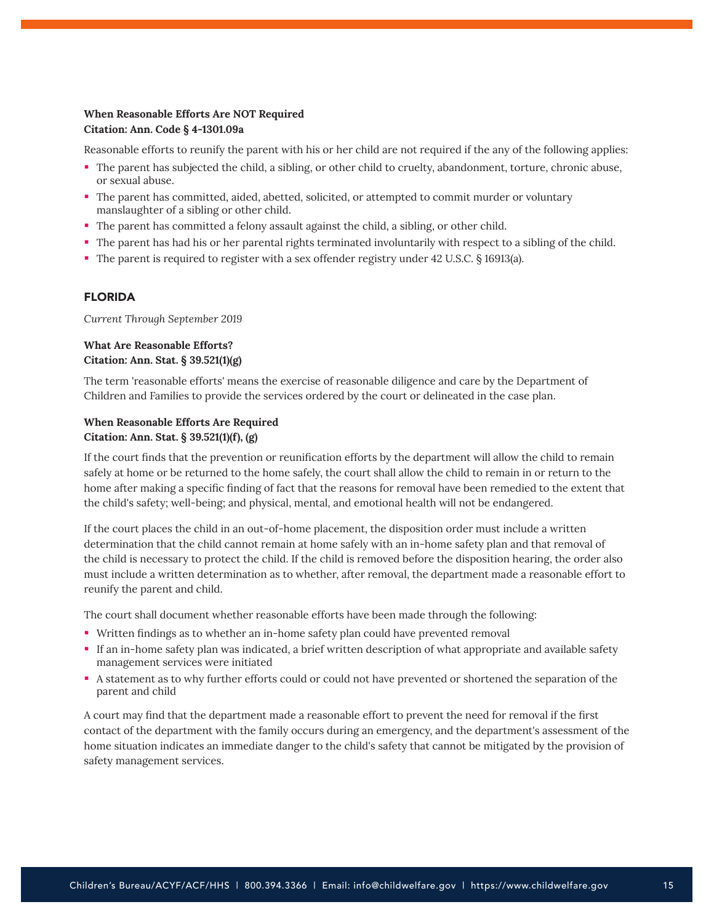## **When Reasonable Efforts Are NOT Required Citation: Ann. Code § 4-1301.09a**

Reasonable efforts to reunify the parent with his or her child are not required if the any of the following applies:

- The parent has subjected the child, a sibling, or other child to cruelty, abandonment, torture, chronic abuse, or sexual abuse.
- The parent has committed, aided, abetted, solicited, or attempted to commit murder or voluntary manslaughter of a sibling or other child.
- The parent has committed a felony assault against the child, a sibling, or other child.
- The parent has had his or her parental rights terminated involuntarily with respect to a sibling of the child.
- The parent is required to register with a sex offender registry under 42 U.S.C. § 16913(a).

#### FLORIDA

*Current Through September 2019*

## **What Are Reasonable Efforts? Citation: Ann. Stat. § 39.521(1)(g)**

The term 'reasonable efforts' means the exercise of reasonable diligence and care by the Department of Children and Families to provide the services ordered by the court or delineated in the case plan.

## **When Reasonable Efforts Are Required Citation: Ann. Stat. § 39.521(1)(f), (g)**

If the court finds that the prevention or reunification efforts by the department will allow the child to remain safely at home or be returned to the home safely, the court shall allow the child to remain in or return to the home after making a specific finding of fact that the reasons for removal have been remedied to the extent that the child's safety; well-being; and physical, mental, and emotional health will not be endangered.

If the court places the child in an out-of-home placement, the disposition order must include a written determination that the child cannot remain at home safely with an in-home safety plan and that removal of the child is necessary to protect the child. If the child is removed before the disposition hearing, the order also must include a written determination as to whether, after removal, the department made a reasonable effort to reunify the parent and child.

The court shall document whether reasonable efforts have been made through the following:

- Written findings as to whether an in-home safety plan could have prevented removal
- If an in-home safety plan was indicated, a brief written description of what appropriate and available safety management services were initiated
- A statement as to why further efforts could or could not have prevented or shortened the separation of the parent and child

A court may find that the department made a reasonable effort to prevent the need for removal if the first contact of the department with the family occurs during an emergency, and the department's assessment of the home situation indicates an immediate danger to the child's safety that cannot be mitigated by the provision of safety management services.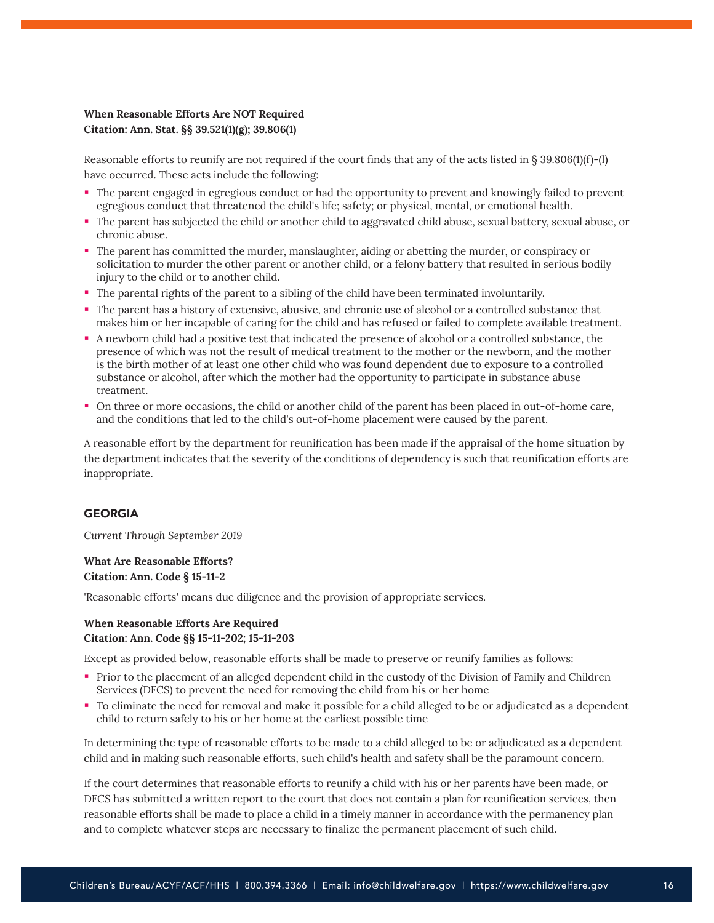## **When Reasonable Efforts Are NOT Required Citation: Ann. Stat. §§ 39.521(1)(g); 39.806(1)**

Reasonable efforts to reunify are not required if the court finds that any of the acts listed in  $\S 39.806(1)(f)$ -(l) have occurred. These acts include the following:

- The parent engaged in egregious conduct or had the opportunity to prevent and knowingly failed to prevent egregious conduct that threatened the child's life; safety; or physical, mental, or emotional health.
- The parent has subjected the child or another child to aggravated child abuse, sexual battery, sexual abuse, or chronic abuse.
- The parent has committed the murder, manslaughter, aiding or abetting the murder, or conspiracy or solicitation to murder the other parent or another child, or a felony battery that resulted in serious bodily injury to the child or to another child.
- The parental rights of the parent to a sibling of the child have been terminated involuntarily.
- The parent has a history of extensive, abusive, and chronic use of alcohol or a controlled substance that makes him or her incapable of caring for the child and has refused or failed to complete available treatment.
- A newborn child had a positive test that indicated the presence of alcohol or a controlled substance, the presence of which was not the result of medical treatment to the mother or the newborn, and the mother is the birth mother of at least one other child who was found dependent due to exposure to a controlled substance or alcohol, after which the mother had the opportunity to participate in substance abuse treatment.
- On three or more occasions, the child or another child of the parent has been placed in out-of-home care, and the conditions that led to the child's out-of-home placement were caused by the parent.

A reasonable effort by the department for reunification has been made if the appraisal of the home situation by the department indicates that the severity of the conditions of dependency is such that reunification efforts are inappropriate.

## GEORGIA

*Current Through September 2019*

## **What Are Reasonable Efforts? Citation: Ann. Code § 15-11-2**

'Reasonable efforts' means due diligence and the provision of appropriate services.

#### **When Reasonable Efforts Are Required Citation: Ann. Code §§ 15-11-202; 15-11-203**

Except as provided below, reasonable efforts shall be made to preserve or reunify families as follows:

- Prior to the placement of an alleged dependent child in the custody of the Division of Family and Children Services (DFCS) to prevent the need for removing the child from his or her home
- To eliminate the need for removal and make it possible for a child alleged to be or adjudicated as a dependent child to return safely to his or her home at the earliest possible time

In determining the type of reasonable efforts to be made to a child alleged to be or adjudicated as a dependent child and in making such reasonable efforts, such child's health and safety shall be the paramount concern.

If the court determines that reasonable efforts to reunify a child with his or her parents have been made, or DFCS has submitted a written report to the court that does not contain a plan for reunification services, then reasonable efforts shall be made to place a child in a timely manner in accordance with the permanency plan and to complete whatever steps are necessary to finalize the permanent placement of such child.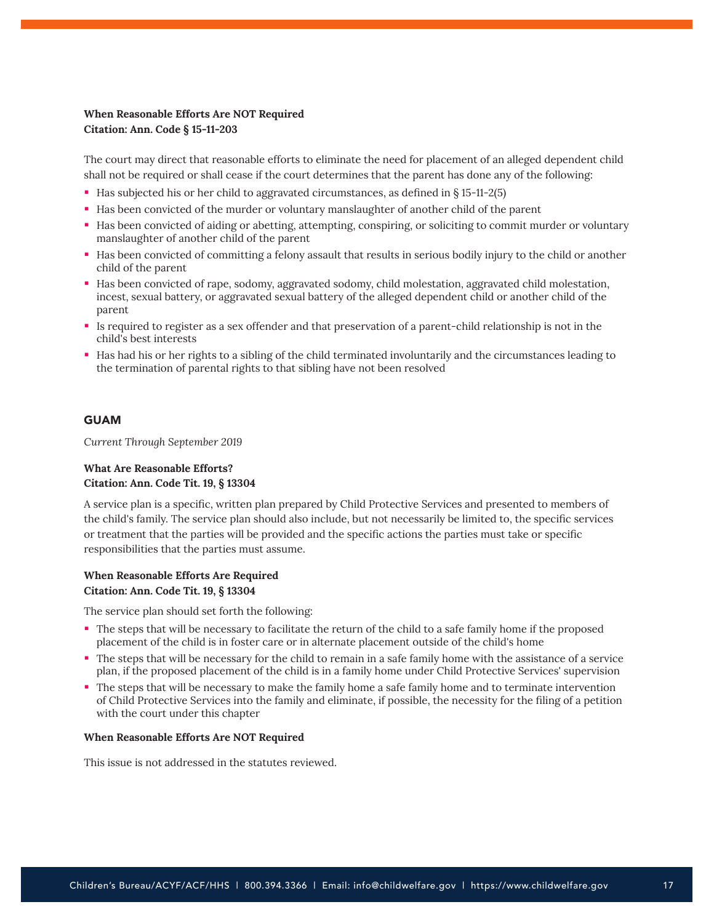## **When Reasonable Efforts Are NOT Required Citation: Ann. Code § 15-11-203**

The court may direct that reasonable efforts to eliminate the need for placement of an alleged dependent child shall not be required or shall cease if the court determines that the parent has done any of the following:

- Has subjected his or her child to aggravated circumstances, as defined in § 15-11-2(5)
- Has been convicted of the murder or voluntary manslaughter of another child of the parent
- Has been convicted of aiding or abetting, attempting, conspiring, or soliciting to commit murder or voluntary manslaughter of another child of the parent
- Has been convicted of committing a felony assault that results in serious bodily injury to the child or another child of the parent
- Has been convicted of rape, sodomy, aggravated sodomy, child molestation, aggravated child molestation, incest, sexual battery, or aggravated sexual battery of the alleged dependent child or another child of the parent
- Is required to register as a sex offender and that preservation of a parent-child relationship is not in the child's best interests
- Has had his or her rights to a sibling of the child terminated involuntarily and the circumstances leading to the termination of parental rights to that sibling have not been resolved

#### GUAM

*Current Through September 2019*

## **What Are Reasonable Efforts? Citation: Ann. Code Tit. 19, § 13304**

A service plan is a specific, written plan prepared by Child Protective Services and presented to members of the child's family. The service plan should also include, but not necessarily be limited to, the specific services or treatment that the parties will be provided and the specific actions the parties must take or specific responsibilities that the parties must assume.

#### **When Reasonable Efforts Are Required Citation: Ann. Code Tit. 19, § 13304**

The service plan should set forth the following:

- The steps that will be necessary to facilitate the return of the child to a safe family home if the proposed placement of the child is in foster care or in alternate placement outside of the child's home
- The steps that will be necessary for the child to remain in a safe family home with the assistance of a service plan, if the proposed placement of the child is in a family home under Child Protective Services' supervision
- The steps that will be necessary to make the family home a safe family home and to terminate intervention of Child Protective Services into the family and eliminate, if possible, the necessity for the filing of a petition with the court under this chapter

#### **When Reasonable Efforts Are NOT Required**

This issue is not addressed in the statutes reviewed.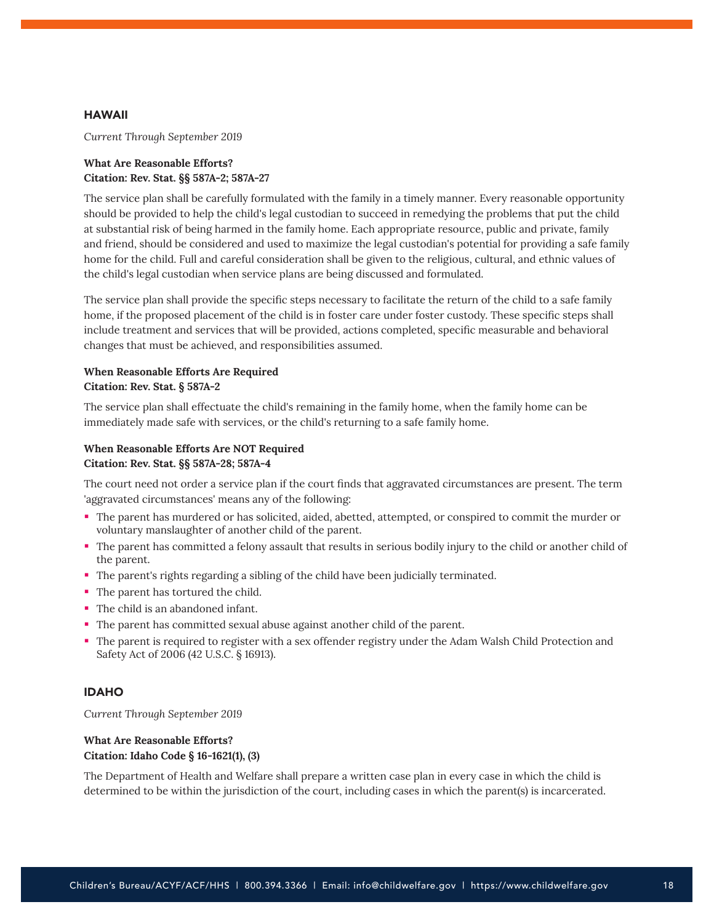#### HAWAII

*Current Through September 2019*

## **What Are Reasonable Efforts? Citation: Rev. Stat. §§ 587A-2; 587A-27**

The service plan shall be carefully formulated with the family in a timely manner. Every reasonable opportunity should be provided to help the child's legal custodian to succeed in remedying the problems that put the child at substantial risk of being harmed in the family home. Each appropriate resource, public and private, family and friend, should be considered and used to maximize the legal custodian's potential for providing a safe family home for the child. Full and careful consideration shall be given to the religious, cultural, and ethnic values of the child's legal custodian when service plans are being discussed and formulated.

The service plan shall provide the specific steps necessary to facilitate the return of the child to a safe family home, if the proposed placement of the child is in foster care under foster custody. These specific steps shall include treatment and services that will be provided, actions completed, specific measurable and behavioral changes that must be achieved, and responsibilities assumed.

## **When Reasonable Efforts Are Required Citation: Rev. Stat. § 587A-2**

The service plan shall effectuate the child's remaining in the family home, when the family home can be immediately made safe with services, or the child's returning to a safe family home.

## **When Reasonable Efforts Are NOT Required Citation: Rev. Stat. §§ 587A-28; 587A-4**

The court need not order a service plan if the court finds that aggravated circumstances are present. The term 'aggravated circumstances' means any of the following:

- The parent has murdered or has solicited, aided, abetted, attempted, or conspired to commit the murder or voluntary manslaughter of another child of the parent.
- The parent has committed a felony assault that results in serious bodily injury to the child or another child of the parent.
- The parent's rights regarding a sibling of the child have been judicially terminated.
- The parent has tortured the child.
- The child is an abandoned infant.
- The parent has committed sexual abuse against another child of the parent.
- The parent is required to register with a sex offender registry under the Adam Walsh Child Protection and Safety Act of 2006 (42 U.S.C. § 16913).

## IDAHO

*Current Through September 2019*

## **What Are Reasonable Efforts? Citation: Idaho Code § 16-1621(1), (3)**

The Department of Health and Welfare shall prepare a written case plan in every case in which the child is determined to be within the jurisdiction of the court, including cases in which the parent(s) is incarcerated.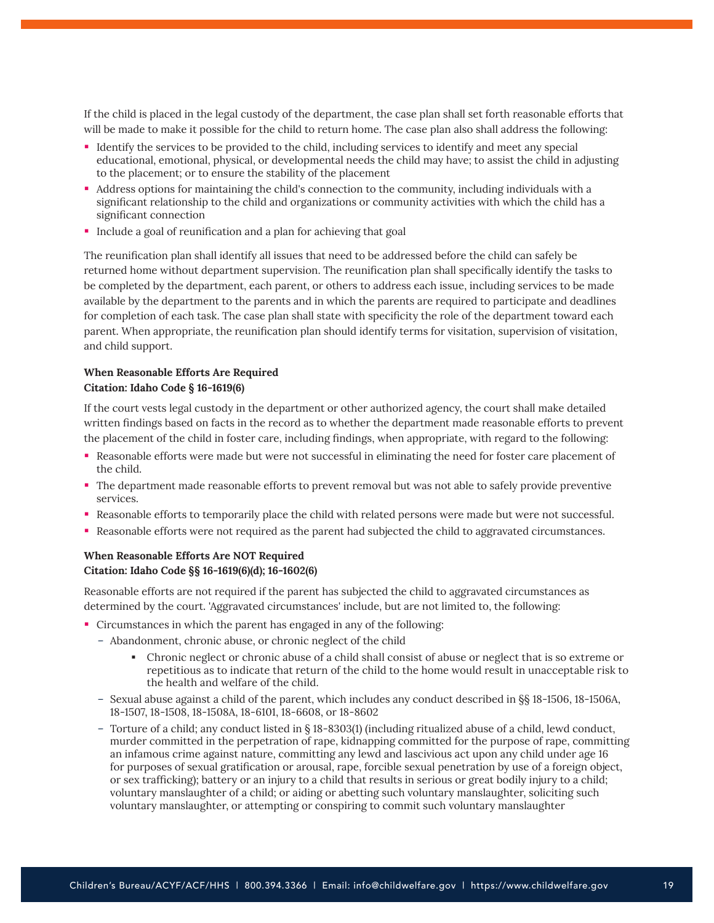If the child is placed in the legal custody of the department, the case plan shall set forth reasonable efforts that will be made to make it possible for the child to return home. The case plan also shall address the following:

- Identify the services to be provided to the child, including services to identify and meet any special educational, emotional, physical, or developmental needs the child may have; to assist the child in adjusting to the placement; or to ensure the stability of the placement
- Address options for maintaining the child's connection to the community, including individuals with a significant relationship to the child and organizations or community activities with which the child has a significant connection
- Include a goal of reunification and a plan for achieving that goal

The reunification plan shall identify all issues that need to be addressed before the child can safely be returned home without department supervision. The reunification plan shall specifically identify the tasks to be completed by the department, each parent, or others to address each issue, including services to be made available by the department to the parents and in which the parents are required to participate and deadlines for completion of each task. The case plan shall state with specificity the role of the department toward each parent. When appropriate, the reunification plan should identify terms for visitation, supervision of visitation, and child support.

## **When Reasonable Efforts Are Required Citation: Idaho Code § 16-1619(6)**

If the court vests legal custody in the department or other authorized agency, the court shall make detailed written findings based on facts in the record as to whether the department made reasonable efforts to prevent the placement of the child in foster care, including findings, when appropriate, with regard to the following:

- Reasonable efforts were made but were not successful in eliminating the need for foster care placement of the child.
- The department made reasonable efforts to prevent removal but was not able to safely provide preventive services.
- Reasonable efforts to temporarily place the child with related persons were made but were not successful.
- Reasonable efforts were not required as the parent had subjected the child to aggravated circumstances.

## **When Reasonable Efforts Are NOT Required Citation: Idaho Code §§ 16-1619(6)(d); 16-1602(6)**

Reasonable efforts are not required if the parent has subjected the child to aggravated circumstances as determined by the court. 'Aggravated circumstances' include, but are not limited to, the following:

- Circumstances in which the parent has engaged in any of the following:
	- Abandonment, chronic abuse, or chronic neglect of the child
		- Chronic neglect or chronic abuse of a child shall consist of abuse or neglect that is so extreme or repetitious as to indicate that return of the child to the home would result in unacceptable risk to the health and welfare of the child.
	- Sexual abuse against a child of the parent, which includes any conduct described in §§ 18-1506, 18-1506A, 18-1507, 18-1508, 18-1508A, 18-6101, 18-6608, or 18-8602
	- Torture of a child; any conduct listed in § 18-8303(1) (including ritualized abuse of a child, lewd conduct, murder committed in the perpetration of rape, kidnapping committed for the purpose of rape, committing an infamous crime against nature, committing any lewd and lascivious act upon any child under age 16 for purposes of sexual gratification or arousal, rape, forcible sexual penetration by use of a foreign object, or sex trafficking); battery or an injury to a child that results in serious or great bodily injury to a child; voluntary manslaughter of a child; or aiding or abetting such voluntary manslaughter, soliciting such voluntary manslaughter, or attempting or conspiring to commit such voluntary manslaughter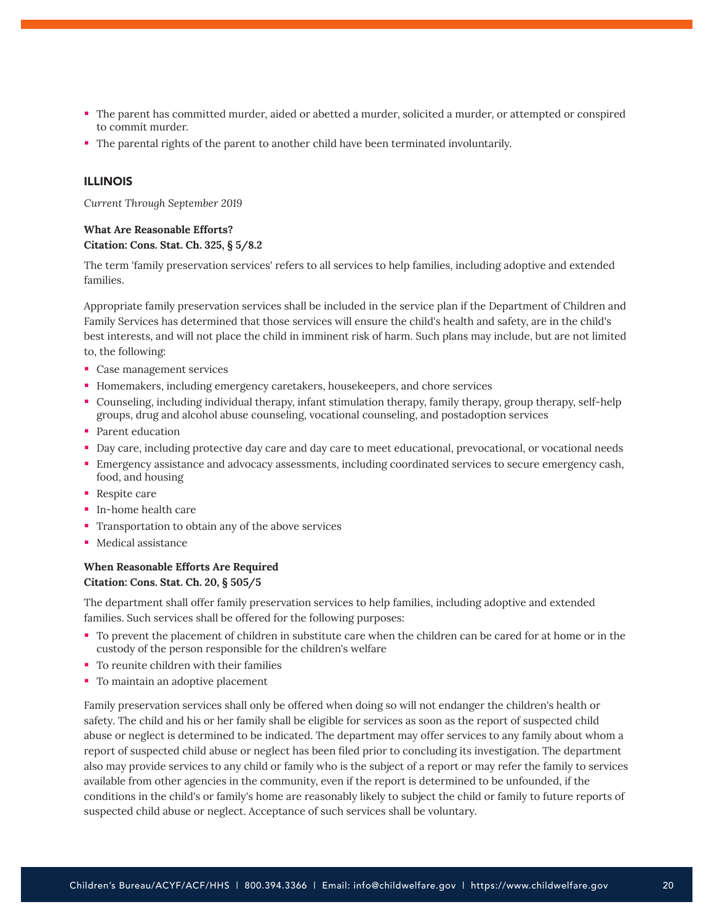- The parent has committed murder, aided or abetted a murder, solicited a murder, or attempted or conspired to commit murder.
- The parental rights of the parent to another child have been terminated involuntarily.

#### ILLINOIS

*Current Through September 2019*

#### **What Are Reasonable Efforts? Citation: Cons. Stat. Ch. 325, § 5/8.2**

The term 'family preservation services' refers to all services to help families, including adoptive and extended families.

Appropriate family preservation services shall be included in the service plan if the Department of Children and Family Services has determined that those services will ensure the child's health and safety, are in the child's best interests, and will not place the child in imminent risk of harm. Such plans may include, but are not limited to, the following:

- **Case management services**
- Homemakers, including emergency caretakers, housekeepers, and chore services
- Counseling, including individual therapy, infant stimulation therapy, family therapy, group therapy, self-help groups, drug and alcohol abuse counseling, vocational counseling, and postadoption services
- Parent education
- Day care, including protective day care and day care to meet educational, prevocational, or vocational needs
- Emergency assistance and advocacy assessments, including coordinated services to secure emergency cash, food, and housing
- Respite care
- **In-home health care**
- **Transportation to obtain any of the above services**
- **Medical assistance**

## **When Reasonable Efforts Are Required**

## **Citation: Cons. Stat. Ch. 20, § 505/5**

The department shall offer family preservation services to help families, including adoptive and extended families. Such services shall be offered for the following purposes:

- To prevent the placement of children in substitute care when the children can be cared for at home or in the custody of the person responsible for the children's welfare
- **To reunite children with their families**
- To maintain an adoptive placement

Family preservation services shall only be offered when doing so will not endanger the children's health or safety. The child and his or her family shall be eligible for services as soon as the report of suspected child abuse or neglect is determined to be indicated. The department may offer services to any family about whom a report of suspected child abuse or neglect has been filed prior to concluding its investigation. The department also may provide services to any child or family who is the subject of a report or may refer the family to services available from other agencies in the community, even if the report is determined to be unfounded, if the conditions in the child's or family's home are reasonably likely to subject the child or family to future reports of suspected child abuse or neglect. Acceptance of such services shall be voluntary.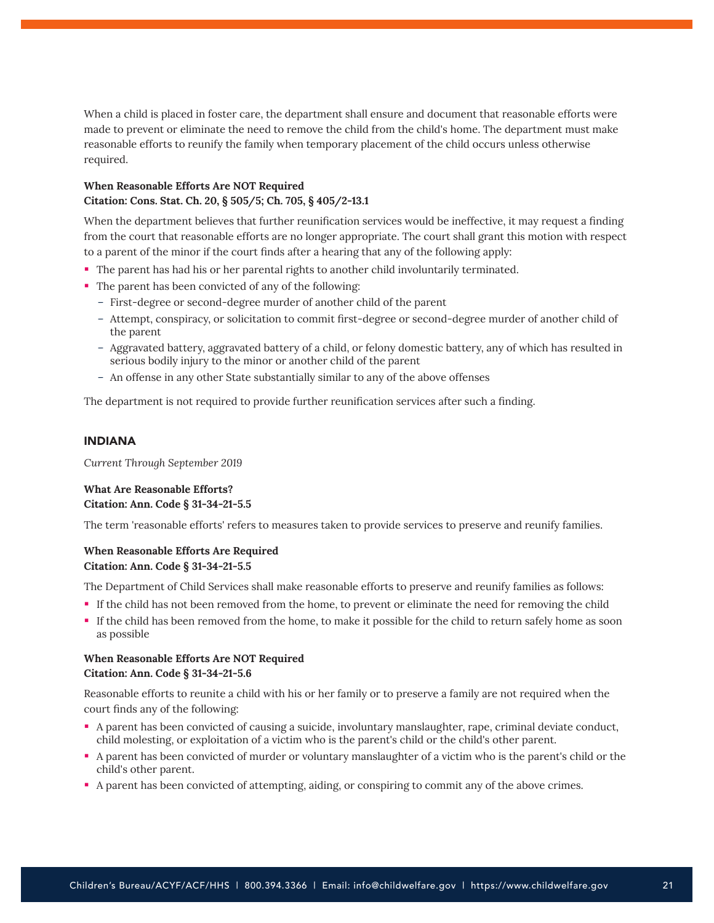When a child is placed in foster care, the department shall ensure and document that reasonable efforts were made to prevent or eliminate the need to remove the child from the child's home. The department must make reasonable efforts to reunify the family when temporary placement of the child occurs unless otherwise required.

## **When Reasonable Efforts Are NOT Required Citation: Cons. Stat. Ch. 20, § 505/5; Ch. 705, § 405/2-13.1**

When the department believes that further reunification services would be ineffective, it may request a finding from the court that reasonable efforts are no longer appropriate. The court shall grant this motion with respect to a parent of the minor if the court finds after a hearing that any of the following apply:

- The parent has had his or her parental rights to another child involuntarily terminated.
- The parent has been convicted of any of the following:
	- First-degree or second-degree murder of another child of the parent
	- Attempt, conspiracy, or solicitation to commit first-degree or second-degree murder of another child of the parent
	- Aggravated battery, aggravated battery of a child, or felony domestic battery, any of which has resulted in serious bodily injury to the minor or another child of the parent
	- An offense in any other State substantially similar to any of the above offenses

The department is not required to provide further reunification services after such a finding.

#### INDIANA

*Current Through September 2019*

#### **What Are Reasonable Efforts? Citation: Ann. Code § 31-34-21-5.5**

The term 'reasonable efforts' refers to measures taken to provide services to preserve and reunify families.

#### **When Reasonable Efforts Are Required Citation: Ann. Code § 31-34-21-5.5**

The Department of Child Services shall make reasonable efforts to preserve and reunify families as follows:

- If the child has not been removed from the home, to prevent or eliminate the need for removing the child
- If the child has been removed from the home, to make it possible for the child to return safely home as soon as possible

## **When Reasonable Efforts Are NOT Required Citation: Ann. Code § 31-34-21-5.6**

Reasonable efforts to reunite a child with his or her family or to preserve a family are not required when the court finds any of the following:

- A parent has been convicted of causing a suicide, involuntary manslaughter, rape, criminal deviate conduct, child molesting, or exploitation of a victim who is the parent's child or the child's other parent.
- A parent has been convicted of murder or voluntary manslaughter of a victim who is the parent's child or the child's other parent.
- A parent has been convicted of attempting, aiding, or conspiring to commit any of the above crimes.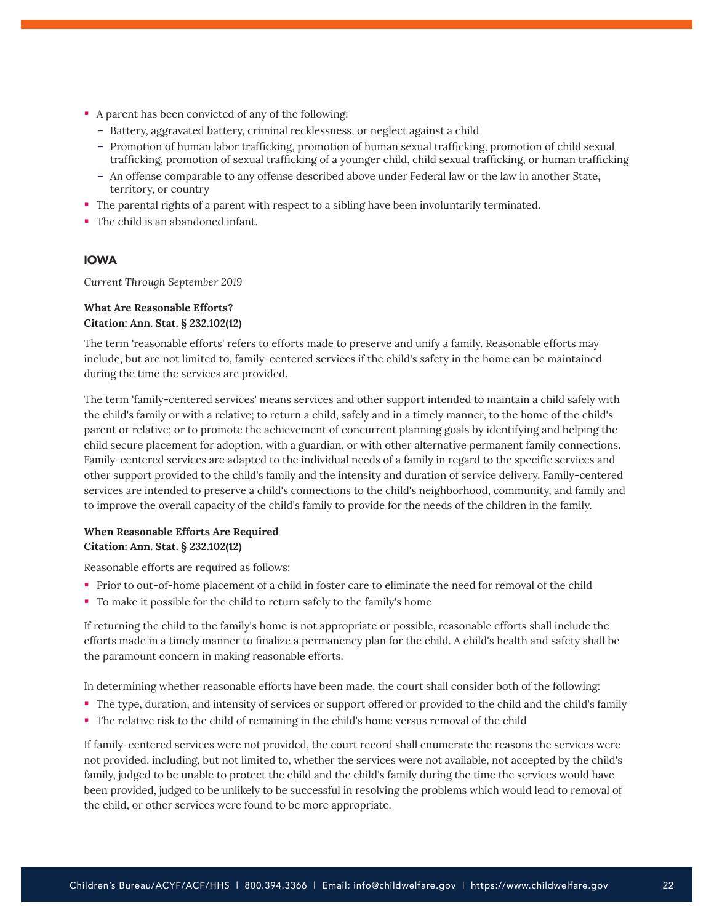- A parent has been convicted of any of the following:
	- Battery, aggravated battery, criminal recklessness, or neglect against a child
	- Promotion of human labor trafficking, promotion of human sexual trafficking, promotion of child sexual trafficking, promotion of sexual trafficking of a younger child, child sexual trafficking, or human trafficking
	- An offense comparable to any offense described above under Federal law or the law in another State, territory, or country
- The parental rights of a parent with respect to a sibling have been involuntarily terminated.
- The child is an abandoned infant.

## IOWA

*Current Through September 2019*

## **What Are Reasonable Efforts? Citation: Ann. Stat. § 232.102(12)**

The term 'reasonable efforts' refers to efforts made to preserve and unify a family. Reasonable efforts may include, but are not limited to, family-centered services if the child's safety in the home can be maintained during the time the services are provided.

The term 'family-centered services' means services and other support intended to maintain a child safely with the child's family or with a relative; to return a child, safely and in a timely manner, to the home of the child's parent or relative; or to promote the achievement of concurrent planning goals by identifying and helping the child secure placement for adoption, with a guardian, or with other alternative permanent family connections. Family-centered services are adapted to the individual needs of a family in regard to the specific services and other support provided to the child's family and the intensity and duration of service delivery. Family-centered services are intended to preserve a child's connections to the child's neighborhood, community, and family and to improve the overall capacity of the child's family to provide for the needs of the children in the family.

## **When Reasonable Efforts Are Required Citation: Ann. Stat. § 232.102(12)**

Reasonable efforts are required as follows:

- Prior to out-of-home placement of a child in foster care to eliminate the need for removal of the child
- To make it possible for the child to return safely to the family's home

If returning the child to the family's home is not appropriate or possible, reasonable efforts shall include the efforts made in a timely manner to finalize a permanency plan for the child. A child's health and safety shall be the paramount concern in making reasonable efforts.

In determining whether reasonable efforts have been made, the court shall consider both of the following:

- The type, duration, and intensity of services or support offered or provided to the child and the child's family
- The relative risk to the child of remaining in the child's home versus removal of the child

If family-centered services were not provided, the court record shall enumerate the reasons the services were not provided, including, but not limited to, whether the services were not available, not accepted by the child's family, judged to be unable to protect the child and the child's family during the time the services would have been provided, judged to be unlikely to be successful in resolving the problems which would lead to removal of the child, or other services were found to be more appropriate.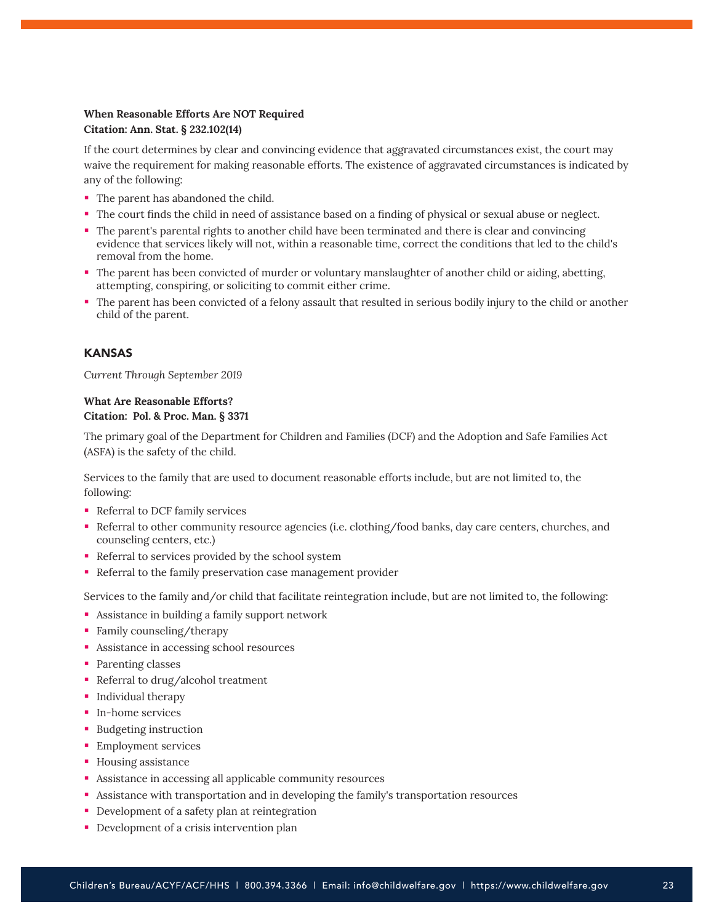## **When Reasonable Efforts Are NOT Required Citation: Ann. Stat. § 232.102(14)**

If the court determines by clear and convincing evidence that aggravated circumstances exist, the court may waive the requirement for making reasonable efforts. The existence of aggravated circumstances is indicated by any of the following:

- The parent has abandoned the child.
- The court finds the child in need of assistance based on a finding of physical or sexual abuse or neglect.
- The parent's parental rights to another child have been terminated and there is clear and convincing evidence that services likely will not, within a reasonable time, correct the conditions that led to the child's removal from the home.
- The parent has been convicted of murder or voluntary manslaughter of another child or aiding, abetting, attempting, conspiring, or soliciting to commit either crime.
- The parent has been convicted of a felony assault that resulted in serious bodily injury to the child or another child of the parent.

## KANSAS

*Current Through September 2019*

## **What Are Reasonable Efforts? Citation: Pol. & Proc. Man. § 3371**

The primary goal of the Department for Children and Families (DCF) and the Adoption and Safe Families Act (ASFA) is the safety of the child.

Services to the family that are used to document reasonable efforts include, but are not limited to, the following:

- Referral to DCF family services
- Referral to other community resource agencies (i.e. clothing/food banks, day care centers, churches, and counseling centers, etc.)
- Referral to services provided by the school system
- Referral to the family preservation case management provider

Services to the family and/or child that facilitate reintegration include, but are not limited to, the following:

- Assistance in building a family support network
- Family counseling/therapy
- Assistance in accessing school resources
- Parenting classes
- Referral to drug/alcohol treatment
- **Individual therapy**
- **In-home services**
- **Budgeting instruction**
- **Employment services**
- **Housing assistance**
- Assistance in accessing all applicable community resources
- Assistance with transportation and in developing the family's transportation resources
- **Development of a safety plan at reintegration**
- **Development of a crisis intervention plan**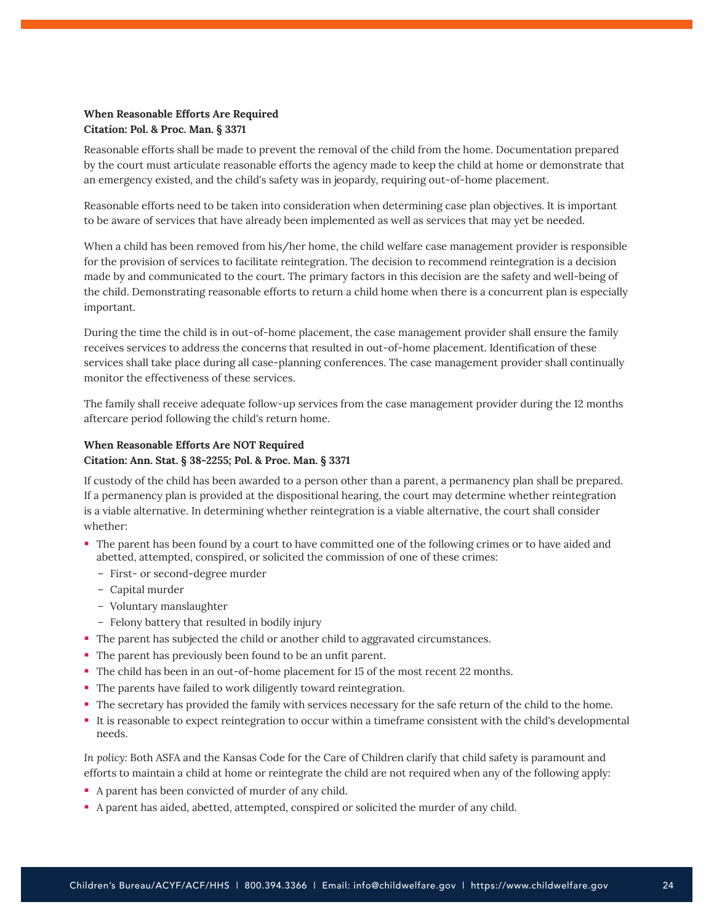## **When Reasonable Efforts Are Required Citation: Pol. & Proc. Man. § 3371**

Reasonable efforts shall be made to prevent the removal of the child from the home. Documentation prepared by the court must articulate reasonable efforts the agency made to keep the child at home or demonstrate that an emergency existed, and the child's safety was in jeopardy, requiring out-of-home placement.

Reasonable efforts need to be taken into consideration when determining case plan objectives. It is important to be aware of services that have already been implemented as well as services that may yet be needed.

When a child has been removed from his/her home, the child welfare case management provider is responsible for the provision of services to facilitate reintegration. The decision to recommend reintegration is a decision made by and communicated to the court. The primary factors in this decision are the safety and well-being of the child. Demonstrating reasonable efforts to return a child home when there is a concurrent plan is especially important.

During the time the child is in out-of-home placement, the case management provider shall ensure the family receives services to address the concerns that resulted in out-of-home placement. Identification of these services shall take place during all case-planning conferences. The case management provider shall continually monitor the effectiveness of these services.

The family shall receive adequate follow-up services from the case management provider during the 12 months aftercare period following the child's return home.

## **When Reasonable Efforts Are NOT Required Citation: Ann. Stat. § 38-2255; Pol. & Proc. Man. § 3371**

If custody of the child has been awarded to a person other than a parent, a permanency plan shall be prepared. If a permanency plan is provided at the dispositional hearing, the court may determine whether reintegration is a viable alternative. In determining whether reintegration is a viable alternative, the court shall consider whether:

- The parent has been found by a court to have committed one of the following crimes or to have aided and abetted, attempted, conspired, or solicited the commission of one of these crimes:
	- First- or second-degree murder
	- Capital murder
	- Voluntary manslaughter
	- Felony battery that resulted in bodily injury
- The parent has subjected the child or another child to aggravated circumstances.
- The parent has previously been found to be an unfit parent.
- The child has been in an out-of-home placement for 15 of the most recent 22 months.
- The parents have failed to work diligently toward reintegration.
- The secretary has provided the family with services necessary for the safe return of the child to the home.
- It is reasonable to expect reintegration to occur within a timeframe consistent with the child's developmental needs.

*In policy:* Both ASFA and the Kansas Code for the Care of Children clarify that child safety is paramount and efforts to maintain a child at home or reintegrate the child are not required when any of the following apply:

- A parent has been convicted of murder of any child.
- A parent has aided, abetted, attempted, conspired or solicited the murder of any child.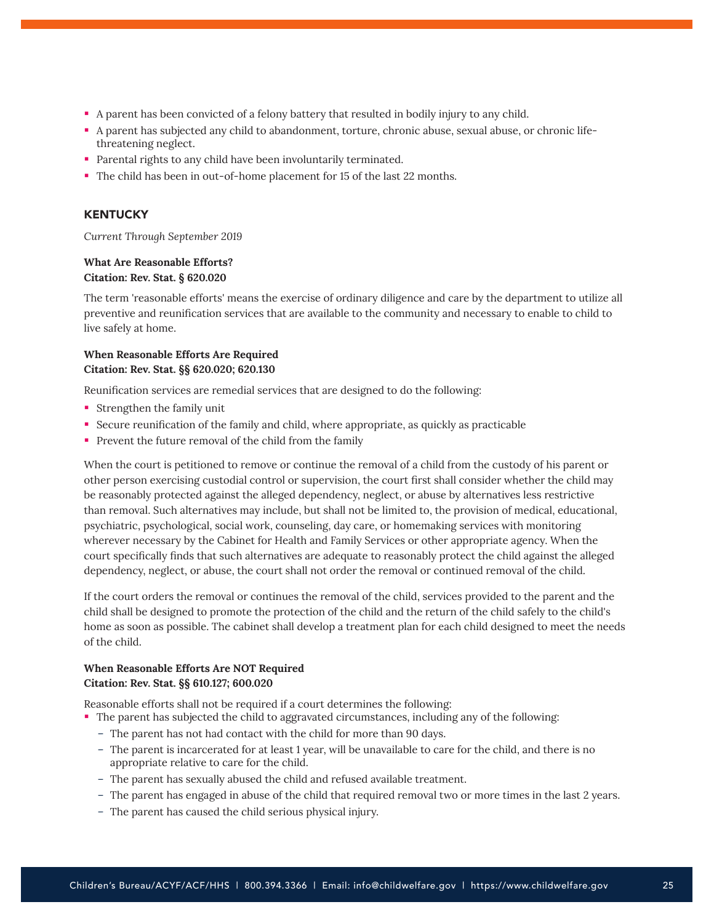- A parent has been convicted of a felony battery that resulted in bodily injury to any child.
- A parent has subjected any child to abandonment, torture, chronic abuse, sexual abuse, or chronic lifethreatening neglect.
- **Parental rights to any child have been involuntarily terminated.**
- The child has been in out-of-home placement for 15 of the last 22 months.

## **KENTUCKY**

*Current Through September 2019*

## **What Are Reasonable Efforts? Citation: Rev. Stat. § 620.020**

The term 'reasonable efforts' means the exercise of ordinary diligence and care by the department to utilize all preventive and reunification services that are available to the community and necessary to enable to child to live safely at home.

## **When Reasonable Efforts Are Required Citation: Rev. Stat. §§ 620.020; 620.130**

Reunification services are remedial services that are designed to do the following:

- Strengthen the family unit
- Secure reunification of the family and child, where appropriate, as quickly as practicable
- Prevent the future removal of the child from the family

When the court is petitioned to remove or continue the removal of a child from the custody of his parent or other person exercising custodial control or supervision, the court first shall consider whether the child may be reasonably protected against the alleged dependency, neglect, or abuse by alternatives less restrictive than removal. Such alternatives may include, but shall not be limited to, the provision of medical, educational, psychiatric, psychological, social work, counseling, day care, or homemaking services with monitoring wherever necessary by the Cabinet for Health and Family Services or other appropriate agency. When the court specifically finds that such alternatives are adequate to reasonably protect the child against the alleged dependency, neglect, or abuse, the court shall not order the removal or continued removal of the child.

If the court orders the removal or continues the removal of the child, services provided to the parent and the child shall be designed to promote the protection of the child and the return of the child safely to the child's home as soon as possible. The cabinet shall develop a treatment plan for each child designed to meet the needs of the child.

## **When Reasonable Efforts Are NOT Required Citation: Rev. Stat. §§ 610.127; 600.020**

Reasonable efforts shall not be required if a court determines the following:

- The parent has subjected the child to aggravated circumstances, including any of the following:
	- The parent has not had contact with the child for more than 90 days.
	- The parent is incarcerated for at least 1 year, will be unavailable to care for the child, and there is no appropriate relative to care for the child.
	- The parent has sexually abused the child and refused available treatment.
	- The parent has engaged in abuse of the child that required removal two or more times in the last 2 years.
	- The parent has caused the child serious physical injury.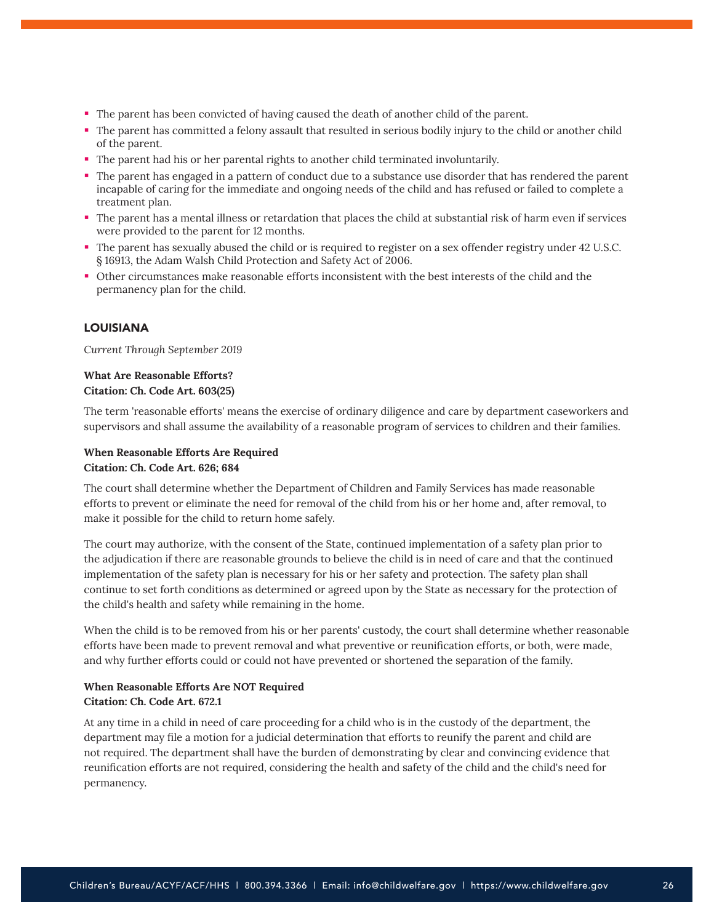- The parent has been convicted of having caused the death of another child of the parent.
- The parent has committed a felony assault that resulted in serious bodily injury to the child or another child of the parent.
- The parent had his or her parental rights to another child terminated involuntarily.
- The parent has engaged in a pattern of conduct due to a substance use disorder that has rendered the parent incapable of caring for the immediate and ongoing needs of the child and has refused or failed to complete a treatment plan.
- The parent has a mental illness or retardation that places the child at substantial risk of harm even if services were provided to the parent for 12 months.
- The parent has sexually abused the child or is required to register on a sex offender registry under 42 U.S.C. § 16913, the Adam Walsh Child Protection and Safety Act of 2006.
- Other circumstances make reasonable efforts inconsistent with the best interests of the child and the permanency plan for the child.

## LOUISIANA

*Current Through September 2019*

## **What Are Reasonable Efforts? Citation: Ch. Code Art. 603(25)**

The term 'reasonable efforts' means the exercise of ordinary diligence and care by department caseworkers and supervisors and shall assume the availability of a reasonable program of services to children and their families.

## **When Reasonable Efforts Are Required Citation: Ch. Code Art. 626; 684**

The court shall determine whether the Department of Children and Family Services has made reasonable efforts to prevent or eliminate the need for removal of the child from his or her home and, after removal, to make it possible for the child to return home safely.

The court may authorize, with the consent of the State, continued implementation of a safety plan prior to the adjudication if there are reasonable grounds to believe the child is in need of care and that the continued implementation of the safety plan is necessary for his or her safety and protection. The safety plan shall continue to set forth conditions as determined or agreed upon by the State as necessary for the protection of the child's health and safety while remaining in the home.

When the child is to be removed from his or her parents' custody, the court shall determine whether reasonable efforts have been made to prevent removal and what preventive or reunification efforts, or both, were made, and why further efforts could or could not have prevented or shortened the separation of the family.

## **When Reasonable Efforts Are NOT Required Citation: Ch. Code Art. 672.1**

At any time in a child in need of care proceeding for a child who is in the custody of the department, the department may file a motion for a judicial determination that efforts to reunify the parent and child are not required. The department shall have the burden of demonstrating by clear and convincing evidence that reunification efforts are not required, considering the health and safety of the child and the child's need for permanency.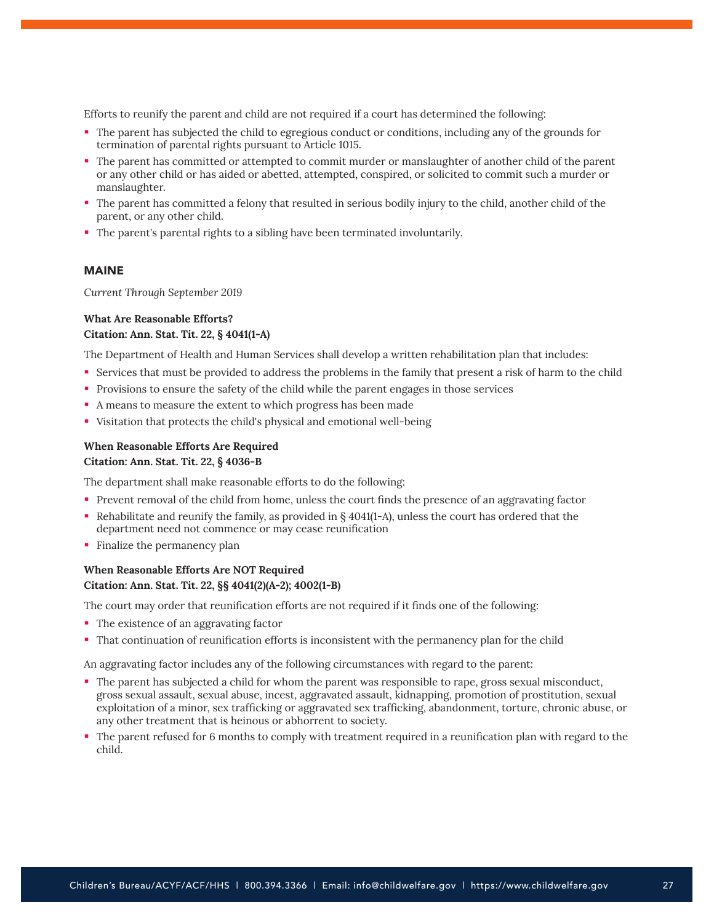Efforts to reunify the parent and child are not required if a court has determined the following:

- The parent has subjected the child to egregious conduct or conditions, including any of the grounds for termination of parental rights pursuant to Article 1015.
- The parent has committed or attempted to commit murder or manslaughter of another child of the parent or any other child or has aided or abetted, attempted, conspired, or solicited to commit such a murder or manslaughter.
- The parent has committed a felony that resulted in serious bodily injury to the child, another child of the parent, or any other child.
- The parent's parental rights to a sibling have been terminated involuntarily.

#### MAINE

*Current Through September 2019*

#### **What Are Reasonable Efforts? Citation: Ann. Stat. Tit. 22, § 4041(1-A)**

The Department of Health and Human Services shall develop a written rehabilitation plan that includes:

- Services that must be provided to address the problems in the family that present a risk of harm to the child
- Provisions to ensure the safety of the child while the parent engages in those services
- A means to measure the extent to which progress has been made
- Visitation that protects the child's physical and emotional well-being

#### **When Reasonable Efforts Are Required Citation: Ann. Stat. Tit. 22, § 4036-B**

The department shall make reasonable efforts to do the following:

- Prevent removal of the child from home, unless the court finds the presence of an aggravating factor
- Rehabilitate and reunify the family, as provided in § 4041(1–A), unless the court has ordered that the department need not commence or may cease reunification
- **Finalize the permanency plan**

## **When Reasonable Efforts Are NOT Required Citation: Ann. Stat. Tit. 22, §§ 4041(2)(A-2); 4002(1-B)**

The court may order that reunification efforts are not required if it finds one of the following:

- The existence of an aggravating factor
- That continuation of reunification efforts is inconsistent with the permanency plan for the child

An aggravating factor includes any of the following circumstances with regard to the parent:

- The parent has subjected a child for whom the parent was responsible to rape, gross sexual misconduct, gross sexual assault, sexual abuse, incest, aggravated assault, kidnapping, promotion of prostitution, sexual exploitation of a minor, sex trafficking or aggravated sex trafficking, abandonment, torture, chronic abuse, or any other treatment that is heinous or abhorrent to society.
- The parent refused for 6 months to comply with treatment required in a reunification plan with regard to the child.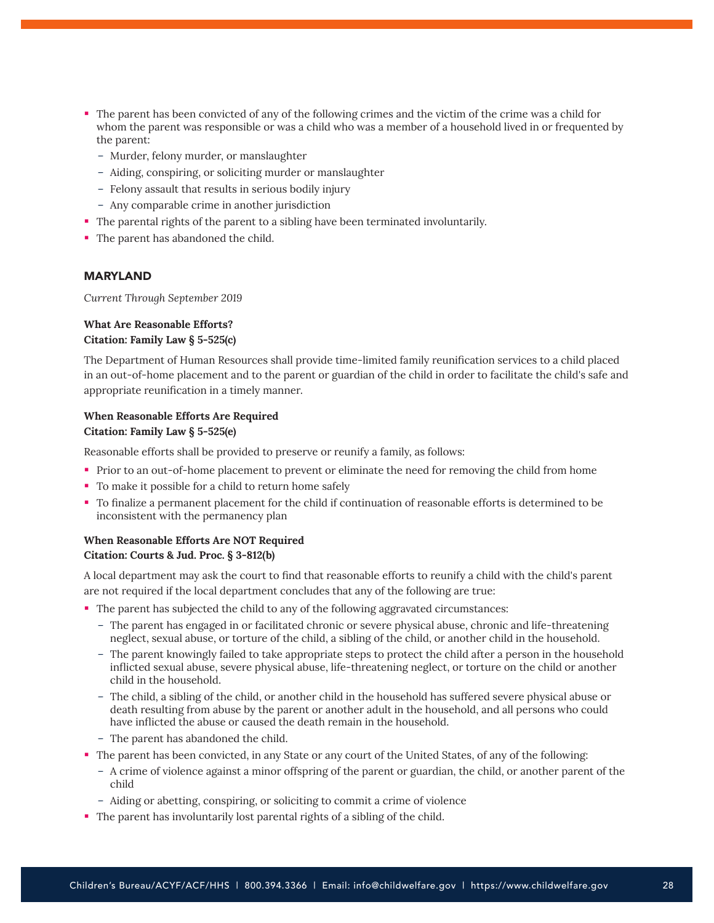- The parent has been convicted of any of the following crimes and the victim of the crime was a child for whom the parent was responsible or was a child who was a member of a household lived in or frequented by the parent:
	- Murder, felony murder, or manslaughter
	- Aiding, conspiring, or soliciting murder or manslaughter
	- Felony assault that results in serious bodily injury
	- Any comparable crime in another jurisdiction
- The parental rights of the parent to a sibling have been terminated involuntarily.
- The parent has abandoned the child.

#### MARYLAND

*Current Through September 2019*

#### **What Are Reasonable Efforts? Citation: Family Law § 5-525(c)**

The Department of Human Resources shall provide time-limited family reunification services to a child placed in an out-of-home placement and to the parent or guardian of the child in order to facilitate the child's safe and appropriate reunification in a timely manner.

## **When Reasonable Efforts Are Required Citation: Family Law § 5-525(e)**

Reasonable efforts shall be provided to preserve or reunify a family, as follows:

- **Prior to an out-of-home placement to prevent or eliminate the need for removing the child from home**
- To make it possible for a child to return home safely
- To finalize a permanent placement for the child if continuation of reasonable efforts is determined to be inconsistent with the permanency plan

## **When Reasonable Efforts Are NOT Required Citation: Courts & Jud. Proc. § 3-812(b)**

A local department may ask the court to find that reasonable efforts to reunify a child with the child's parent are not required if the local department concludes that any of the following are true:

- The parent has subjected the child to any of the following aggravated circumstances:
	- The parent has engaged in or facilitated chronic or severe physical abuse, chronic and life-threatening neglect, sexual abuse, or torture of the child, a sibling of the child, or another child in the household.
	- The parent knowingly failed to take appropriate steps to protect the child after a person in the household inflicted sexual abuse, severe physical abuse, life-threatening neglect, or torture on the child or another child in the household.
	- The child, a sibling of the child, or another child in the household has suffered severe physical abuse or death resulting from abuse by the parent or another adult in the household, and all persons who could have inflicted the abuse or caused the death remain in the household.
	- The parent has abandoned the child.
- The parent has been convicted, in any State or any court of the United States, of any of the following:
	- A crime of violence against a minor offspring of the parent or guardian, the child, or another parent of the child
	- Aiding or abetting, conspiring, or soliciting to commit a crime of violence
- The parent has involuntarily lost parental rights of a sibling of the child.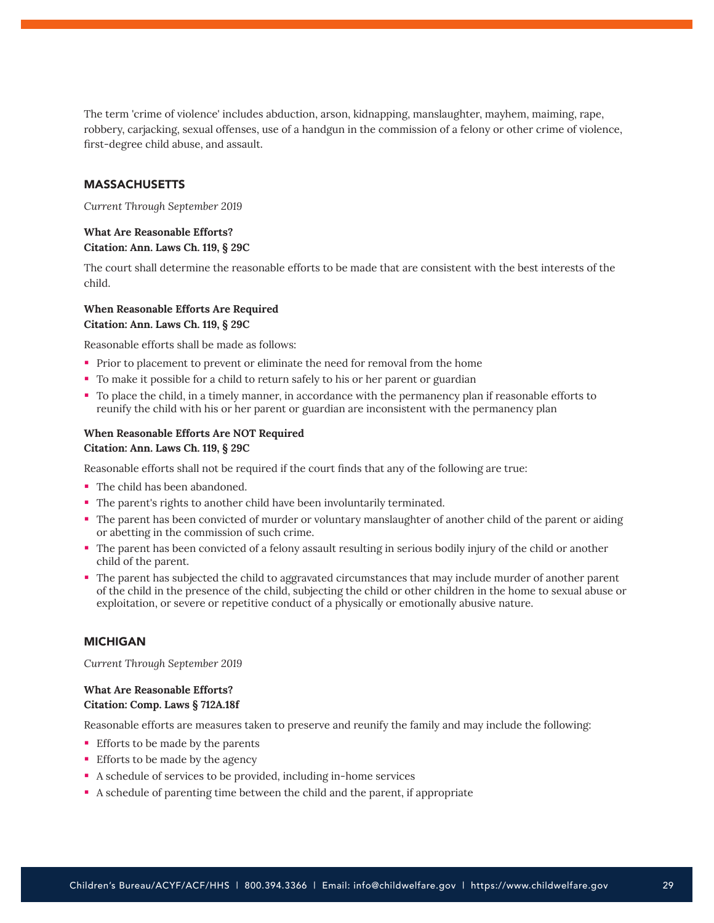The term 'crime of violence' includes abduction, arson, kidnapping, manslaughter, mayhem, maiming, rape, robbery, carjacking, sexual offenses, use of a handgun in the commission of a felony or other crime of violence, first-degree child abuse, and assault.

#### MASSACHUSETTS

*Current Through September 2019*

## **What Are Reasonable Efforts? Citation: Ann. Laws Ch. 119, § 29C**

The court shall determine the reasonable efforts to be made that are consistent with the best interests of the child.

## **When Reasonable Efforts Are Required Citation: Ann. Laws Ch. 119, § 29C**

Reasonable efforts shall be made as follows:

- **Prior to placement to prevent or eliminate the need for removal from the home**
- To make it possible for a child to return safely to his or her parent or guardian
- To place the child, in a timely manner, in accordance with the permanency plan if reasonable efforts to reunify the child with his or her parent or guardian are inconsistent with the permanency plan

## **When Reasonable Efforts Are NOT Required Citation: Ann. Laws Ch. 119, § 29C**

Reasonable efforts shall not be required if the court finds that any of the following are true:

- The child has been abandoned.
- The parent's rights to another child have been involuntarily terminated.
- The parent has been convicted of murder or voluntary manslaughter of another child of the parent or aiding or abetting in the commission of such crime.
- The parent has been convicted of a felony assault resulting in serious bodily injury of the child or another child of the parent.
- The parent has subjected the child to aggravated circumstances that may include murder of another parent of the child in the presence of the child, subjecting the child or other children in the home to sexual abuse or exploitation, or severe or repetitive conduct of a physically or emotionally abusive nature.

#### MICHIGAN

*Current Through September 2019*

## **What Are Reasonable Efforts? Citation: Comp. Laws § 712A.18f**

Reasonable efforts are measures taken to preserve and reunify the family and may include the following:

- **Efforts to be made by the parents**
- **Efforts to be made by the agency**
- A schedule of services to be provided, including in-home services
- A schedule of parenting time between the child and the parent, if appropriate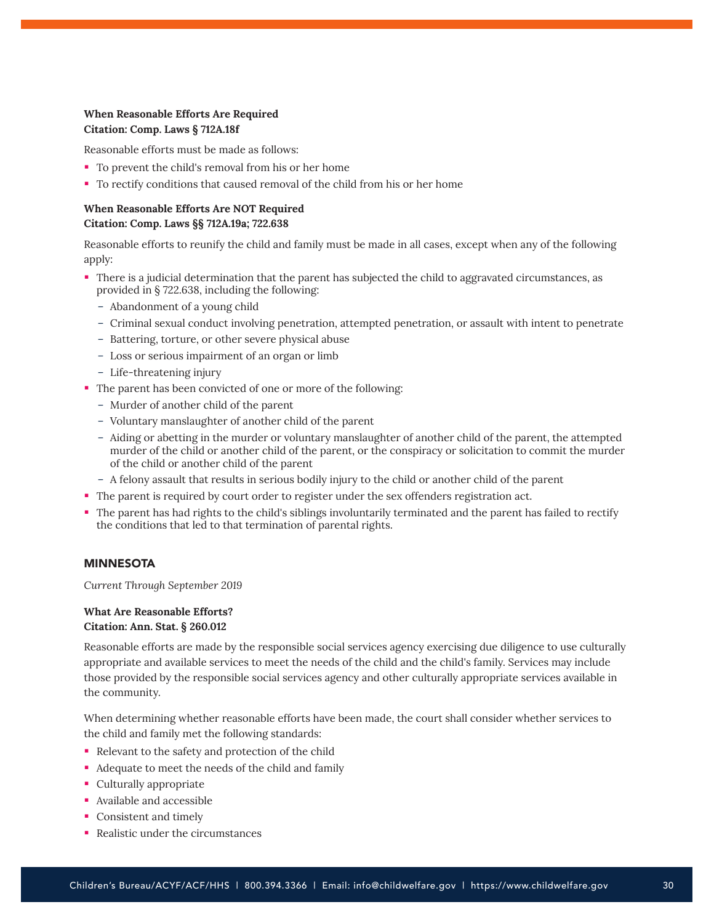## **When Reasonable Efforts Are Required Citation: Comp. Laws § 712A.18f**

Reasonable efforts must be made as follows:

- To prevent the child's removal from his or her home
- To rectify conditions that caused removal of the child from his or her home

## **When Reasonable Efforts Are NOT Required Citation: Comp. Laws §§ 712A.19a; 722.638**

Reasonable efforts to reunify the child and family must be made in all cases, except when any of the following apply:

- There is a judicial determination that the parent has subjected the child to aggravated circumstances, as provided in § 722.638, including the following:
	- Abandonment of a young child
	- Criminal sexual conduct involving penetration, attempted penetration, or assault with intent to penetrate
	- Battering, torture, or other severe physical abuse
	- Loss or serious impairment of an organ or limb
	- Life-threatening injury
- The parent has been convicted of one or more of the following:
	- Murder of another child of the parent
	- Voluntary manslaughter of another child of the parent
	- Aiding or abetting in the murder or voluntary manslaughter of another child of the parent, the attempted murder of the child or another child of the parent, or the conspiracy or solicitation to commit the murder of the child or another child of the parent
	- A felony assault that results in serious bodily injury to the child or another child of the parent
- The parent is required by court order to register under the sex offenders registration act.
- The parent has had rights to the child's siblings involuntarily terminated and the parent has failed to rectify the conditions that led to that termination of parental rights.

## MINNESOTA

*Current Through September 2019*

#### **What Are Reasonable Efforts? Citation: Ann. Stat. § 260.012**

Reasonable efforts are made by the responsible social services agency exercising due diligence to use culturally appropriate and available services to meet the needs of the child and the child's family. Services may include those provided by the responsible social services agency and other culturally appropriate services available in the community.

When determining whether reasonable efforts have been made, the court shall consider whether services to the child and family met the following standards:

- Relevant to the safety and protection of the child
- Adequate to meet the needs of the child and family
- Culturally appropriate
- Available and accessible
- Consistent and timely
- Realistic under the circumstances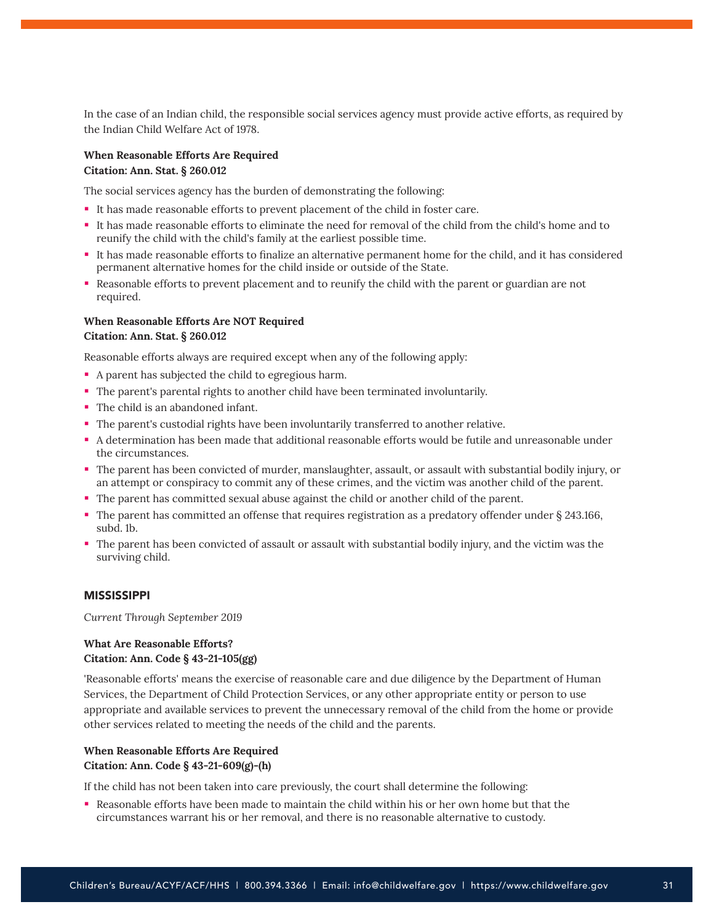In the case of an Indian child, the responsible social services agency must provide active efforts, as required by the Indian Child Welfare Act of 1978.

#### **When Reasonable Efforts Are Required**

#### **Citation: Ann. Stat. § 260.012**

The social services agency has the burden of demonstrating the following:

- It has made reasonable efforts to prevent placement of the child in foster care.
- It has made reasonable efforts to eliminate the need for removal of the child from the child's home and to reunify the child with the child's family at the earliest possible time.
- It has made reasonable efforts to finalize an alternative permanent home for the child, and it has considered permanent alternative homes for the child inside or outside of the State.
- Reasonable efforts to prevent placement and to reunify the child with the parent or guardian are not required.

#### **When Reasonable Efforts Are NOT Required Citation: Ann. Stat. § 260.012**

Reasonable efforts always are required except when any of the following apply:

- A parent has subjected the child to egregious harm.
- The parent's parental rights to another child have been terminated involuntarily.
- The child is an abandoned infant.
- The parent's custodial rights have been involuntarily transferred to another relative.
- A determination has been made that additional reasonable efforts would be futile and unreasonable under the circumstances.
- The parent has been convicted of murder, manslaughter, assault, or assault with substantial bodily injury, or an attempt or conspiracy to commit any of these crimes, and the victim was another child of the parent.
- The parent has committed sexual abuse against the child or another child of the parent.
- The parent has committed an offense that requires registration as a predatory offender under § 243.166, subd. 1b.
- The parent has been convicted of assault or assault with substantial bodily injury, and the victim was the surviving child.

## MISSISSIPPI

*Current Through September 2019*

## **What Are Reasonable Efforts? Citation: Ann. Code § 43-21-105(gg)**

'Reasonable efforts' means the exercise of reasonable care and due diligence by the Department of Human Services, the Department of Child Protection Services, or any other appropriate entity or person to use appropriate and available services to prevent the unnecessary removal of the child from the home or provide other services related to meeting the needs of the child and the parents.

## **When Reasonable Efforts Are Required Citation: Ann. Code § 43-21-609(g)-(h)**

If the child has not been taken into care previously, the court shall determine the following:

 Reasonable efforts have been made to maintain the child within his or her own home but that the circumstances warrant his or her removal, and there is no reasonable alternative to custody.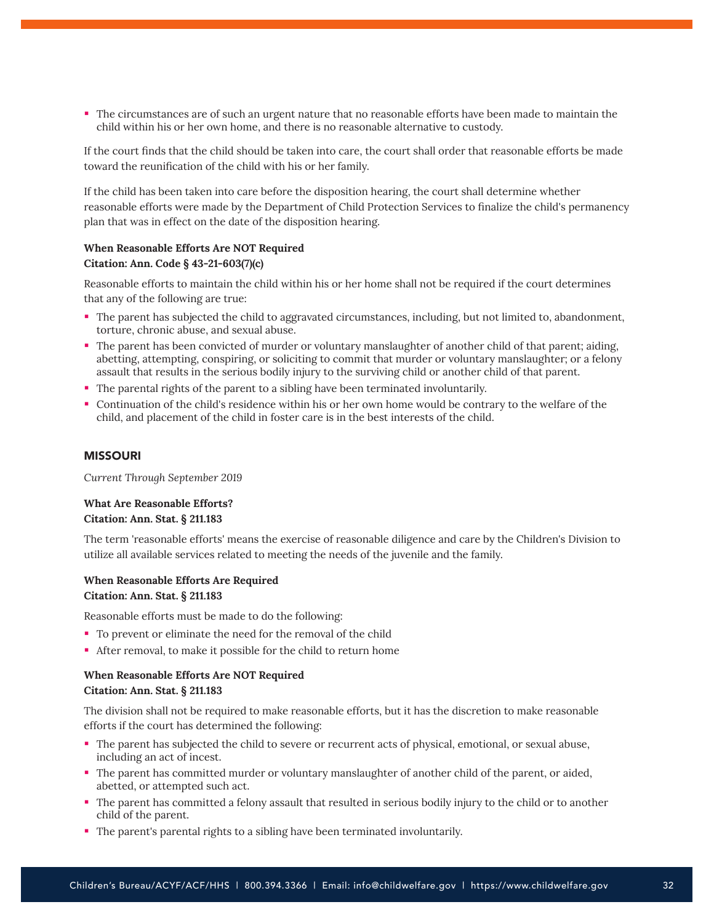The circumstances are of such an urgent nature that no reasonable efforts have been made to maintain the child within his or her own home, and there is no reasonable alternative to custody.

If the court finds that the child should be taken into care, the court shall order that reasonable efforts be made toward the reunification of the child with his or her family.

If the child has been taken into care before the disposition hearing, the court shall determine whether reasonable efforts were made by the Department of Child Protection Services to finalize the child's permanency plan that was in effect on the date of the disposition hearing.

## **When Reasonable Efforts Are NOT Required Citation: Ann. Code § 43-21-603(7)(c)**

Reasonable efforts to maintain the child within his or her home shall not be required if the court determines that any of the following are true:

- The parent has subjected the child to aggravated circumstances, including, but not limited to, abandonment, torture, chronic abuse, and sexual abuse.
- The parent has been convicted of murder or voluntary manslaughter of another child of that parent; aiding, abetting, attempting, conspiring, or soliciting to commit that murder or voluntary manslaughter; or a felony assault that results in the serious bodily injury to the surviving child or another child of that parent.
- The parental rights of the parent to a sibling have been terminated involuntarily.
- Continuation of the child's residence within his or her own home would be contrary to the welfare of the child, and placement of the child in foster care is in the best interests of the child.

## MISSOURI

*Current Through September 2019*

#### **What Are Reasonable Efforts? Citation: Ann. Stat. § 211.183**

The term 'reasonable efforts' means the exercise of reasonable diligence and care by the Children's Division to utilize all available services related to meeting the needs of the juvenile and the family.

### **When Reasonable Efforts Are Required Citation: Ann. Stat. § 211.183**

Reasonable efforts must be made to do the following:

- To prevent or eliminate the need for the removal of the child
- After removal, to make it possible for the child to return home

## **When Reasonable Efforts Are NOT Required Citation: Ann. Stat. § 211.183**

The division shall not be required to make reasonable efforts, but it has the discretion to make reasonable efforts if the court has determined the following:

- The parent has subjected the child to severe or recurrent acts of physical, emotional, or sexual abuse, including an act of incest.
- The parent has committed murder or voluntary manslaughter of another child of the parent, or aided, abetted, or attempted such act.
- The parent has committed a felony assault that resulted in serious bodily injury to the child or to another child of the parent.
- The parent's parental rights to a sibling have been terminated involuntarily.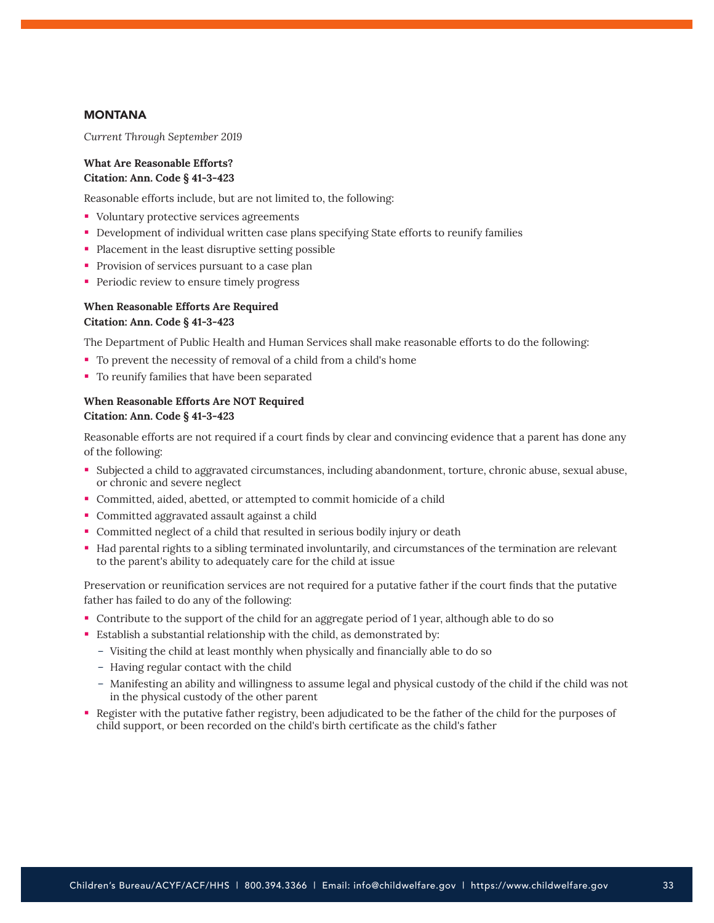## **MONTANA**

*Current Through September 2019*

## **What Are Reasonable Efforts? Citation: Ann. Code § 41-3-423**

Reasonable efforts include, but are not limited to, the following:

- Voluntary protective services agreements
- Development of individual written case plans specifying State efforts to reunify families
- Placement in the least disruptive setting possible
- **Provision of services pursuant to a case plan**
- **Periodic review to ensure timely progress**

## **When Reasonable Efforts Are Required Citation: Ann. Code § 41-3-423**

The Department of Public Health and Human Services shall make reasonable efforts to do the following:

- To prevent the necessity of removal of a child from a child's home
- To reunify families that have been separated

## **When Reasonable Efforts Are NOT Required Citation: Ann. Code § 41-3-423**

Reasonable efforts are not required if a court finds by clear and convincing evidence that a parent has done any of the following:

- Subjected a child to aggravated circumstances, including abandonment, torture, chronic abuse, sexual abuse, or chronic and severe neglect
- Committed, aided, abetted, or attempted to commit homicide of a child
- Committed aggravated assault against a child
- Committed neglect of a child that resulted in serious bodily injury or death
- Had parental rights to a sibling terminated involuntarily, and circumstances of the termination are relevant to the parent's ability to adequately care for the child at issue

Preservation or reunification services are not required for a putative father if the court finds that the putative father has failed to do any of the following:

- Contribute to the support of the child for an aggregate period of 1 year, although able to do so
- Establish a substantial relationship with the child, as demonstrated by:
	- Visiting the child at least monthly when physically and financially able to do so
	- Having regular contact with the child
	- Manifesting an ability and willingness to assume legal and physical custody of the child if the child was not in the physical custody of the other parent
- Register with the putative father registry, been adjudicated to be the father of the child for the purposes of child support, or been recorded on the child's birth certificate as the child's father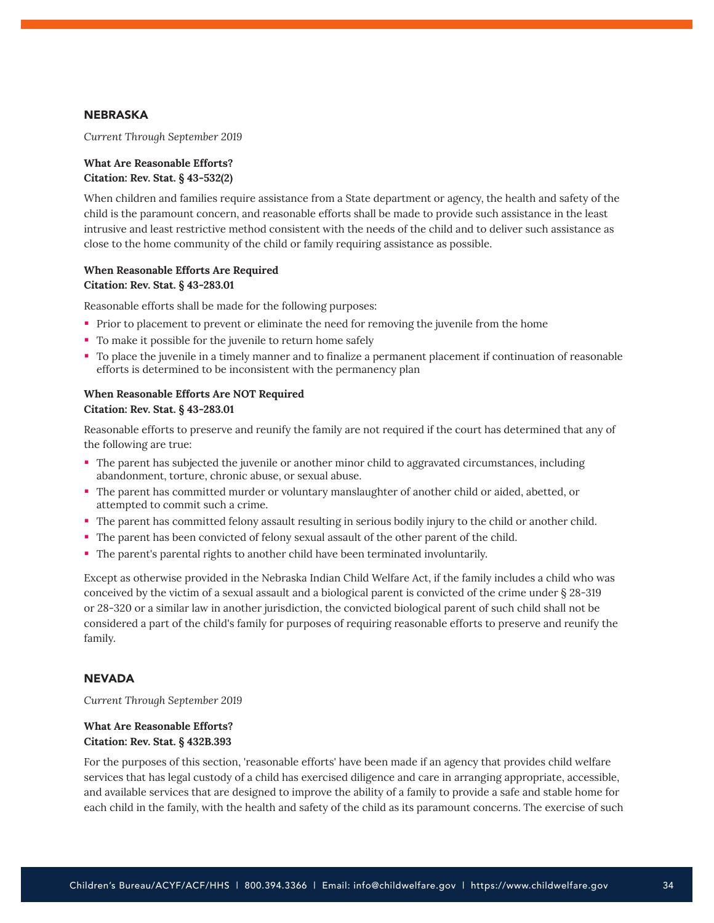## NEBRASKA

*Current Through September 2019*

## **What Are Reasonable Efforts? Citation: Rev. Stat. § 43-532(2)**

When children and families require assistance from a State department or agency, the health and safety of the child is the paramount concern, and reasonable efforts shall be made to provide such assistance in the least intrusive and least restrictive method consistent with the needs of the child and to deliver such assistance as close to the home community of the child or family requiring assistance as possible.

#### **When Reasonable Efforts Are Required Citation: Rev. Stat. § 43-283.01**

Reasonable efforts shall be made for the following purposes:

- Prior to placement to prevent or eliminate the need for removing the juvenile from the home
- To make it possible for the juvenile to return home safely
- To place the juvenile in a timely manner and to finalize a permanent placement if continuation of reasonable efforts is determined to be inconsistent with the permanency plan

## **When Reasonable Efforts Are NOT Required Citation: Rev. Stat. § 43-283.01**

Reasonable efforts to preserve and reunify the family are not required if the court has determined that any of the following are true:

- The parent has subjected the juvenile or another minor child to aggravated circumstances, including abandonment, torture, chronic abuse, or sexual abuse.
- The parent has committed murder or voluntary manslaughter of another child or aided, abetted, or attempted to commit such a crime.
- The parent has committed felony assault resulting in serious bodily injury to the child or another child.
- The parent has been convicted of felony sexual assault of the other parent of the child.
- The parent's parental rights to another child have been terminated involuntarily.

Except as otherwise provided in the Nebraska Indian Child Welfare Act, if the family includes a child who was conceived by the victim of a sexual assault and a biological parent is convicted of the crime under § 28-319 or 28-320 or a similar law in another jurisdiction, the convicted biological parent of such child shall not be considered a part of the child's family for purposes of requiring reasonable efforts to preserve and reunify the family.

#### **NEVADA**

*Current Through September 2019*

## **What Are Reasonable Efforts? Citation: Rev. Stat. § 432B.393**

For the purposes of this section, 'reasonable efforts' have been made if an agency that provides child welfare services that has legal custody of a child has exercised diligence and care in arranging appropriate, accessible, and available services that are designed to improve the ability of a family to provide a safe and stable home for each child in the family, with the health and safety of the child as its paramount concerns. The exercise of such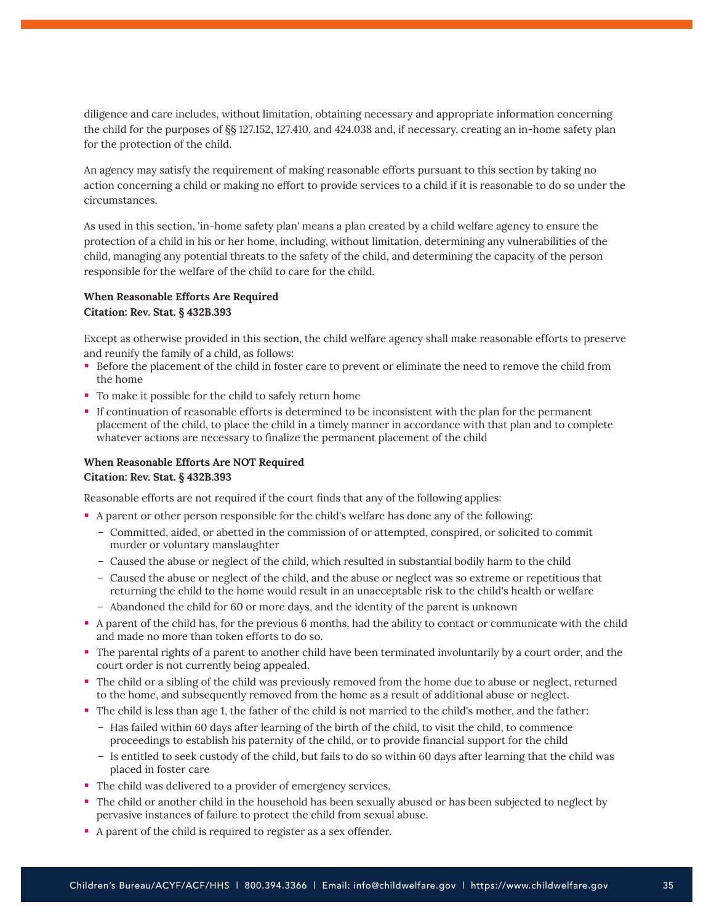diligence and care includes, without limitation, obtaining necessary and appropriate information concerning the child for the purposes of §§ 127.152, 127.410, and 424.038 and, if necessary, creating an in-home safety plan for the protection of the child.

An agency may satisfy the requirement of making reasonable efforts pursuant to this section by taking no action concerning a child or making no effort to provide services to a child if it is reasonable to do so under the circumstances.

As used in this section, 'in-home safety plan' means a plan created by a child welfare agency to ensure the protection of a child in his or her home, including, without limitation, determining any vulnerabilities of the child, managing any potential threats to the safety of the child, and determining the capacity of the person responsible for the welfare of the child to care for the child.

#### **When Reasonable Efforts Are Required**

#### **Citation: Rev. Stat. § 432B.393**

Except as otherwise provided in this section, the child welfare agency shall make reasonable efforts to preserve and reunify the family of a child, as follows:

- Before the placement of the child in foster care to prevent or eliminate the need to remove the child from the home
- To make it possible for the child to safely return home
- If continuation of reasonable efforts is determined to be inconsistent with the plan for the permanent placement of the child, to place the child in a timely manner in accordance with that plan and to complete whatever actions are necessary to finalize the permanent placement of the child

#### **When Reasonable Efforts Are NOT Required Citation: Rev. Stat. § 432B.393**

Reasonable efforts are not required if the court finds that any of the following applies:

- A parent or other person responsible for the child's welfare has done any of the following:
	- Committed, aided, or abetted in the commission of or attempted, conspired, or solicited to commit murder or voluntary manslaughter
	- Caused the abuse or neglect of the child, which resulted in substantial bodily harm to the child
	- Caused the abuse or neglect of the child, and the abuse or neglect was so extreme or repetitious that returning the child to the home would result in an unacceptable risk to the child's health or welfare
	- Abandoned the child for 60 or more days, and the identity of the parent is unknown
- A parent of the child has, for the previous 6 months, had the ability to contact or communicate with the child and made no more than token efforts to do so.
- The parental rights of a parent to another child have been terminated involuntarily by a court order, and the court order is not currently being appealed.
- The child or a sibling of the child was previously removed from the home due to abuse or neglect, returned to the home, and subsequently removed from the home as a result of additional abuse or neglect.
- The child is less than age 1, the father of the child is not married to the child's mother, and the father:
	- Has failed within 60 days after learning of the birth of the child, to visit the child, to commence proceedings to establish his paternity of the child, or to provide financial support for the child
	- Is entitled to seek custody of the child, but fails to do so within 60 days after learning that the child was placed in foster care
- The child was delivered to a provider of emergency services.
- The child or another child in the household has been sexually abused or has been subjected to neglect by pervasive instances of failure to protect the child from sexual abuse.
- A parent of the child is required to register as a sex offender.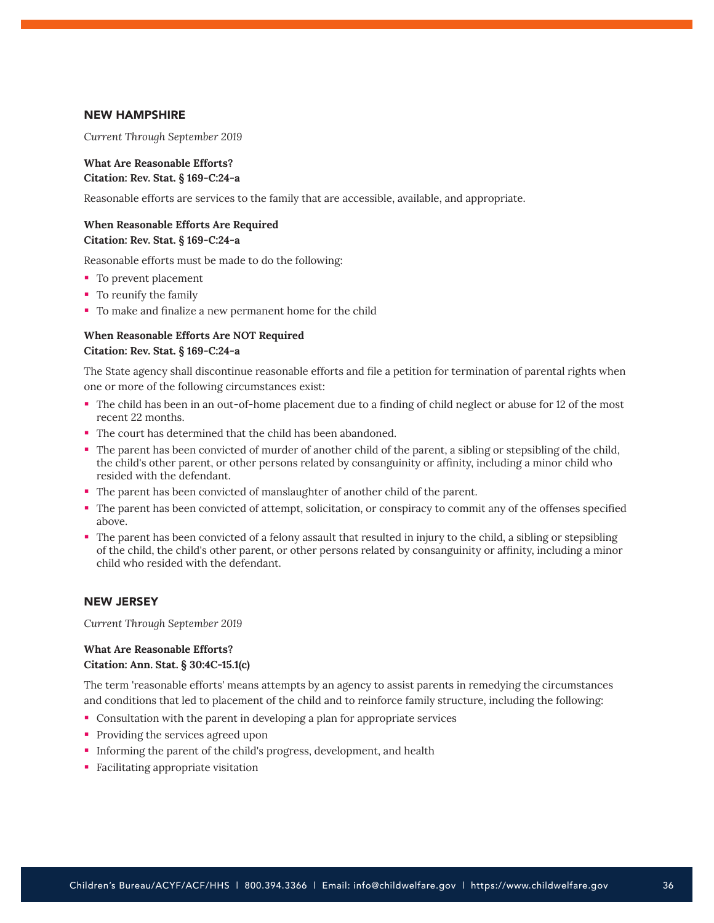#### NEW HAMPSHIRE

*Current Through September 2019*

## **What Are Reasonable Efforts? Citation: Rev. Stat. § 169-C:24-a**

Reasonable efforts are services to the family that are accessible, available, and appropriate.

#### **When Reasonable Efforts Are Required Citation: Rev. Stat. § 169-C:24-a**

Reasonable efforts must be made to do the following:

- To prevent placement
- To reunify the family
- To make and finalize a new permanent home for the child

## **When Reasonable Efforts Are NOT Required Citation: Rev. Stat. § 169-C:24-a**

The State agency shall discontinue reasonable efforts and file a petition for termination of parental rights when one or more of the following circumstances exist:

- The child has been in an out-of-home placement due to a finding of child neglect or abuse for 12 of the most recent 22 months.
- The court has determined that the child has been abandoned.
- The parent has been convicted of murder of another child of the parent, a sibling or stepsibling of the child, the child's other parent, or other persons related by consanguinity or affinity, including a minor child who resided with the defendant.
- The parent has been convicted of manslaughter of another child of the parent.
- The parent has been convicted of attempt, solicitation, or conspiracy to commit any of the offenses specified above.
- The parent has been convicted of a felony assault that resulted in injury to the child, a sibling or stepsibling of the child, the child's other parent, or other persons related by consanguinity or affinity, including a minor child who resided with the defendant.

#### NEW JERSEY

*Current Through September 2019*

#### **What Are Reasonable Efforts? Citation: Ann. Stat. § 30:4C-15.1(c)**

The term 'reasonable efforts' means attempts by an agency to assist parents in remedying the circumstances and conditions that led to placement of the child and to reinforce family structure, including the following:

- Consultation with the parent in developing a plan for appropriate services
- Providing the services agreed upon
- Informing the parent of the child's progress, development, and health
- **Facilitating appropriate visitation**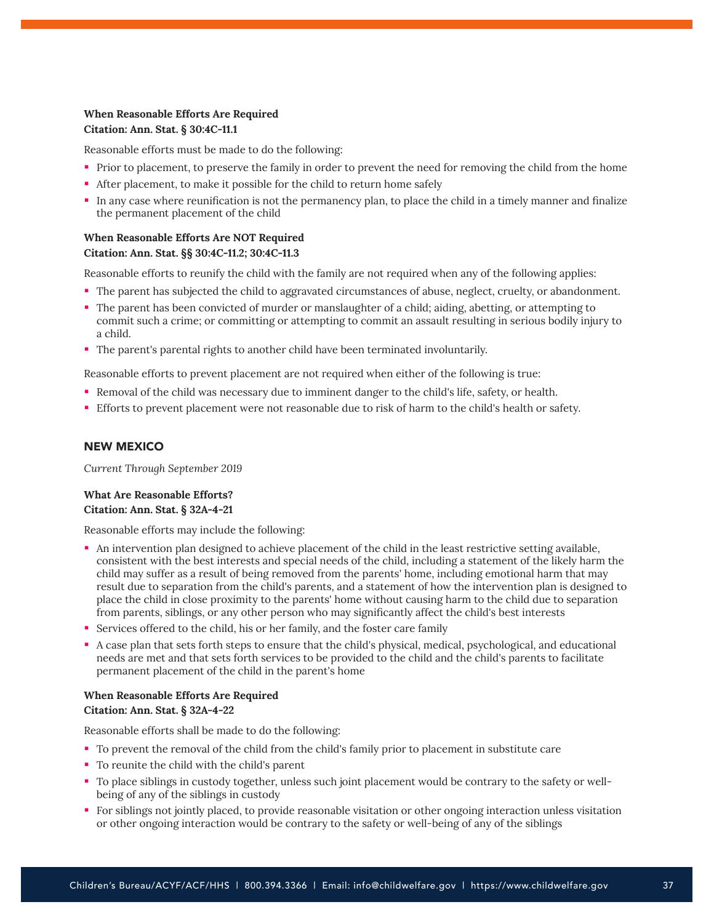## **When Reasonable Efforts Are Required Citation: Ann. Stat. § 30:4C-11.1**

Reasonable efforts must be made to do the following:

- Prior to placement, to preserve the family in order to prevent the need for removing the child from the home
- After placement, to make it possible for the child to return home safely
- In any case where reunification is not the permanency plan, to place the child in a timely manner and finalize the permanent placement of the child

## **When Reasonable Efforts Are NOT Required Citation: Ann. Stat. §§ 30:4C-11.2; 30:4C-11.3**

Reasonable efforts to reunify the child with the family are not required when any of the following applies:

- The parent has subjected the child to aggravated circumstances of abuse, neglect, cruelty, or abandonment.
- The parent has been convicted of murder or manslaughter of a child; aiding, abetting, or attempting to commit such a crime; or committing or attempting to commit an assault resulting in serious bodily injury to a child.
- The parent's parental rights to another child have been terminated involuntarily.

Reasonable efforts to prevent placement are not required when either of the following is true:

- Removal of the child was necessary due to imminent danger to the child's life, safety, or health.
- Efforts to prevent placement were not reasonable due to risk of harm to the child's health or safety.

#### NEW MEXICO

*Current Through September 2019*

## **What Are Reasonable Efforts? Citation: Ann. Stat. § 32A-4-21**

Reasonable efforts may include the following:

- An intervention plan designed to achieve placement of the child in the least restrictive setting available, consistent with the best interests and special needs of the child, including a statement of the likely harm the child may suffer as a result of being removed from the parents' home, including emotional harm that may result due to separation from the child's parents, and a statement of how the intervention plan is designed to place the child in close proximity to the parents' home without causing harm to the child due to separation from parents, siblings, or any other person who may significantly affect the child's best interests
- Services offered to the child, his or her family, and the foster care family
- A case plan that sets forth steps to ensure that the child's physical, medical, psychological, and educational needs are met and that sets forth services to be provided to the child and the child's parents to facilitate permanent placement of the child in the parent's home

## **When Reasonable Efforts Are Required Citation: Ann. Stat. § 32A-4-22**

Reasonable efforts shall be made to do the following:

- To prevent the removal of the child from the child's family prior to placement in substitute care
- To reunite the child with the child's parent
- To place siblings in custody together, unless such joint placement would be contrary to the safety or wellbeing of any of the siblings in custody
- For siblings not jointly placed, to provide reasonable visitation or other ongoing interaction unless visitation or other ongoing interaction would be contrary to the safety or well-being of any of the siblings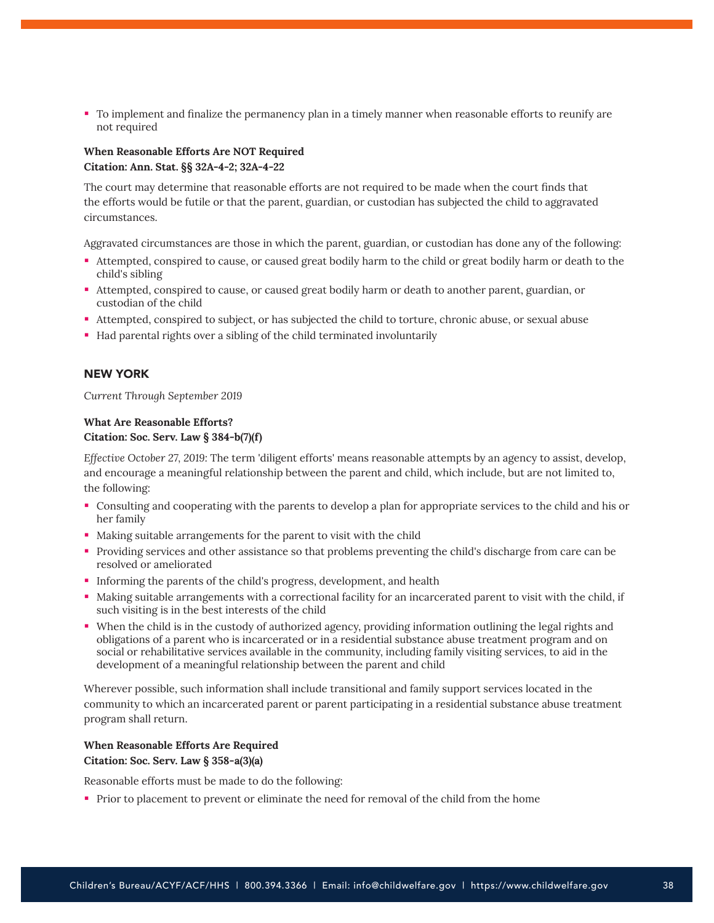To implement and finalize the permanency plan in a timely manner when reasonable efforts to reunify are not required

## **When Reasonable Efforts Are NOT Required Citation: Ann. Stat. §§ 32A-4-2; 32A-4-22**

The court may determine that reasonable efforts are not required to be made when the court finds that the efforts would be futile or that the parent, guardian, or custodian has subjected the child to aggravated circumstances.

Aggravated circumstances are those in which the parent, guardian, or custodian has done any of the following:

- Attempted, conspired to cause, or caused great bodily harm to the child or great bodily harm or death to the child's sibling
- Attempted, conspired to cause, or caused great bodily harm or death to another parent, guardian, or custodian of the child
- Attempted, conspired to subject, or has subjected the child to torture, chronic abuse, or sexual abuse
- Had parental rights over a sibling of the child terminated involuntarily

## NEW YORK

*Current Through September 2019*

## **What Are Reasonable Efforts? Citation: Soc. Serv. Law § 384-b(7)(f)**

*Effective October 27, 2019:* The term 'diligent efforts' means reasonable attempts by an agency to assist, develop, and encourage a meaningful relationship between the parent and child, which include, but are not limited to, the following:

- Consulting and cooperating with the parents to develop a plan for appropriate services to the child and his or her family
- Making suitable arrangements for the parent to visit with the child
- Providing services and other assistance so that problems preventing the child's discharge from care can be resolved or ameliorated
- Informing the parents of the child's progress, development, and health
- Making suitable arrangements with a correctional facility for an incarcerated parent to visit with the child, if such visiting is in the best interests of the child
- When the child is in the custody of authorized agency, providing information outlining the legal rights and obligations of a parent who is incarcerated or in a residential substance abuse treatment program and on social or rehabilitative services available in the community, including family visiting services, to aid in the development of a meaningful relationship between the parent and child

Wherever possible, such information shall include transitional and family support services located in the community to which an incarcerated parent or parent participating in a residential substance abuse treatment program shall return.

## **When Reasonable Efforts Are Required Citation: Soc. Serv. Law § 358-a(3)(a)**

Reasonable efforts must be made to do the following:

Prior to placement to prevent or eliminate the need for removal of the child from the home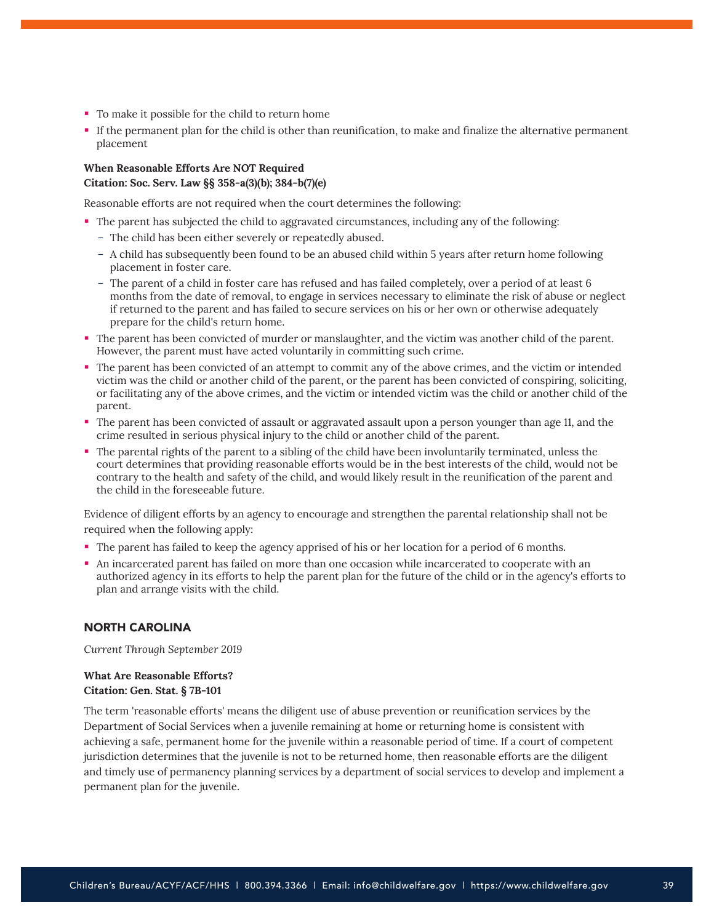- To make it possible for the child to return home
- If the permanent plan for the child is other than reunification, to make and finalize the alternative permanent placement

## **When Reasonable Efforts Are NOT Required Citation: Soc. Serv. Law §§ 358-a(3)(b); 384-b(7)(e)**

Reasonable efforts are not required when the court determines the following:

- The parent has subjected the child to aggravated circumstances, including any of the following:
	- The child has been either severely or repeatedly abused.
	- A child has subsequently been found to be an abused child within 5 years after return home following placement in foster care.
	- The parent of a child in foster care has refused and has failed completely, over a period of at least 6 months from the date of removal, to engage in services necessary to eliminate the risk of abuse or neglect if returned to the parent and has failed to secure services on his or her own or otherwise adequately prepare for the child's return home.
- The parent has been convicted of murder or manslaughter, and the victim was another child of the parent. However, the parent must have acted voluntarily in committing such crime.
- The parent has been convicted of an attempt to commit any of the above crimes, and the victim or intended victim was the child or another child of the parent, or the parent has been convicted of conspiring, soliciting, or facilitating any of the above crimes, and the victim or intended victim was the child or another child of the parent.
- The parent has been convicted of assault or aggravated assault upon a person younger than age 11, and the crime resulted in serious physical injury to the child or another child of the parent.
- The parental rights of the parent to a sibling of the child have been involuntarily terminated, unless the court determines that providing reasonable efforts would be in the best interests of the child, would not be contrary to the health and safety of the child, and would likely result in the reunification of the parent and the child in the foreseeable future.

Evidence of diligent efforts by an agency to encourage and strengthen the parental relationship shall not be required when the following apply:

- The parent has failed to keep the agency apprised of his or her location for a period of 6 months.
- An incarcerated parent has failed on more than one occasion while incarcerated to cooperate with an authorized agency in its efforts to help the parent plan for the future of the child or in the agency's efforts to plan and arrange visits with the child.

#### NORTH CAROLINA

*Current Through September 2019*

## **What Are Reasonable Efforts? Citation: Gen. Stat. § 7B-101**

The term 'reasonable efforts' means the diligent use of abuse prevention or reunification services by the Department of Social Services when a juvenile remaining at home or returning home is consistent with achieving a safe, permanent home for the juvenile within a reasonable period of time. If a court of competent jurisdiction determines that the juvenile is not to be returned home, then reasonable efforts are the diligent and timely use of permanency planning services by a department of social services to develop and implement a permanent plan for the juvenile.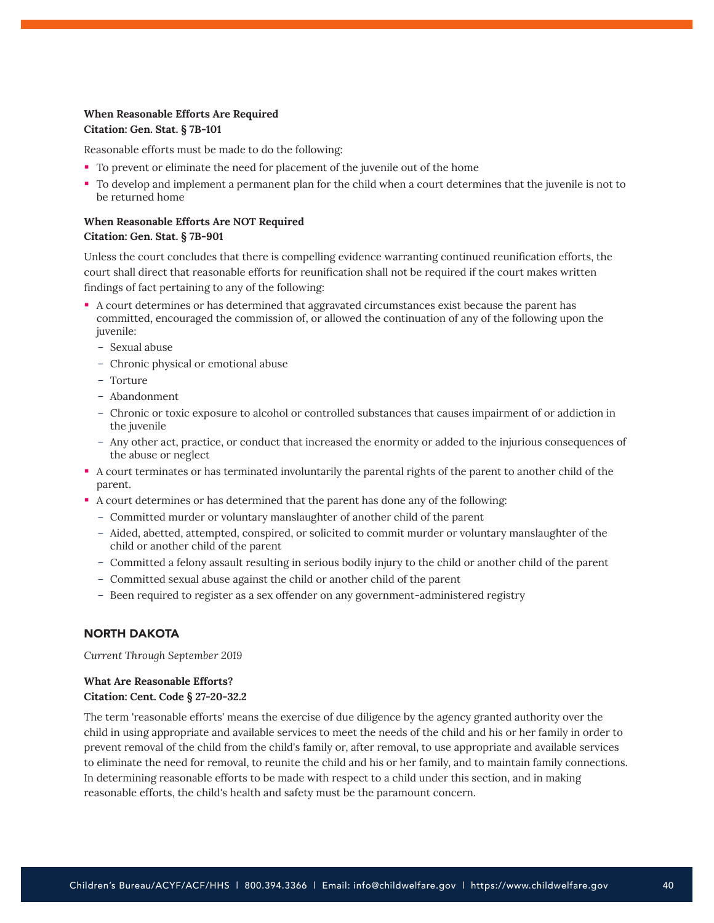## **When Reasonable Efforts Are Required Citation: Gen. Stat. § 7B-101**

Reasonable efforts must be made to do the following:

- To prevent or eliminate the need for placement of the juvenile out of the home
- To develop and implement a permanent plan for the child when a court determines that the juvenile is not to be returned home

## **When Reasonable Efforts Are NOT Required Citation: Gen. Stat. § 7B-901**

Unless the court concludes that there is compelling evidence warranting continued reunification efforts, the court shall direct that reasonable efforts for reunification shall not be required if the court makes written findings of fact pertaining to any of the following:

- A court determines or has determined that aggravated circumstances exist because the parent has committed, encouraged the commission of, or allowed the continuation of any of the following upon the juvenile:
	- Sexual abuse
	- Chronic physical or emotional abuse
	- Torture
	- Abandonment
	- Chronic or toxic exposure to alcohol or controlled substances that causes impairment of or addiction in the juvenile
	- Any other act, practice, or conduct that increased the enormity or added to the injurious consequences of the abuse or neglect
- A court terminates or has terminated involuntarily the parental rights of the parent to another child of the parent.
- A court determines or has determined that the parent has done any of the following:
	- Committed murder or voluntary manslaughter of another child of the parent
	- Aided, abetted, attempted, conspired, or solicited to commit murder or voluntary manslaughter of the child or another child of the parent
	- Committed a felony assault resulting in serious bodily injury to the child or another child of the parent
	- Committed sexual abuse against the child or another child of the parent
	- Been required to register as a sex offender on any government-administered registry

## NORTH DAKOTA

*Current Through September 2019*

#### **What Are Reasonable Efforts?**

#### **Citation: Cent. Code § 27-20-32.2**

The term 'reasonable efforts' means the exercise of due diligence by the agency granted authority over the child in using appropriate and available services to meet the needs of the child and his or her family in order to prevent removal of the child from the child's family or, after removal, to use appropriate and available services to eliminate the need for removal, to reunite the child and his or her family, and to maintain family connections. In determining reasonable efforts to be made with respect to a child under this section, and in making reasonable efforts, the child's health and safety must be the paramount concern.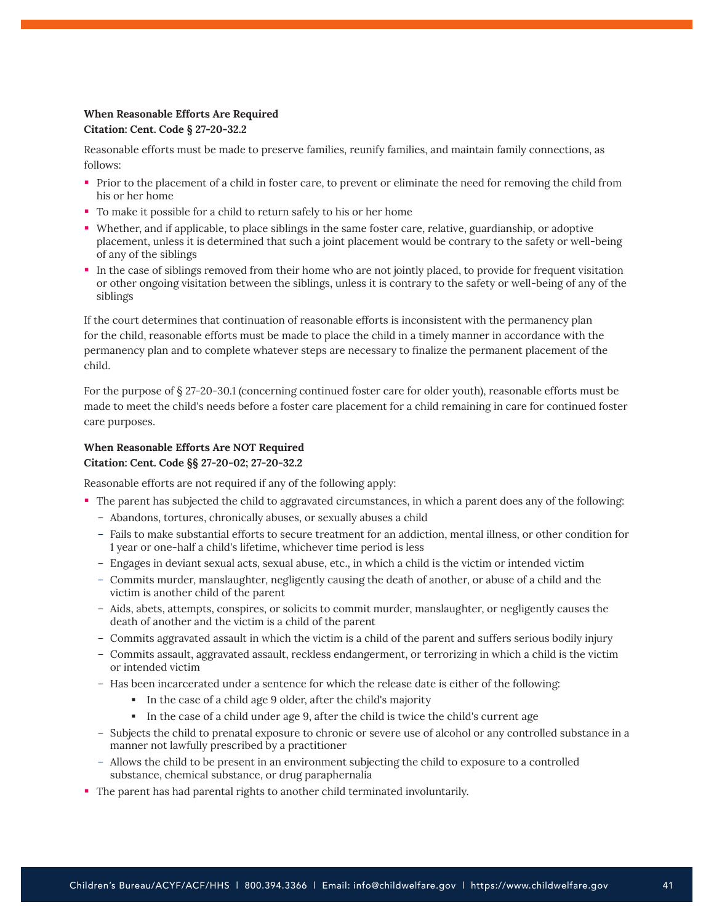## **When Reasonable Efforts Are Required Citation: Cent. Code § 27-20-32.2**

Reasonable efforts must be made to preserve families, reunify families, and maintain family connections, as follows:

- Prior to the placement of a child in foster care, to prevent or eliminate the need for removing the child from his or her home
- To make it possible for a child to return safely to his or her home
- Whether, and if applicable, to place siblings in the same foster care, relative, guardianship, or adoptive placement, unless it is determined that such a joint placement would be contrary to the safety or well-being of any of the siblings
- In the case of siblings removed from their home who are not jointly placed, to provide for frequent visitation or other ongoing visitation between the siblings, unless it is contrary to the safety or well-being of any of the siblings

If the court determines that continuation of reasonable efforts is inconsistent with the permanency plan for the child, reasonable efforts must be made to place the child in a timely manner in accordance with the permanency plan and to complete whatever steps are necessary to finalize the permanent placement of the child.

For the purpose of § 27-20-30.1 (concerning continued foster care for older youth), reasonable efforts must be made to meet the child's needs before a foster care placement for a child remaining in care for continued foster care purposes.

## **When Reasonable Efforts Are NOT Required Citation: Cent. Code §§ 27-20-02; 27-20-32.2**

Reasonable efforts are not required if any of the following apply:

- The parent has subjected the child to aggravated circumstances, in which a parent does any of the following: – Abandons, tortures, chronically abuses, or sexually abuses a child
	- Fails to make substantial efforts to secure treatment for an addiction, mental illness, or other condition for 1 year or one-half a child's lifetime, whichever time period is less
	- Engages in deviant sexual acts, sexual abuse, etc., in which a child is the victim or intended victim
	- Commits murder, manslaughter, negligently causing the death of another, or abuse of a child and the victim is another child of the parent
	- Aids, abets, attempts, conspires, or solicits to commit murder, manslaughter, or negligently causes the death of another and the victim is a child of the parent
	- Commits aggravated assault in which the victim is a child of the parent and suffers serious bodily injury
	- Commits assault, aggravated assault, reckless endangerment, or terrorizing in which a child is the victim or intended victim
	- Has been incarcerated under a sentence for which the release date is either of the following:
		- In the case of a child age 9 older, after the child's majority
		- In the case of a child under age 9, after the child is twice the child's current age
	- Subjects the child to prenatal exposure to chronic or severe use of alcohol or any controlled substance in a manner not lawfully prescribed by a practitioner
	- Allows the child to be present in an environment subjecting the child to exposure to a controlled substance, chemical substance, or drug paraphernalia
- The parent has had parental rights to another child terminated involuntarily.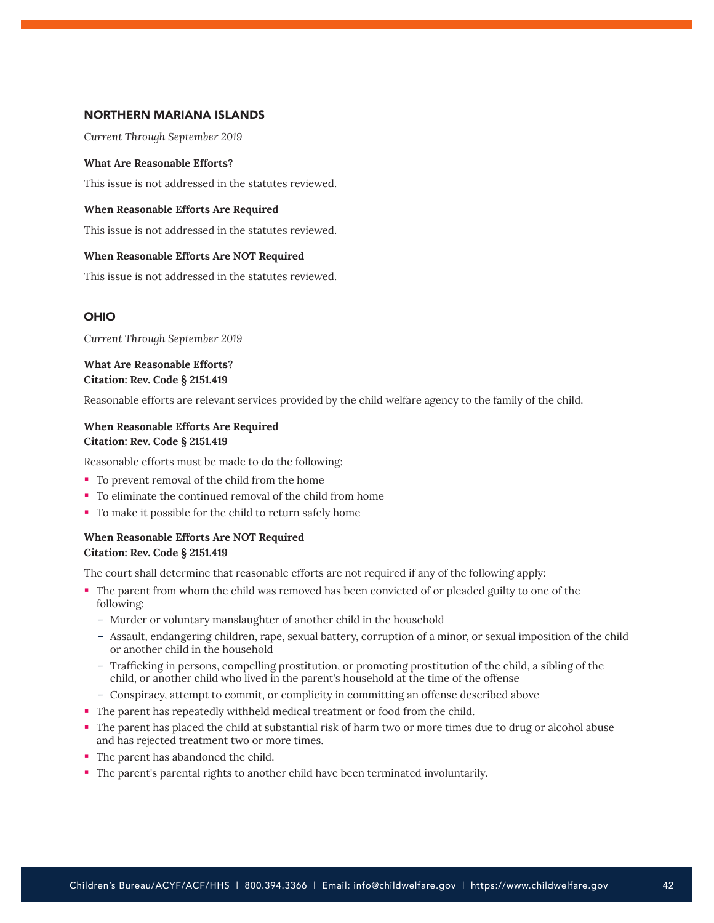#### NORTHERN MARIANA ISLANDS

*Current Through September 2019*

#### **What Are Reasonable Efforts?**

This issue is not addressed in the statutes reviewed.

#### **When Reasonable Efforts Are Required**

This issue is not addressed in the statutes reviewed.

#### **When Reasonable Efforts Are NOT Required**

This issue is not addressed in the statutes reviewed.

#### OHIO

*Current Through September 2019*

## **What Are Reasonable Efforts? Citation: Rev. Code § 2151.419**

Reasonable efforts are relevant services provided by the child welfare agency to the family of the child.

## **When Reasonable Efforts Are Required Citation: Rev. Code § 2151.419**

Reasonable efforts must be made to do the following:

- To prevent removal of the child from the home
- To eliminate the continued removal of the child from home
- To make it possible for the child to return safely home

## **When Reasonable Efforts Are NOT Required Citation: Rev. Code § 2151.419**

The court shall determine that reasonable efforts are not required if any of the following apply:

- The parent from whom the child was removed has been convicted of or pleaded guilty to one of the following:
	- Murder or voluntary manslaughter of another child in the household
	- Assault, endangering children, rape, sexual battery, corruption of a minor, or sexual imposition of the child or another child in the household
	- Trafficking in persons, compelling prostitution, or promoting prostitution of the child, a sibling of the child, or another child who lived in the parent's household at the time of the offense
	- Conspiracy, attempt to commit, or complicity in committing an offense described above
- The parent has repeatedly withheld medical treatment or food from the child.
- The parent has placed the child at substantial risk of harm two or more times due to drug or alcohol abuse and has rejected treatment two or more times.
- The parent has abandoned the child.
- The parent's parental rights to another child have been terminated involuntarily.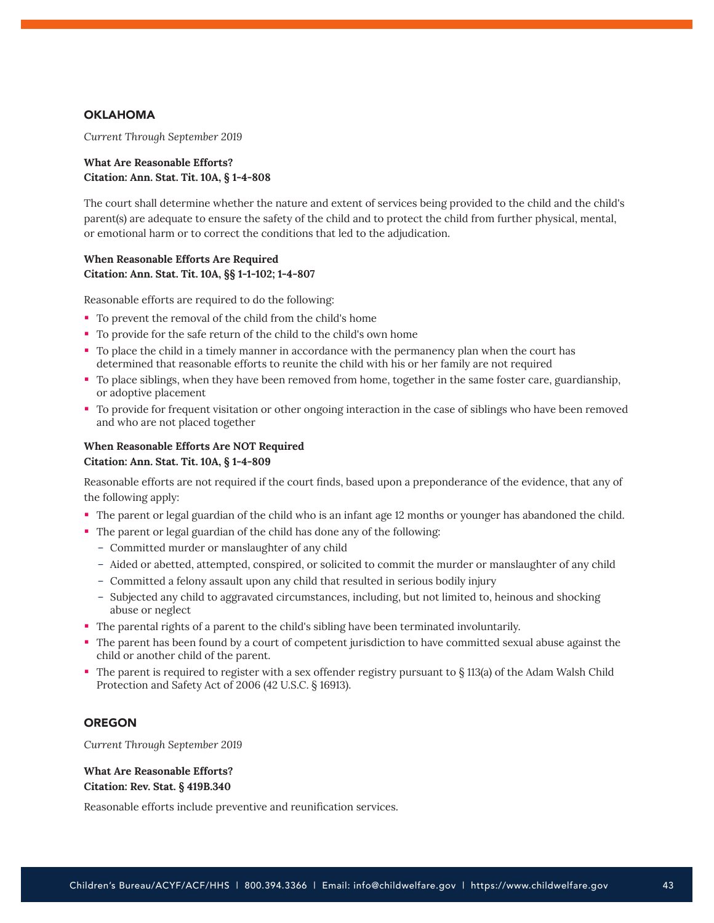## **OKLAHOMA**

*Current Through September 2019*

#### **What Are Reasonable Efforts? Citation: Ann. Stat. Tit. 10A, § 1-4-808**

The court shall determine whether the nature and extent of services being provided to the child and the child's parent(s) are adequate to ensure the safety of the child and to protect the child from further physical, mental, or emotional harm or to correct the conditions that led to the adjudication.

## **When Reasonable Efforts Are Required Citation: Ann. Stat. Tit. 10A, §§ 1-1-102; 1-4-807**

Reasonable efforts are required to do the following:

- To prevent the removal of the child from the child's home
- To provide for the safe return of the child to the child's own home
- To place the child in a timely manner in accordance with the permanency plan when the court has determined that reasonable efforts to reunite the child with his or her family are not required
- To place siblings, when they have been removed from home, together in the same foster care, guardianship, or adoptive placement
- To provide for frequent visitation or other ongoing interaction in the case of siblings who have been removed and who are not placed together

# **When Reasonable Efforts Are NOT Required**

#### **Citation: Ann. Stat. Tit. 10A, § 1-4-809**

Reasonable efforts are not required if the court finds, based upon a preponderance of the evidence, that any of the following apply:

- The parent or legal guardian of the child who is an infant age 12 months or younger has abandoned the child.
- The parent or legal guardian of the child has done any of the following:
	- Committed murder or manslaughter of any child
	- Aided or abetted, attempted, conspired, or solicited to commit the murder or manslaughter of any child
	- Committed a felony assault upon any child that resulted in serious bodily injury
	- Subjected any child to aggravated circumstances, including, but not limited to, heinous and shocking abuse or neglect
- The parental rights of a parent to the child's sibling have been terminated involuntarily.
- The parent has been found by a court of competent jurisdiction to have committed sexual abuse against the child or another child of the parent.
- The parent is required to register with a sex offender registry pursuant to § 113(a) of the Adam Walsh Child Protection and Safety Act of 2006 (42 U.S.C. § 16913).

#### **OREGON**

*Current Through September 2019*

**What Are Reasonable Efforts? Citation: Rev. Stat. § 419B.340**

Reasonable efforts include preventive and reunification services.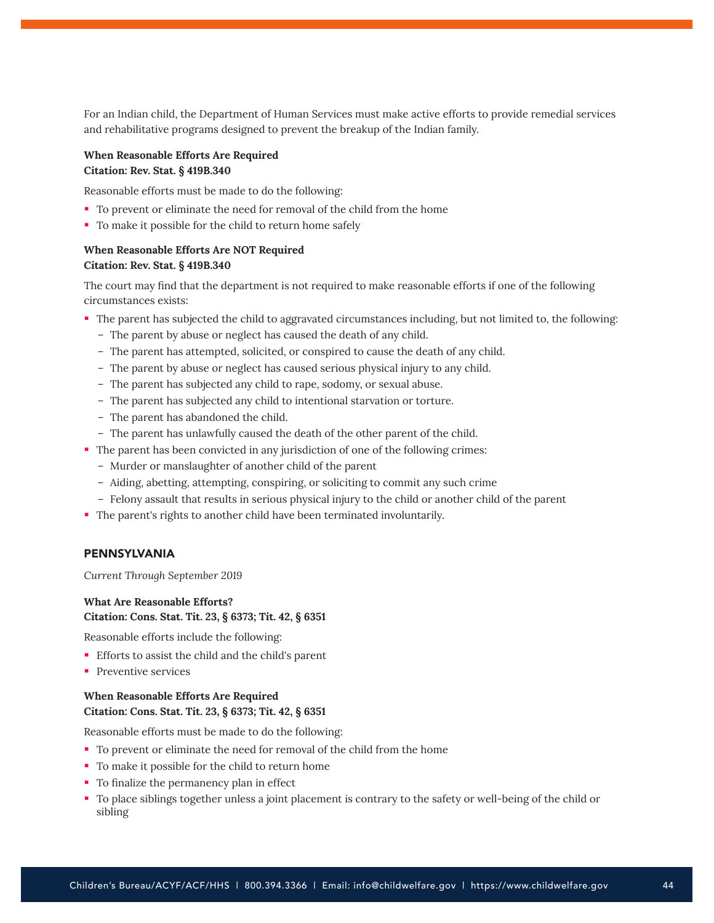For an Indian child, the Department of Human Services must make active efforts to provide remedial services and rehabilitative programs designed to prevent the breakup of the Indian family.

## **When Reasonable Efforts Are Required Citation: Rev. Stat. § 419B.340**

Reasonable efforts must be made to do the following:

- To prevent or eliminate the need for removal of the child from the home
- To make it possible for the child to return home safely

## **When Reasonable Efforts Are NOT Required Citation: Rev. Stat. § 419B.340**

The court may find that the department is not required to make reasonable efforts if one of the following circumstances exists:

- The parent has subjected the child to aggravated circumstances including, but not limited to, the following:
	- The parent by abuse or neglect has caused the death of any child.
	- The parent has attempted, solicited, or conspired to cause the death of any child.
	- The parent by abuse or neglect has caused serious physical injury to any child.
	- The parent has subjected any child to rape, sodomy, or sexual abuse.
	- The parent has subjected any child to intentional starvation or torture.
	- The parent has abandoned the child.
	- The parent has unlawfully caused the death of the other parent of the child.
- The parent has been convicted in any jurisdiction of one of the following crimes:
	- Murder or manslaughter of another child of the parent
	- Aiding, abetting, attempting, conspiring, or soliciting to commit any such crime
	- Felony assault that results in serious physical injury to the child or another child of the parent
- The parent's rights to another child have been terminated involuntarily.

#### PENNSYLVANIA

*Current Through September 2019*

## **What Are Reasonable Efforts?**

#### **Citation: Cons. Stat. Tit. 23, § 6373; Tit. 42, § 6351**

Reasonable efforts include the following:

- Efforts to assist the child and the child's parent
- **Preventive services**

## **When Reasonable Efforts Are Required Citation: Cons. Stat. Tit. 23, § 6373; Tit. 42, § 6351**

Reasonable efforts must be made to do the following:

- To prevent or eliminate the need for removal of the child from the home
- To make it possible for the child to return home
- To finalize the permanency plan in effect
- To place siblings together unless a joint placement is contrary to the safety or well-being of the child or sibling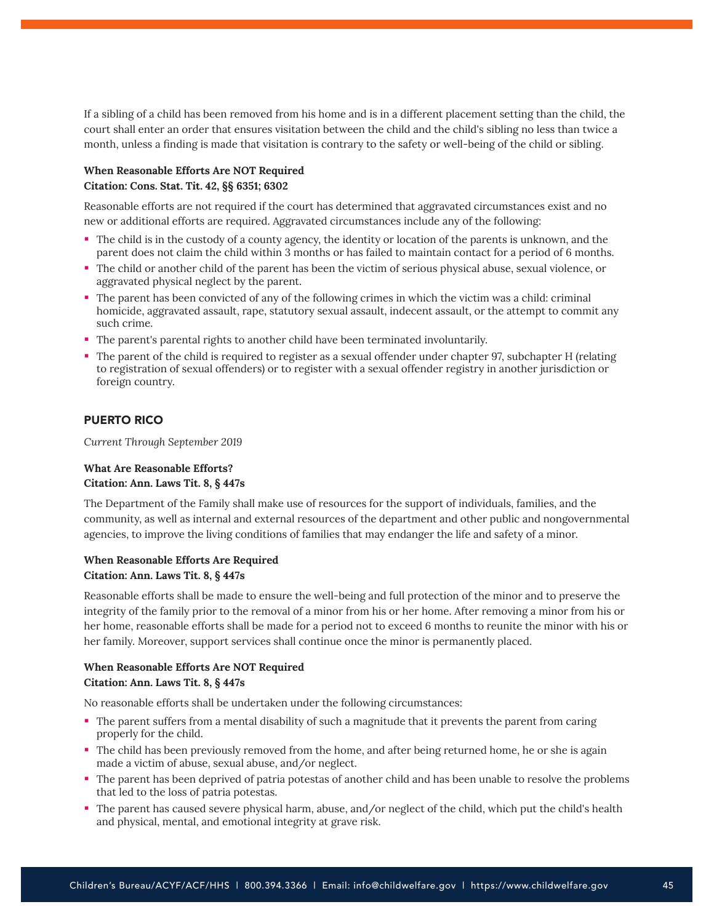If a sibling of a child has been removed from his home and is in a different placement setting than the child, the court shall enter an order that ensures visitation between the child and the child's sibling no less than twice a month, unless a finding is made that visitation is contrary to the safety or well-being of the child or sibling.

## **When Reasonable Efforts Are NOT Required Citation: Cons. Stat. Tit. 42, §§ 6351; 6302**

Reasonable efforts are not required if the court has determined that aggravated circumstances exist and no new or additional efforts are required. Aggravated circumstances include any of the following:

- The child is in the custody of a county agency, the identity or location of the parents is unknown, and the parent does not claim the child within 3 months or has failed to maintain contact for a period of 6 months.
- The child or another child of the parent has been the victim of serious physical abuse, sexual violence, or aggravated physical neglect by the parent.
- The parent has been convicted of any of the following crimes in which the victim was a child: criminal homicide, aggravated assault, rape, statutory sexual assault, indecent assault, or the attempt to commit any such crime.
- The parent's parental rights to another child have been terminated involuntarily.
- The parent of the child is required to register as a sexual offender under chapter 97, subchapter H (relating to registration of sexual offenders) or to register with a sexual offender registry in another jurisdiction or foreign country.

## PUERTO RICO

*Current Through September 2019*

#### **What Are Reasonable Efforts? Citation: Ann. Laws Tit. 8, § 447s**

The Department of the Family shall make use of resources for the support of individuals, families, and the community, as well as internal and external resources of the department and other public and nongovernmental agencies, to improve the living conditions of families that may endanger the life and safety of a minor.

## **When Reasonable Efforts Are Required Citation: Ann. Laws Tit. 8, § 447s**

Reasonable efforts shall be made to ensure the well-being and full protection of the minor and to preserve the integrity of the family prior to the removal of a minor from his or her home. After removing a minor from his or her home, reasonable efforts shall be made for a period not to exceed 6 months to reunite the minor with his or her family. Moreover, support services shall continue once the minor is permanently placed.

## **When Reasonable Efforts Are NOT Required Citation: Ann. Laws Tit. 8, § 447s**

No reasonable efforts shall be undertaken under the following circumstances:

- The parent suffers from a mental disability of such a magnitude that it prevents the parent from caring properly for the child.
- The child has been previously removed from the home, and after being returned home, he or she is again made a victim of abuse, sexual abuse, and/or neglect.
- The parent has been deprived of patria potestas of another child and has been unable to resolve the problems that led to the loss of patria potestas.
- The parent has caused severe physical harm, abuse, and/or neglect of the child, which put the child's health and physical, mental, and emotional integrity at grave risk.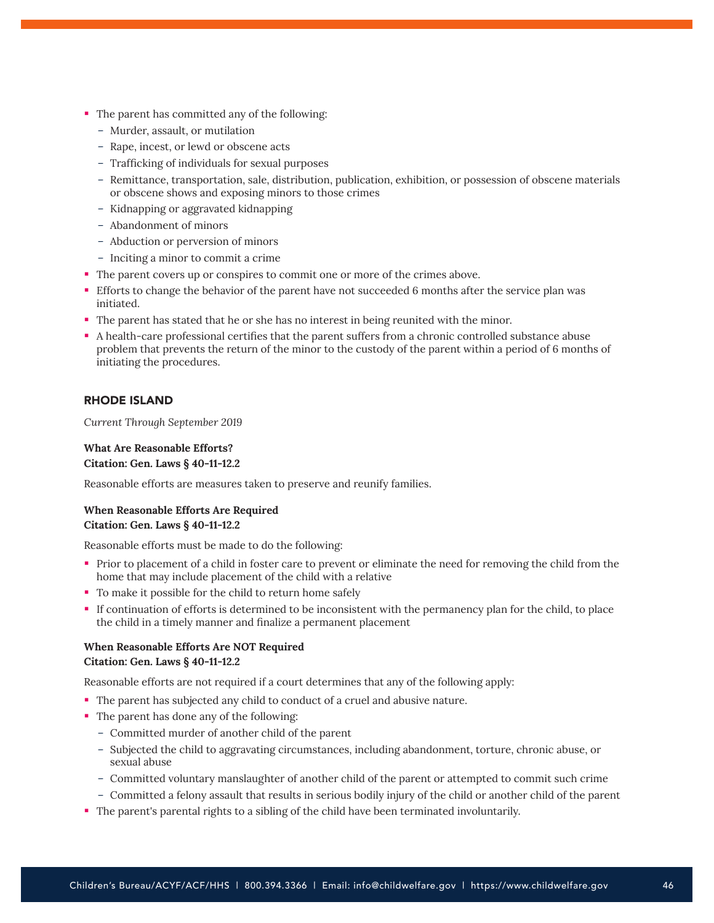- The parent has committed any of the following:
	- Murder, assault, or mutilation
	- Rape, incest, or lewd or obscene acts
	- Trafficking of individuals for sexual purposes
	- Remittance, transportation, sale, distribution, publication, exhibition, or possession of obscene materials or obscene shows and exposing minors to those crimes
	- Kidnapping or aggravated kidnapping
	- Abandonment of minors
	- Abduction or perversion of minors
	- Inciting a minor to commit a crime
- The parent covers up or conspires to commit one or more of the crimes above.
- Efforts to change the behavior of the parent have not succeeded 6 months after the service plan was initiated.
- The parent has stated that he or she has no interest in being reunited with the minor.
- A health-care professional certifies that the parent suffers from a chronic controlled substance abuse problem that prevents the return of the minor to the custody of the parent within a period of 6 months of initiating the procedures.

## RHODE ISLAND

*Current Through September 2019*

## **What Are Reasonable Efforts? Citation: Gen. Laws § 40-11-12.2**

Reasonable efforts are measures taken to preserve and reunify families.

## **When Reasonable Efforts Are Required Citation: Gen. Laws § 40-11-12.2**

Reasonable efforts must be made to do the following:

- Prior to placement of a child in foster care to prevent or eliminate the need for removing the child from the home that may include placement of the child with a relative
- To make it possible for the child to return home safely
- If continuation of efforts is determined to be inconsistent with the permanency plan for the child, to place the child in a timely manner and finalize a permanent placement

# **When Reasonable Efforts Are NOT Required Citation: Gen. Laws § 40-11-12.2**

Reasonable efforts are not required if a court determines that any of the following apply:

- The parent has subjected any child to conduct of a cruel and abusive nature.
- The parent has done any of the following:
	- Committed murder of another child of the parent
	- Subjected the child to aggravating circumstances, including abandonment, torture, chronic abuse, or sexual abuse
	- Committed voluntary manslaughter of another child of the parent or attempted to commit such crime
	- Committed a felony assault that results in serious bodily injury of the child or another child of the parent
- The parent's parental rights to a sibling of the child have been terminated involuntarily.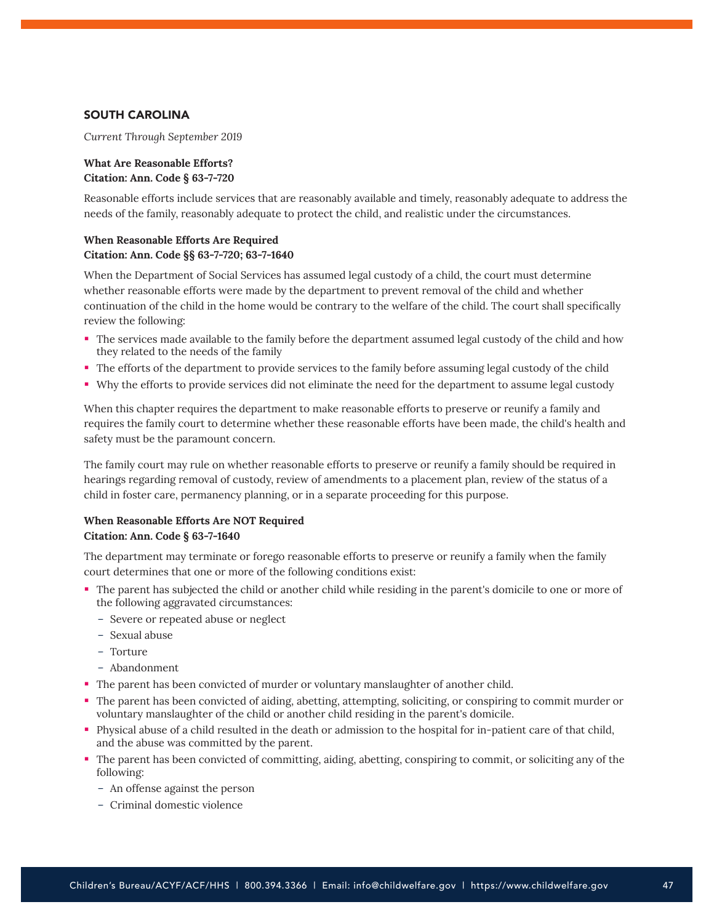## SOUTH CAROLINA

*Current Through September 2019*

## **What Are Reasonable Efforts? Citation: Ann. Code § 63-7-720**

Reasonable efforts include services that are reasonably available and timely, reasonably adequate to address the needs of the family, reasonably adequate to protect the child, and realistic under the circumstances.

## **When Reasonable Efforts Are Required Citation: Ann. Code §§ 63-7-720; 63-7-1640**

When the Department of Social Services has assumed legal custody of a child, the court must determine whether reasonable efforts were made by the department to prevent removal of the child and whether continuation of the child in the home would be contrary to the welfare of the child. The court shall specifically review the following:

- The services made available to the family before the department assumed legal custody of the child and how they related to the needs of the family
- The efforts of the department to provide services to the family before assuming legal custody of the child
- Why the efforts to provide services did not eliminate the need for the department to assume legal custody

When this chapter requires the department to make reasonable efforts to preserve or reunify a family and requires the family court to determine whether these reasonable efforts have been made, the child's health and safety must be the paramount concern.

The family court may rule on whether reasonable efforts to preserve or reunify a family should be required in hearings regarding removal of custody, review of amendments to a placement plan, review of the status of a child in foster care, permanency planning, or in a separate proceeding for this purpose.

## **When Reasonable Efforts Are NOT Required Citation: Ann. Code § 63-7-1640**

The department may terminate or forego reasonable efforts to preserve or reunify a family when the family court determines that one or more of the following conditions exist:

- The parent has subjected the child or another child while residing in the parent's domicile to one or more of the following aggravated circumstances:
	- Severe or repeated abuse or neglect
	- Sexual abuse
	- Torture
	- Abandonment
- The parent has been convicted of murder or voluntary manslaughter of another child.
- The parent has been convicted of aiding, abetting, attempting, soliciting, or conspiring to commit murder or voluntary manslaughter of the child or another child residing in the parent's domicile.
- Physical abuse of a child resulted in the death or admission to the hospital for in-patient care of that child, and the abuse was committed by the parent.
- The parent has been convicted of committing, aiding, abetting, conspiring to commit, or soliciting any of the following:
	- An offense against the person
	- Criminal domestic violence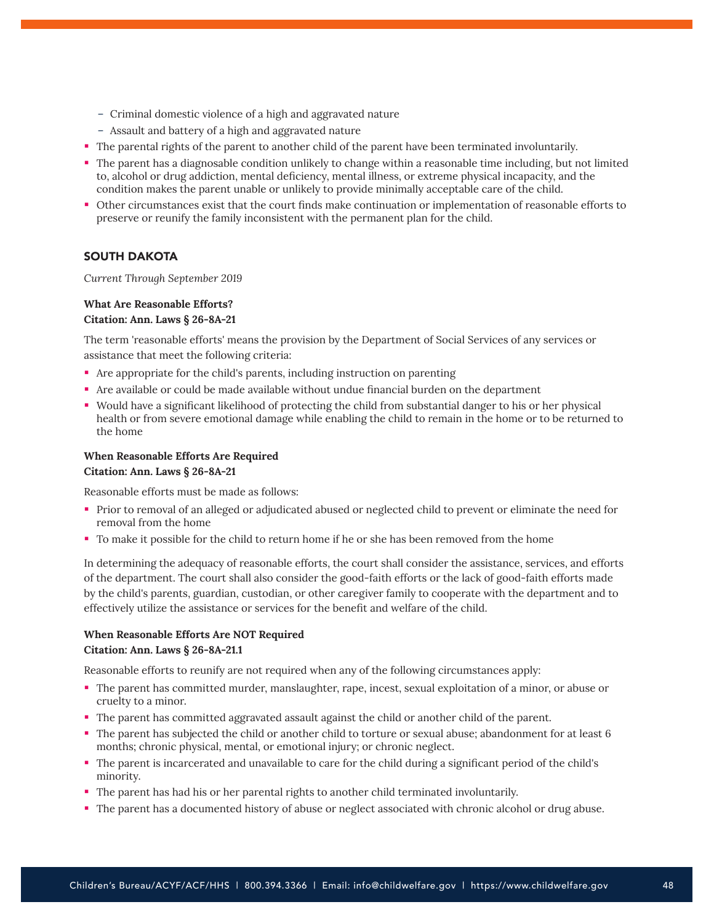- Criminal domestic violence of a high and aggravated nature
- Assault and battery of a high and aggravated nature
- The parental rights of the parent to another child of the parent have been terminated involuntarily.
- The parent has a diagnosable condition unlikely to change within a reasonable time including, but not limited to, alcohol or drug addiction, mental deficiency, mental illness, or extreme physical incapacity, and the condition makes the parent unable or unlikely to provide minimally acceptable care of the child.
- Other circumstances exist that the court finds make continuation or implementation of reasonable efforts to preserve or reunify the family inconsistent with the permanent plan for the child.

## SOUTH DAKOTA

*Current Through September 2019*

#### **What Are Reasonable Efforts? Citation: Ann. Laws § 26-8A-21**

The term 'reasonable efforts' means the provision by the Department of Social Services of any services or assistance that meet the following criteria:

- Are appropriate for the child's parents, including instruction on parenting
- Are available or could be made available without undue financial burden on the department
- Would have a significant likelihood of protecting the child from substantial danger to his or her physical health or from severe emotional damage while enabling the child to remain in the home or to be returned to the home

#### **When Reasonable Efforts Are Required Citation: Ann. Laws § 26-8A-21**

Reasonable efforts must be made as follows:

- Prior to removal of an alleged or adjudicated abused or neglected child to prevent or eliminate the need for removal from the home
- To make it possible for the child to return home if he or she has been removed from the home

In determining the adequacy of reasonable efforts, the court shall consider the assistance, services, and efforts of the department. The court shall also consider the good-faith efforts or the lack of good-faith efforts made by the child's parents, guardian, custodian, or other caregiver family to cooperate with the department and to effectively utilize the assistance or services for the benefit and welfare of the child.

#### **When Reasonable Efforts Are NOT Required Citation: Ann. Laws § 26-8A-21.1**

Reasonable efforts to reunify are not required when any of the following circumstances apply:

- The parent has committed murder, manslaughter, rape, incest, sexual exploitation of a minor, or abuse or cruelty to a minor.
- The parent has committed aggravated assault against the child or another child of the parent.
- The parent has subjected the child or another child to torture or sexual abuse; abandonment for at least 6 months; chronic physical, mental, or emotional injury; or chronic neglect.
- The parent is incarcerated and unavailable to care for the child during a significant period of the child's minority.
- The parent has had his or her parental rights to another child terminated involuntarily.
- The parent has a documented history of abuse or neglect associated with chronic alcohol or drug abuse.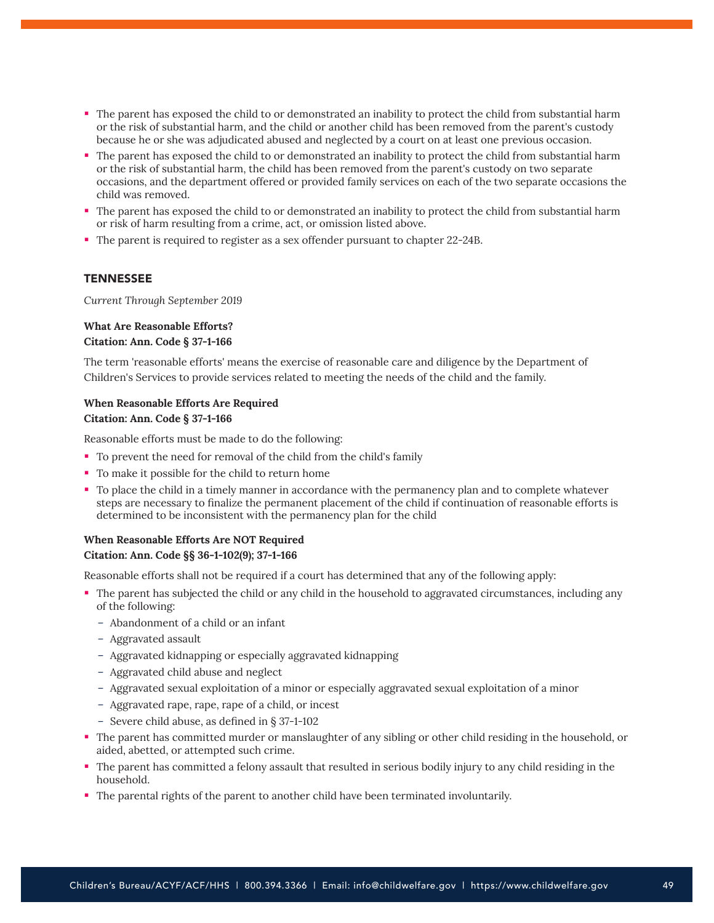- The parent has exposed the child to or demonstrated an inability to protect the child from substantial harm or the risk of substantial harm, and the child or another child has been removed from the parent's custody because he or she was adjudicated abused and neglected by a court on at least one previous occasion.
- The parent has exposed the child to or demonstrated an inability to protect the child from substantial harm or the risk of substantial harm, the child has been removed from the parent's custody on two separate occasions, and the department offered or provided family services on each of the two separate occasions the child was removed.
- The parent has exposed the child to or demonstrated an inability to protect the child from substantial harm or risk of harm resulting from a crime, act, or omission listed above.
- The parent is required to register as a sex offender pursuant to chapter 22-24B.

#### **TENNESSEE**

*Current Through September 2019*

## **What Are Reasonable Efforts? Citation: Ann. Code § 37-1-166**

The term 'reasonable efforts' means the exercise of reasonable care and diligence by the Department of Children's Services to provide services related to meeting the needs of the child and the family.

## **When Reasonable Efforts Are Required Citation: Ann. Code § 37-1-166**

Reasonable efforts must be made to do the following:

- To prevent the need for removal of the child from the child's family
- To make it possible for the child to return home
- To place the child in a timely manner in accordance with the permanency plan and to complete whatever steps are necessary to finalize the permanent placement of the child if continuation of reasonable efforts is determined to be inconsistent with the permanency plan for the child

## **When Reasonable Efforts Are NOT Required Citation: Ann. Code §§ 36-1-102(9); 37-1-166**

Reasonable efforts shall not be required if a court has determined that any of the following apply:

- The parent has subjected the child or any child in the household to aggravated circumstances, including any of the following:
	- Abandonment of a child or an infant
	- Aggravated assault
	- Aggravated kidnapping or especially aggravated kidnapping
	- Aggravated child abuse and neglect
	- Aggravated sexual exploitation of a minor or especially aggravated sexual exploitation of a minor
	- Aggravated rape, rape, rape of a child, or incest
	- Severe child abuse, as defined in § 37-1-102
- The parent has committed murder or manslaughter of any sibling or other child residing in the household, or aided, abetted, or attempted such crime.
- The parent has committed a felony assault that resulted in serious bodily injury to any child residing in the household.
- The parental rights of the parent to another child have been terminated involuntarily.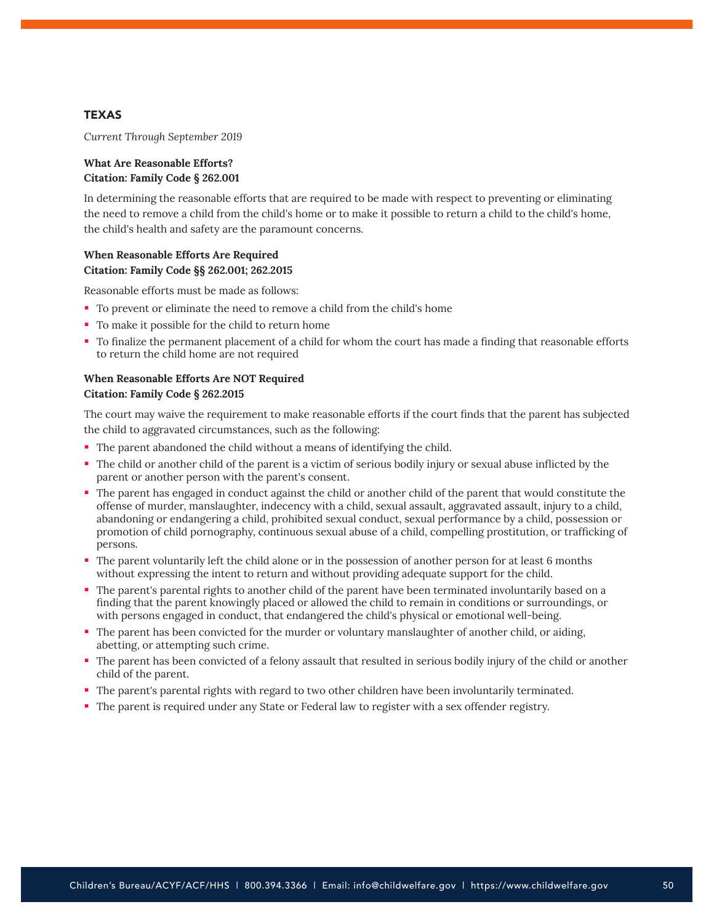## **TEXAS**

*Current Through September 2019*

#### **What Are Reasonable Efforts? Citation: Family Code § 262.001**

In determining the reasonable efforts that are required to be made with respect to preventing or eliminating the need to remove a child from the child's home or to make it possible to return a child to the child's home, the child's health and safety are the paramount concerns.

## **When Reasonable Efforts Are Required Citation: Family Code §§ 262.001; 262.2015**

Reasonable efforts must be made as follows:

- To prevent or eliminate the need to remove a child from the child's home
- To make it possible for the child to return home
- To finalize the permanent placement of a child for whom the court has made a finding that reasonable efforts to return the child home are not required

#### **When Reasonable Efforts Are NOT Required Citation: Family Code § 262.2015**

The court may waive the requirement to make reasonable efforts if the court finds that the parent has subjected the child to aggravated circumstances, such as the following:

- The parent abandoned the child without a means of identifying the child.
- The child or another child of the parent is a victim of serious bodily injury or sexual abuse inflicted by the parent or another person with the parent's consent.
- The parent has engaged in conduct against the child or another child of the parent that would constitute the offense of murder, manslaughter, indecency with a child, sexual assault, aggravated assault, injury to a child, abandoning or endangering a child, prohibited sexual conduct, sexual performance by a child, possession or promotion of child pornography, continuous sexual abuse of a child, compelling prostitution, or trafficking of persons.
- The parent voluntarily left the child alone or in the possession of another person for at least 6 months without expressing the intent to return and without providing adequate support for the child.
- The parent's parental rights to another child of the parent have been terminated involuntarily based on a finding that the parent knowingly placed or allowed the child to remain in conditions or surroundings, or with persons engaged in conduct, that endangered the child's physical or emotional well-being.
- The parent has been convicted for the murder or voluntary manslaughter of another child, or aiding, abetting, or attempting such crime.
- The parent has been convicted of a felony assault that resulted in serious bodily injury of the child or another child of the parent.
- The parent's parental rights with regard to two other children have been involuntarily terminated.
- The parent is required under any State or Federal law to register with a sex offender registry.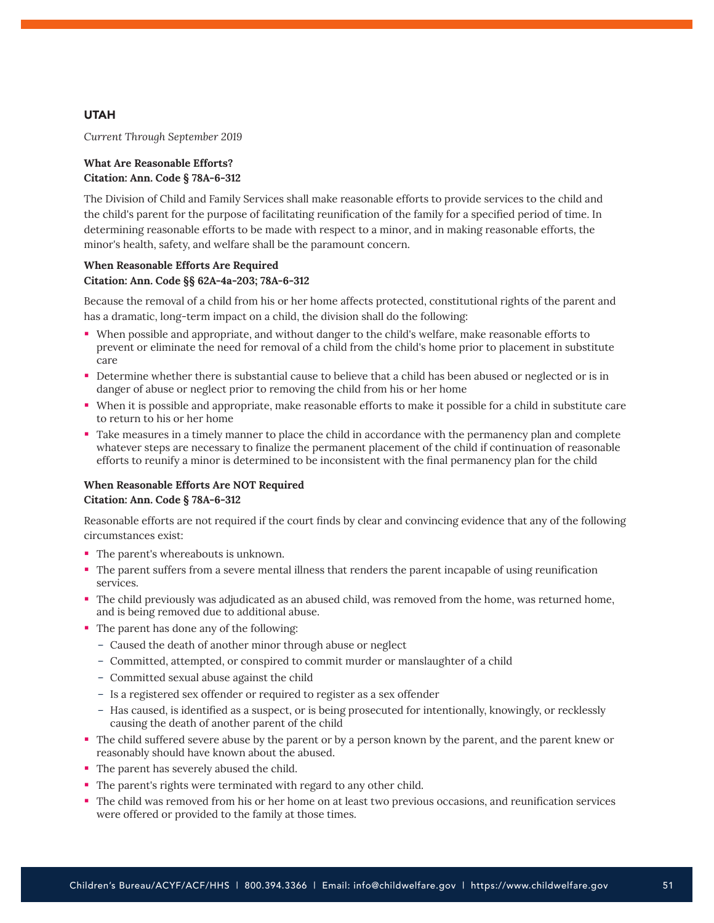## **UTAH**

*Current Through September 2019*

#### **What Are Reasonable Efforts? Citation: Ann. Code § 78A-6-312**

The Division of Child and Family Services shall make reasonable efforts to provide services to the child and the child's parent for the purpose of facilitating reunification of the family for a specified period of time. In determining reasonable efforts to be made with respect to a minor, and in making reasonable efforts, the minor's health, safety, and welfare shall be the paramount concern.

## **When Reasonable Efforts Are Required Citation: Ann. Code §§ 62A-4a-203; 78A-6-312**

Because the removal of a child from his or her home affects protected, constitutional rights of the parent and has a dramatic, long-term impact on a child, the division shall do the following:

- When possible and appropriate, and without danger to the child's welfare, make reasonable efforts to prevent or eliminate the need for removal of a child from the child's home prior to placement in substitute care
- Determine whether there is substantial cause to believe that a child has been abused or neglected or is in danger of abuse or neglect prior to removing the child from his or her home
- When it is possible and appropriate, make reasonable efforts to make it possible for a child in substitute care to return to his or her home
- Take measures in a timely manner to place the child in accordance with the permanency plan and complete whatever steps are necessary to finalize the permanent placement of the child if continuation of reasonable efforts to reunify a minor is determined to be inconsistent with the final permanency plan for the child

## **When Reasonable Efforts Are NOT Required Citation: Ann. Code § 78A-6-312**

Reasonable efforts are not required if the court finds by clear and convincing evidence that any of the following circumstances exist:

- The parent's whereabouts is unknown.
- The parent suffers from a severe mental illness that renders the parent incapable of using reunification services.
- The child previously was adjudicated as an abused child, was removed from the home, was returned home, and is being removed due to additional abuse.
- The parent has done any of the following:
	- Caused the death of another minor through abuse or neglect
	- Committed, attempted, or conspired to commit murder or manslaughter of a child
	- Committed sexual abuse against the child
	- Is a registered sex offender or required to register as a sex offender
	- Has caused, is identified as a suspect, or is being prosecuted for intentionally, knowingly, or recklessly causing the death of another parent of the child
- The child suffered severe abuse by the parent or by a person known by the parent, and the parent knew or reasonably should have known about the abused.
- The parent has severely abused the child.
- The parent's rights were terminated with regard to any other child.
- The child was removed from his or her home on at least two previous occasions, and reunification services were offered or provided to the family at those times.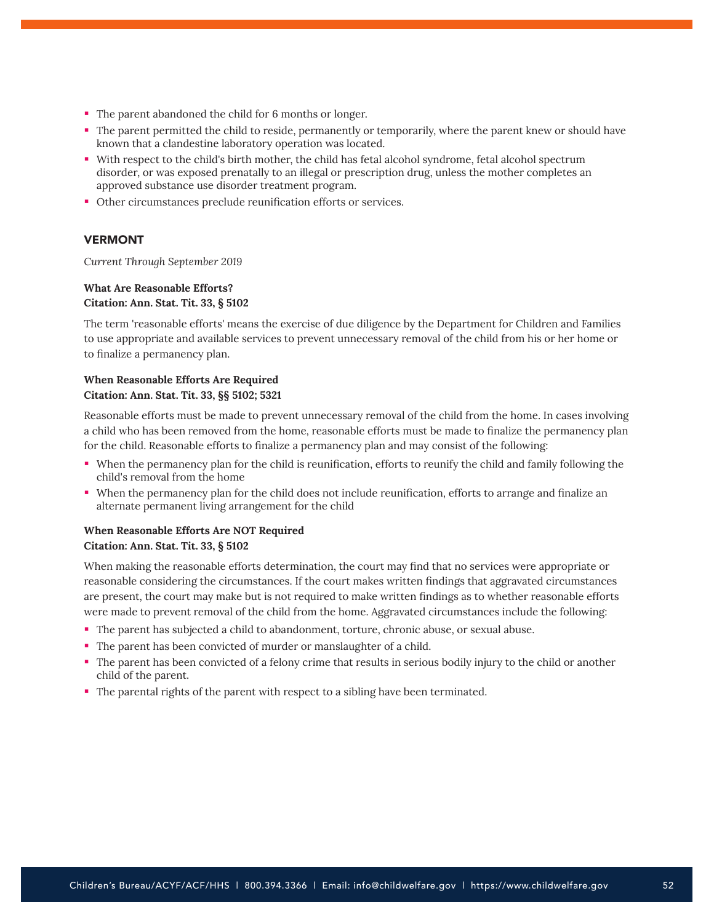- The parent abandoned the child for 6 months or longer.
- The parent permitted the child to reside, permanently or temporarily, where the parent knew or should have known that a clandestine laboratory operation was located.
- With respect to the child's birth mother, the child has fetal alcohol syndrome, fetal alcohol spectrum disorder, or was exposed prenatally to an illegal or prescription drug, unless the mother completes an approved substance use disorder treatment program.
- Other circumstances preclude reunification efforts or services.

## VERMONT

*Current Through September 2019*

#### **What Are Reasonable Efforts? Citation: Ann. Stat. Tit. 33, § 5102**

The term 'reasonable efforts' means the exercise of due diligence by the Department for Children and Families to use appropriate and available services to prevent unnecessary removal of the child from his or her home or to finalize a permanency plan.

## **When Reasonable Efforts Are Required Citation: Ann. Stat. Tit. 33, §§ 5102; 5321**

Reasonable efforts must be made to prevent unnecessary removal of the child from the home. In cases involving a child who has been removed from the home, reasonable efforts must be made to finalize the permanency plan for the child. Reasonable efforts to finalize a permanency plan and may consist of the following:

- When the permanency plan for the child is reunification, efforts to reunify the child and family following the child's removal from the home
- When the permanency plan for the child does not include reunification, efforts to arrange and finalize an alternate permanent living arrangement for the child

## **When Reasonable Efforts Are NOT Required Citation: Ann. Stat. Tit. 33, § 5102**

When making the reasonable efforts determination, the court may find that no services were appropriate or reasonable considering the circumstances. If the court makes written findings that aggravated circumstances are present, the court may make but is not required to make written findings as to whether reasonable efforts were made to prevent removal of the child from the home. Aggravated circumstances include the following:

- The parent has subjected a child to abandonment, torture, chronic abuse, or sexual abuse.
- The parent has been convicted of murder or manslaughter of a child.
- The parent has been convicted of a felony crime that results in serious bodily injury to the child or another child of the parent.
- The parental rights of the parent with respect to a sibling have been terminated.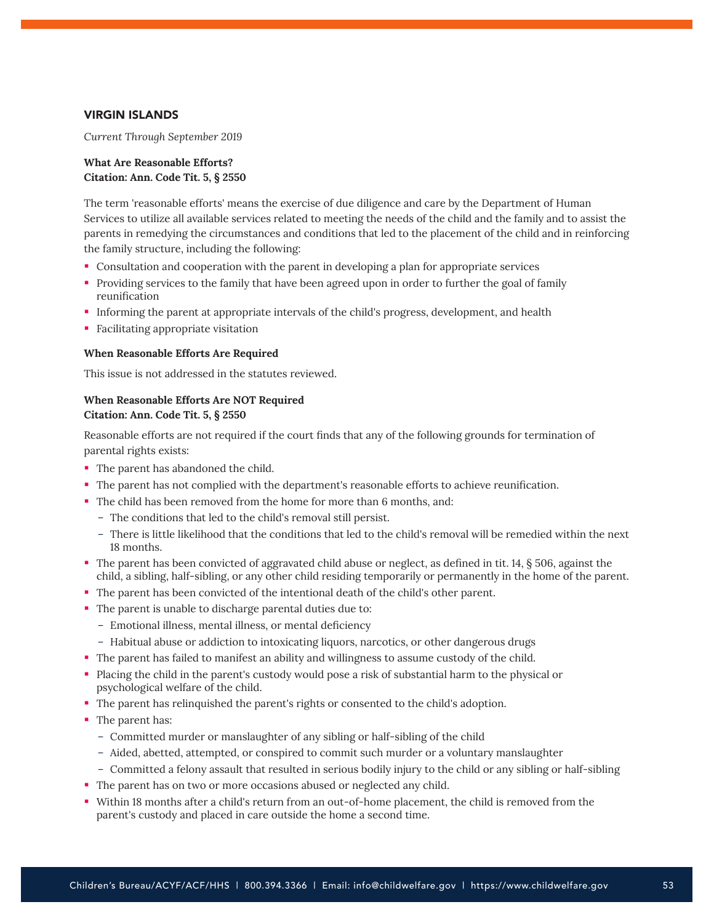#### VIRGIN ISLANDS

*Current Through September 2019*

#### **What Are Reasonable Efforts? Citation: Ann. Code Tit. 5, § 2550**

The term 'reasonable efforts' means the exercise of due diligence and care by the Department of Human Services to utilize all available services related to meeting the needs of the child and the family and to assist the parents in remedying the circumstances and conditions that led to the placement of the child and in reinforcing the family structure, including the following:

- Consultation and cooperation with the parent in developing a plan for appropriate services
- Providing services to the family that have been agreed upon in order to further the goal of family reunification
- Informing the parent at appropriate intervals of the child's progress, development, and health
- Facilitating appropriate visitation

#### **When Reasonable Efforts Are Required**

This issue is not addressed in the statutes reviewed.

## **When Reasonable Efforts Are NOT Required Citation: Ann. Code Tit. 5, § 2550**

Reasonable efforts are not required if the court finds that any of the following grounds for termination of parental rights exists:

- The parent has abandoned the child.
- The parent has not complied with the department's reasonable efforts to achieve reunification.
- The child has been removed from the home for more than 6 months, and:
	- The conditions that led to the child's removal still persist.
	- There is little likelihood that the conditions that led to the child's removal will be remedied within the next 18 months.
- The parent has been convicted of aggravated child abuse or neglect, as defined in tit. 14, § 506, against the child, a sibling, half-sibling, or any other child residing temporarily or permanently in the home of the parent.
- The parent has been convicted of the intentional death of the child's other parent.
- The parent is unable to discharge parental duties due to:
	- Emotional illness, mental illness, or mental deficiency
	- Habitual abuse or addiction to intoxicating liquors, narcotics, or other dangerous drugs
- The parent has failed to manifest an ability and willingness to assume custody of the child.
- Placing the child in the parent's custody would pose a risk of substantial harm to the physical or psychological welfare of the child.
- The parent has relinquished the parent's rights or consented to the child's adoption.
- The parent has:
	- Committed murder or manslaughter of any sibling or half-sibling of the child
	- Aided, abetted, attempted, or conspired to commit such murder or a voluntary manslaughter
	- Committed a felony assault that resulted in serious bodily injury to the child or any sibling or half-sibling
- The parent has on two or more occasions abused or neglected any child.
- Within 18 months after a child's return from an out-of-home placement, the child is removed from the parent's custody and placed in care outside the home a second time.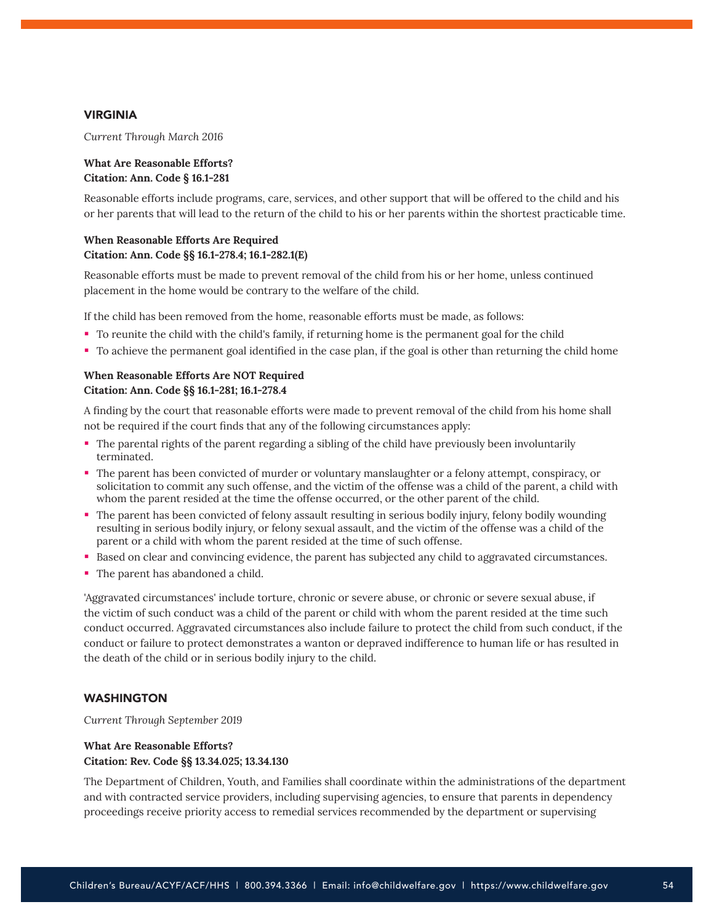#### VIRGINIA

*Current Through March 2016*

## **What Are Reasonable Efforts? Citation: Ann. Code § 16.1-281**

Reasonable efforts include programs, care, services, and other support that will be offered to the child and his or her parents that will lead to the return of the child to his or her parents within the shortest practicable time.

## **When Reasonable Efforts Are Required Citation: Ann. Code §§ 16.1-278.4; 16.1-282.1(E)**

Reasonable efforts must be made to prevent removal of the child from his or her home, unless continued placement in the home would be contrary to the welfare of the child.

If the child has been removed from the home, reasonable efforts must be made, as follows:

- To reunite the child with the child's family, if returning home is the permanent goal for the child
- To achieve the permanent goal identified in the case plan, if the goal is other than returning the child home

## **When Reasonable Efforts Are NOT Required Citation: Ann. Code §§ 16.1-281; 16.1-278.4**

A finding by the court that reasonable efforts were made to prevent removal of the child from his home shall not be required if the court finds that any of the following circumstances apply:

- The parental rights of the parent regarding a sibling of the child have previously been involuntarily terminated.
- The parent has been convicted of murder or voluntary manslaughter or a felony attempt, conspiracy, or solicitation to commit any such offense, and the victim of the offense was a child of the parent, a child with whom the parent resided at the time the offense occurred, or the other parent of the child.
- The parent has been convicted of felony assault resulting in serious bodily injury, felony bodily wounding resulting in serious bodily injury, or felony sexual assault, and the victim of the offense was a child of the parent or a child with whom the parent resided at the time of such offense.
- **Based on clear and convincing evidence, the parent has subjected any child to aggravated circumstances.**
- The parent has abandoned a child.

'Aggravated circumstances' include torture, chronic or severe abuse, or chronic or severe sexual abuse, if the victim of such conduct was a child of the parent or child with whom the parent resided at the time such conduct occurred. Aggravated circumstances also include failure to protect the child from such conduct, if the conduct or failure to protect demonstrates a wanton or depraved indifference to human life or has resulted in the death of the child or in serious bodily injury to the child.

#### WASHINGTON

*Current Through September 2019*

## **What Are Reasonable Efforts? Citation: Rev. Code §§ 13.34.025; 13.34.130**

The Department of Children, Youth, and Families shall coordinate within the administrations of the department and with contracted service providers, including supervising agencies, to ensure that parents in dependency proceedings receive priority access to remedial services recommended by the department or supervising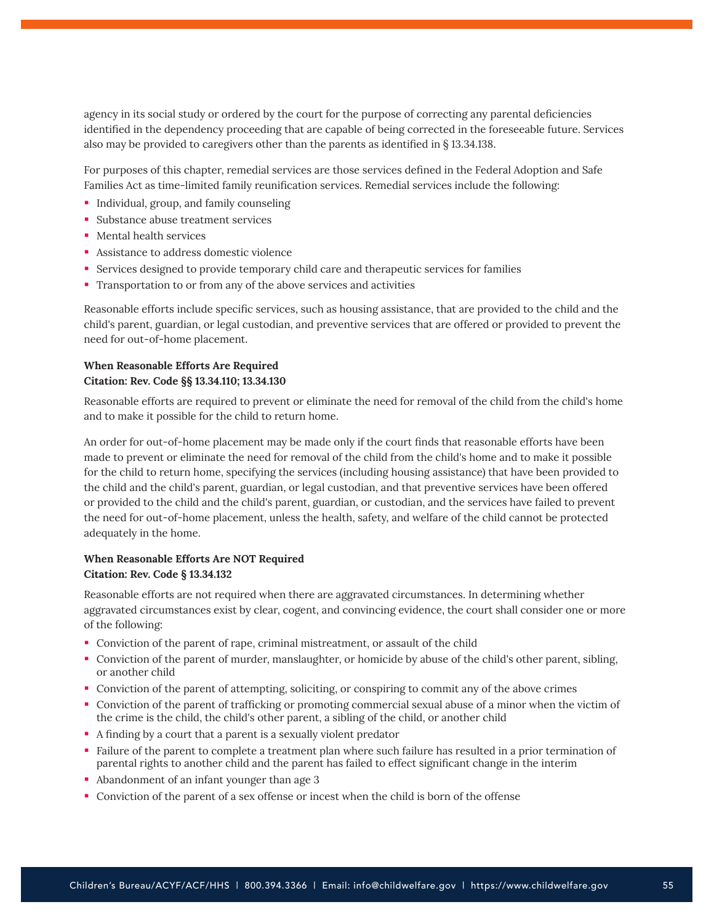agency in its social study or ordered by the court for the purpose of correcting any parental deficiencies identified in the dependency proceeding that are capable of being corrected in the foreseeable future. Services also may be provided to caregivers other than the parents as identified in § 13.34.138.

For purposes of this chapter, remedial services are those services defined in the Federal Adoption and Safe Families Act as time-limited family reunification services. Remedial services include the following:

- **Individual, group, and family counseling**
- **Substance abuse treatment services**
- Mental health services
- **Assistance to address domestic violence**
- Services designed to provide temporary child care and therapeutic services for families
- Transportation to or from any of the above services and activities

Reasonable efforts include specific services, such as housing assistance, that are provided to the child and the child's parent, guardian, or legal custodian, and preventive services that are offered or provided to prevent the need for out-of-home placement.

#### **When Reasonable Efforts Are Required Citation: Rev. Code §§ 13.34.110; 13.34.130**

Reasonable efforts are required to prevent or eliminate the need for removal of the child from the child's home and to make it possible for the child to return home.

An order for out-of-home placement may be made only if the court finds that reasonable efforts have been made to prevent or eliminate the need for removal of the child from the child's home and to make it possible for the child to return home, specifying the services (including housing assistance) that have been provided to the child and the child's parent, guardian, or legal custodian, and that preventive services have been offered or provided to the child and the child's parent, guardian, or custodian, and the services have failed to prevent the need for out-of-home placement, unless the health, safety, and welfare of the child cannot be protected adequately in the home.

## **When Reasonable Efforts Are NOT Required Citation: Rev. Code § 13.34.132**

Reasonable efforts are not required when there are aggravated circumstances. In determining whether aggravated circumstances exist by clear, cogent, and convincing evidence, the court shall consider one or more of the following:

- Conviction of the parent of rape, criminal mistreatment, or assault of the child
- Conviction of the parent of murder, manslaughter, or homicide by abuse of the child's other parent, sibling, or another child
- Conviction of the parent of attempting, soliciting, or conspiring to commit any of the above crimes
- Conviction of the parent of trafficking or promoting commercial sexual abuse of a minor when the victim of the crime is the child, the child's other parent, a sibling of the child, or another child
- A finding by a court that a parent is a sexually violent predator
- Failure of the parent to complete a treatment plan where such failure has resulted in a prior termination of parental rights to another child and the parent has failed to effect significant change in the interim
- Abandonment of an infant younger than age 3
- Conviction of the parent of a sex offense or incest when the child is born of the offense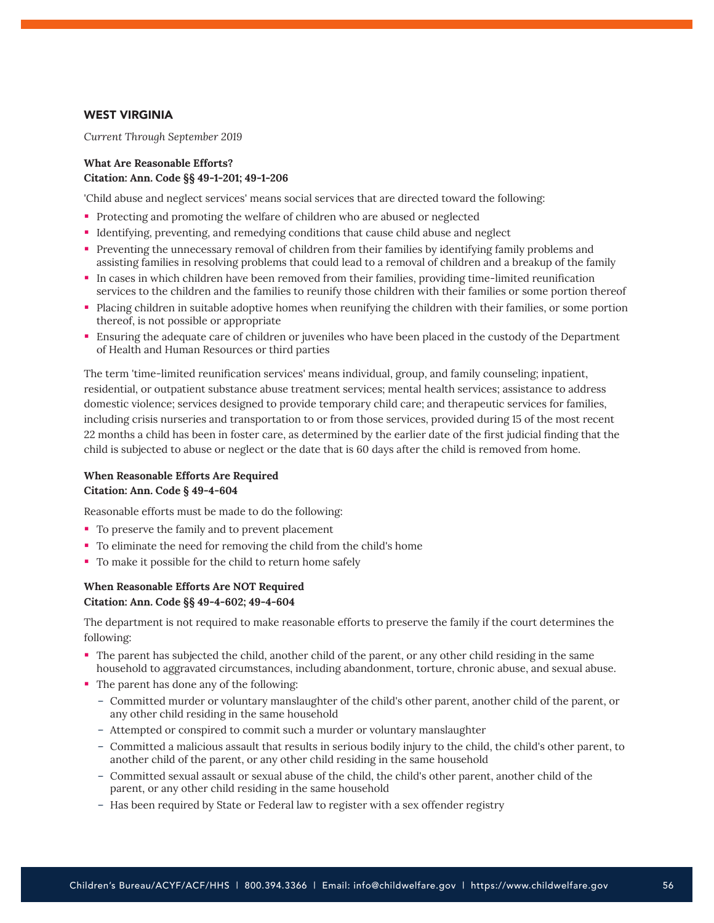## WEST VIRGINIA

*Current Through September 2019*

## **What Are Reasonable Efforts? Citation: Ann. Code §§ 49-1-201; 49-1-206**

'Child abuse and neglect services' means social services that are directed toward the following:

- Protecting and promoting the welfare of children who are abused or neglected
- Identifying, preventing, and remedying conditions that cause child abuse and neglect
- Preventing the unnecessary removal of children from their families by identifying family problems and assisting families in resolving problems that could lead to a removal of children and a breakup of the family
- In cases in which children have been removed from their families, providing time-limited reunification services to the children and the families to reunify those children with their families or some portion thereof
- Placing children in suitable adoptive homes when reunifying the children with their families, or some portion thereof, is not possible or appropriate
- Ensuring the adequate care of children or juveniles who have been placed in the custody of the Department of Health and Human Resources or third parties

The term 'time-limited reunification services' means individual, group, and family counseling; inpatient, residential, or outpatient substance abuse treatment services; mental health services; assistance to address domestic violence; services designed to provide temporary child care; and therapeutic services for families, including crisis nurseries and transportation to or from those services, provided during 15 of the most recent 22 months a child has been in foster care, as determined by the earlier date of the first judicial finding that the child is subjected to abuse or neglect or the date that is 60 days after the child is removed from home.

#### **When Reasonable Efforts Are Required Citation: Ann. Code § 49-4-604**

Reasonable efforts must be made to do the following:

- To preserve the family and to prevent placement
- To eliminate the need for removing the child from the child's home
- To make it possible for the child to return home safely

## **When Reasonable Efforts Are NOT Required Citation: Ann. Code §§ 49-4-602; 49-4-604**

The department is not required to make reasonable efforts to preserve the family if the court determines the following:

- The parent has subjected the child, another child of the parent, or any other child residing in the same household to aggravated circumstances, including abandonment, torture, chronic abuse, and sexual abuse.
- The parent has done any of the following:
	- Committed murder or voluntary manslaughter of the child's other parent, another child of the parent, or any other child residing in the same household
	- Attempted or conspired to commit such a murder or voluntary manslaughter
	- Committed a malicious assault that results in serious bodily injury to the child, the child's other parent, to another child of the parent, or any other child residing in the same household
	- Committed sexual assault or sexual abuse of the child, the child's other parent, another child of the parent, or any other child residing in the same household
	- Has been required by State or Federal law to register with a sex offender registry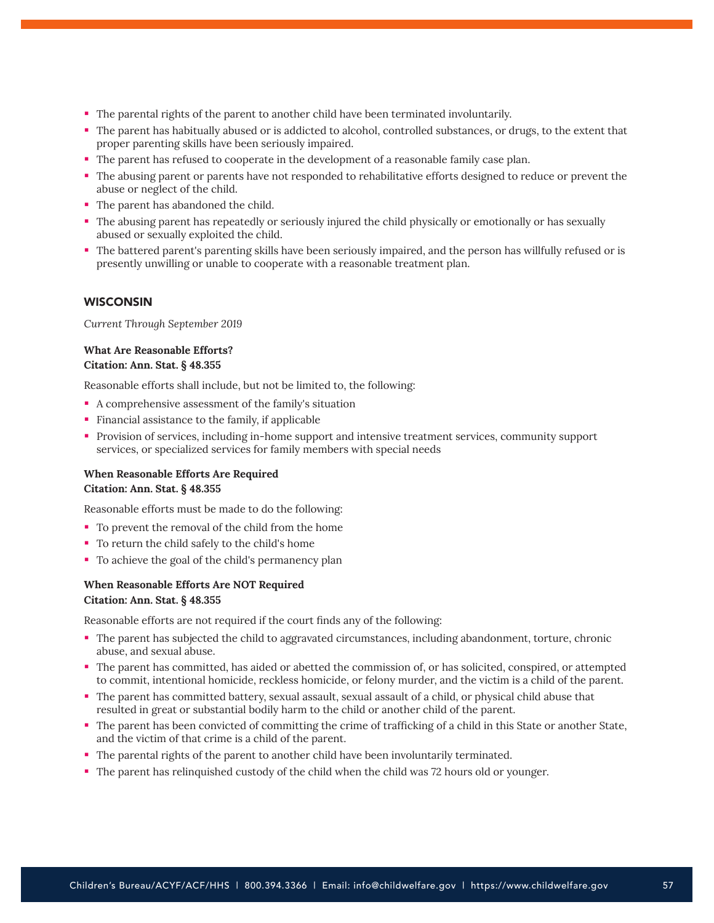- The parental rights of the parent to another child have been terminated involuntarily.
- The parent has habitually abused or is addicted to alcohol, controlled substances, or drugs, to the extent that proper parenting skills have been seriously impaired.
- The parent has refused to cooperate in the development of a reasonable family case plan.
- The abusing parent or parents have not responded to rehabilitative efforts designed to reduce or prevent the abuse or neglect of the child.
- The parent has abandoned the child.
- The abusing parent has repeatedly or seriously injured the child physically or emotionally or has sexually abused or sexually exploited the child.
- The battered parent's parenting skills have been seriously impaired, and the person has willfully refused or is presently unwilling or unable to cooperate with a reasonable treatment plan.

#### **WISCONSIN**

*Current Through September 2019*

#### **What Are Reasonable Efforts? Citation: Ann. Stat. § 48.355**

Reasonable efforts shall include, but not be limited to, the following:

- A comprehensive assessment of the family's situation
- Financial assistance to the family, if applicable
- Provision of services, including in-home support and intensive treatment services, community support services, or specialized services for family members with special needs

# **When Reasonable Efforts Are Required**

#### **Citation: Ann. Stat. § 48.355**

Reasonable efforts must be made to do the following:

- To prevent the removal of the child from the home
- To return the child safely to the child's home
- To achieve the goal of the child's permanency plan

## **When Reasonable Efforts Are NOT Required Citation: Ann. Stat. § 48.355**

Reasonable efforts are not required if the court finds any of the following:

- The parent has subjected the child to aggravated circumstances, including abandonment, torture, chronic abuse, and sexual abuse.
- The parent has committed, has aided or abetted the commission of, or has solicited, conspired, or attempted to commit, intentional homicide, reckless homicide, or felony murder, and the victim is a child of the parent.
- The parent has committed battery, sexual assault, sexual assault of a child, or physical child abuse that resulted in great or substantial bodily harm to the child or another child of the parent.
- The parent has been convicted of committing the crime of trafficking of a child in this State or another State, and the victim of that crime is a child of the parent.
- The parental rights of the parent to another child have been involuntarily terminated.
- The parent has relinquished custody of the child when the child was 72 hours old or younger.